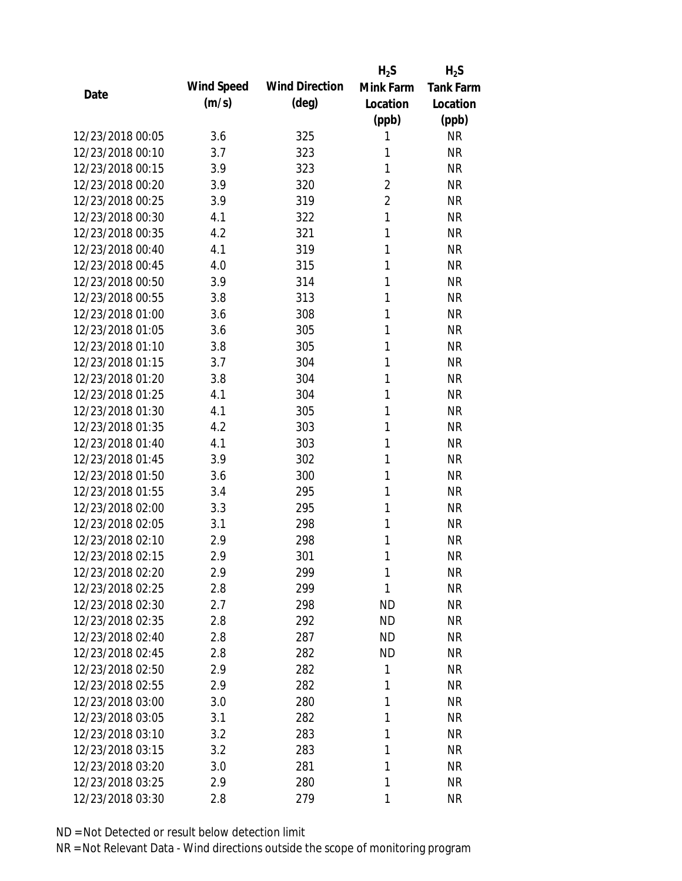|                  |            |                       | $H_2S$         | $H_2S$           |
|------------------|------------|-----------------------|----------------|------------------|
| Date             | Wind Speed | <b>Wind Direction</b> | Mink Farm      | <b>Tank Farm</b> |
|                  | (m/s)      | $(\text{deg})$        | Location       | Location         |
|                  |            |                       | (ppb)          | (ppb)            |
| 12/23/2018 00:05 | 3.6        | 325                   | 1              | <b>NR</b>        |
| 12/23/2018 00:10 | 3.7        | 323                   | 1              | <b>NR</b>        |
| 12/23/2018 00:15 | 3.9        | 323                   | 1              | <b>NR</b>        |
| 12/23/2018 00:20 | 3.9        | 320                   | $\overline{2}$ | <b>NR</b>        |
| 12/23/2018 00:25 | 3.9        | 319                   | $\overline{2}$ | <b>NR</b>        |
| 12/23/2018 00:30 | 4.1        | 322                   | $\mathbf{1}$   | <b>NR</b>        |
| 12/23/2018 00:35 | 4.2        | 321                   | 1              | <b>NR</b>        |
| 12/23/2018 00:40 | 4.1        | 319                   | 1              | <b>NR</b>        |
| 12/23/2018 00:45 | 4.0        | 315                   | 1              | <b>NR</b>        |
| 12/23/2018 00:50 | 3.9        | 314                   | 1              | <b>NR</b>        |
| 12/23/2018 00:55 | 3.8        | 313                   | 1              | <b>NR</b>        |
| 12/23/2018 01:00 | 3.6        | 308                   | 1              | <b>NR</b>        |
| 12/23/2018 01:05 | 3.6        | 305                   | 1              | <b>NR</b>        |
| 12/23/2018 01:10 | 3.8        | 305                   | 1              | <b>NR</b>        |
| 12/23/2018 01:15 | 3.7        | 304                   | 1              | <b>NR</b>        |
| 12/23/2018 01:20 | 3.8        | 304                   | 1              | <b>NR</b>        |
| 12/23/2018 01:25 | 4.1        | 304                   | 1              | <b>NR</b>        |
| 12/23/2018 01:30 | 4.1        | 305                   | 1              | <b>NR</b>        |
| 12/23/2018 01:35 | 4.2        | 303                   | $\mathbf{1}$   | <b>NR</b>        |
| 12/23/2018 01:40 | 4.1        | 303                   | 1              | <b>NR</b>        |
| 12/23/2018 01:45 | 3.9        | 302                   | 1              | <b>NR</b>        |
| 12/23/2018 01:50 | 3.6        | 300                   | 1              | <b>NR</b>        |
| 12/23/2018 01:55 | 3.4        | 295                   | 1              | <b>NR</b>        |
| 12/23/2018 02:00 | 3.3        | 295                   | 1              | <b>NR</b>        |
| 12/23/2018 02:05 | 3.1        | 298                   | 1              | <b>NR</b>        |
| 12/23/2018 02:10 | 2.9        | 298                   | 1              | <b>NR</b>        |
| 12/23/2018 02:15 | 2.9        | 301                   | 1              | <b>NR</b>        |
| 12/23/2018 02:20 | 2.9        | 299                   | 1              | <b>NR</b>        |
| 12/23/2018 02:25 | 2.8        | 299                   | 1              | <b>NR</b>        |
| 12/23/2018 02:30 | 2.7        | 298                   | ND             | <b>NR</b>        |
| 12/23/2018 02:35 | 2.8        | 292                   | <b>ND</b>      | <b>NR</b>        |
| 12/23/2018 02:40 | 2.8        | 287                   | <b>ND</b>      | <b>NR</b>        |
| 12/23/2018 02:45 | 2.8        | 282                   | <b>ND</b>      | <b>NR</b>        |
| 12/23/2018 02:50 | 2.9        | 282                   | 1              | <b>NR</b>        |
| 12/23/2018 02:55 | 2.9        | 282                   | 1              | <b>NR</b>        |
| 12/23/2018 03:00 | 3.0        | 280                   | 1              | <b>NR</b>        |
| 12/23/2018 03:05 | 3.1        | 282                   | 1              | <b>NR</b>        |
| 12/23/2018 03:10 | 3.2        | 283                   | 1              | <b>NR</b>        |
| 12/23/2018 03:15 | 3.2        | 283                   | 1              | <b>NR</b>        |
| 12/23/2018 03:20 | 3.0        | 281                   | 1              | <b>NR</b>        |
| 12/23/2018 03:25 | 2.9        | 280                   | 1              | <b>NR</b>        |
| 12/23/2018 03:30 | 2.8        | 279                   | 1              | <b>NR</b>        |
|                  |            |                       |                |                  |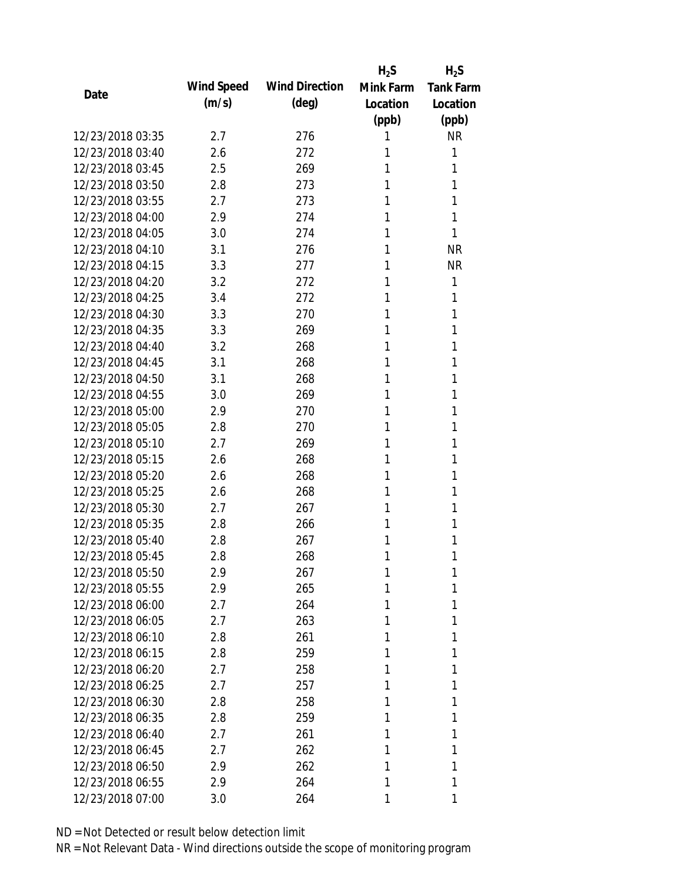|                  |            |                       | $H_2S$    | $H_2S$           |
|------------------|------------|-----------------------|-----------|------------------|
| Date             | Wind Speed | <b>Wind Direction</b> | Mink Farm | <b>Tank Farm</b> |
|                  | (m/s)      | $(\text{deg})$        | Location  | Location         |
|                  |            |                       | (ppb)     | (ppb)            |
| 12/23/2018 03:35 | 2.7        | 276                   | 1         | <b>NR</b>        |
| 12/23/2018 03:40 | 2.6        | 272                   | 1         | 1                |
| 12/23/2018 03:45 | 2.5        | 269                   | 1         | 1                |
| 12/23/2018 03:50 | 2.8        | 273                   | 1         | 1                |
| 12/23/2018 03:55 | 2.7        | 273                   | 1         | 1                |
| 12/23/2018 04:00 | 2.9        | 274                   | 1         | 1                |
| 12/23/2018 04:05 | 3.0        | 274                   | 1         | 1                |
| 12/23/2018 04:10 | 3.1        | 276                   | 1         | <b>NR</b>        |
| 12/23/2018 04:15 | 3.3        | 277                   | 1         | <b>NR</b>        |
| 12/23/2018 04:20 | 3.2        | 272                   | 1         | 1                |
| 12/23/2018 04:25 | 3.4        | 272                   | 1         | 1                |
| 12/23/2018 04:30 | 3.3        | 270                   | 1         | 1                |
| 12/23/2018 04:35 | 3.3        | 269                   | 1         | 1                |
| 12/23/2018 04:40 | 3.2        | 268                   | 1         | 1                |
| 12/23/2018 04:45 | 3.1        | 268                   | 1         | 1                |
| 12/23/2018 04:50 | 3.1        | 268                   | 1         | 1                |
| 12/23/2018 04:55 | 3.0        | 269                   | 1         | 1                |
| 12/23/2018 05:00 | 2.9        | 270                   | 1         | 1                |
| 12/23/2018 05:05 | 2.8        | 270                   | 1         | 1                |
| 12/23/2018 05:10 | 2.7        | 269                   | 1         | 1                |
| 12/23/2018 05:15 | 2.6        | 268                   | 1         | 1                |
| 12/23/2018 05:20 | 2.6        | 268                   | 1         | 1                |
| 12/23/2018 05:25 | 2.6        | 268                   | 1         | 1                |
| 12/23/2018 05:30 | 2.7        | 267                   | 1         | 1                |
| 12/23/2018 05:35 | 2.8        | 266                   | 1         | 1                |
| 12/23/2018 05:40 | 2.8        | 267                   | 1         | 1                |
| 12/23/2018 05:45 | 2.8        | 268                   | 1         | 1                |
| 12/23/2018 05:50 | 2.9        | 267                   | 1         | 1                |
| 12/23/2018 05:55 | 2.9        | 265                   | 1         | 1                |
| 12/23/2018 06:00 | 2.7        | 264                   | 1         | 1                |
| 12/23/2018 06:05 | 2.7        | 263                   | 1         | 1                |
| 12/23/2018 06:10 | 2.8        | 261                   | 1         | 1                |
| 12/23/2018 06:15 | 2.8        | 259                   | 1         | 1                |
| 12/23/2018 06:20 | 2.7        | 258                   | 1         | 1                |
| 12/23/2018 06:25 | 2.7        | 257                   | 1         | 1                |
| 12/23/2018 06:30 | 2.8        | 258                   | 1         | 1                |
| 12/23/2018 06:35 | 2.8        | 259                   | 1         | 1                |
| 12/23/2018 06:40 | 2.7        | 261                   | 1         | 1                |
| 12/23/2018 06:45 | 2.7        | 262                   | 1         | 1                |
| 12/23/2018 06:50 | 2.9        | 262                   | 1         | 1                |
| 12/23/2018 06:55 | 2.9        | 264                   | 1         | 1                |
| 12/23/2018 07:00 | 3.0        | 264                   | 1         | 1                |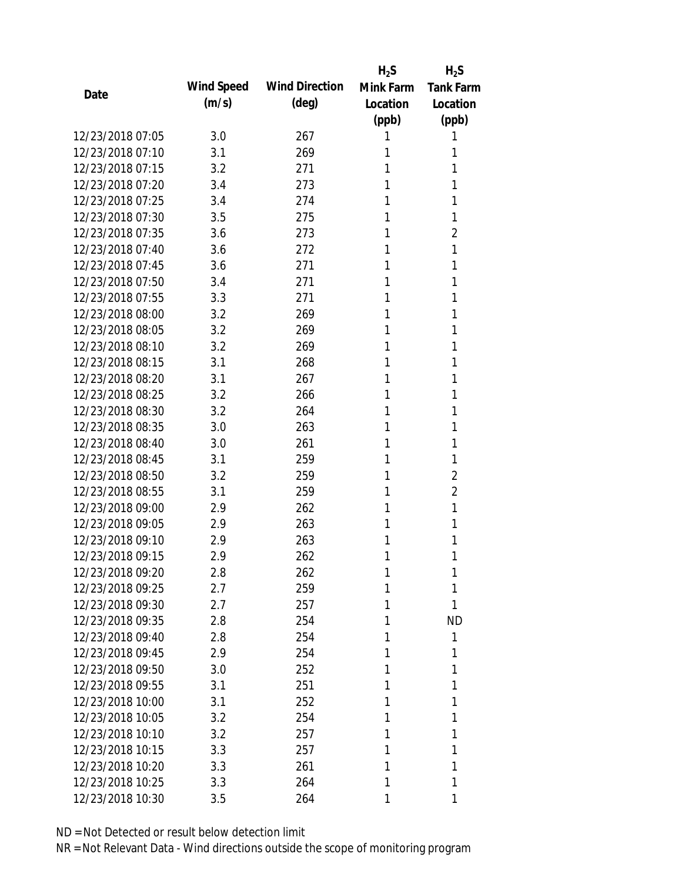|                  |            |                       | $H_2S$    | $H_2S$           |
|------------------|------------|-----------------------|-----------|------------------|
|                  | Wind Speed | <b>Wind Direction</b> | Mink Farm | <b>Tank Farm</b> |
| Date             | (m/s)      | $(\text{deg})$        | Location  | Location         |
|                  |            |                       | (ppb)     | (ppb)            |
| 12/23/2018 07:05 | 3.0        | 267                   | 1         | 1                |
| 12/23/2018 07:10 | 3.1        | 269                   | 1         | 1                |
| 12/23/2018 07:15 | 3.2        | 271                   | 1         | 1                |
| 12/23/2018 07:20 | 3.4        | 273                   | 1         | 1                |
| 12/23/2018 07:25 | 3.4        | 274                   | 1         | 1                |
| 12/23/2018 07:30 | 3.5        | 275                   | 1         | 1                |
| 12/23/2018 07:35 | 3.6        | 273                   | 1         | $\overline{2}$   |
| 12/23/2018 07:40 | 3.6        | 272                   | 1         | 1                |
| 12/23/2018 07:45 | 3.6        | 271                   | 1         | 1                |
| 12/23/2018 07:50 | 3.4        | 271                   | 1         | 1                |
| 12/23/2018 07:55 | 3.3        | 271                   | 1         | 1                |
| 12/23/2018 08:00 | 3.2        | 269                   | 1         | 1                |
| 12/23/2018 08:05 | 3.2        | 269                   | 1         | 1                |
| 12/23/2018 08:10 | 3.2        | 269                   | 1         | 1                |
| 12/23/2018 08:15 | 3.1        | 268                   | 1         | 1                |
| 12/23/2018 08:20 | 3.1        | 267                   | 1         | 1                |
| 12/23/2018 08:25 | 3.2        | 266                   | 1         | 1                |
| 12/23/2018 08:30 | 3.2        | 264                   | 1         | 1                |
| 12/23/2018 08:35 | 3.0        | 263                   | 1         | 1                |
| 12/23/2018 08:40 | 3.0        | 261                   | 1         | 1                |
| 12/23/2018 08:45 | 3.1        | 259                   | 1         | 1                |
| 12/23/2018 08:50 | 3.2        | 259                   | 1         | $\overline{2}$   |
| 12/23/2018 08:55 | 3.1        | 259                   | 1         | $\overline{2}$   |
| 12/23/2018 09:00 | 2.9        | 262                   | 1         | 1                |
| 12/23/2018 09:05 | 2.9        | 263                   | 1         | 1                |
| 12/23/2018 09:10 | 2.9        | 263                   | 1         | 1                |
| 12/23/2018 09:15 | 2.9        | 262                   | 1         | 1                |
| 12/23/2018 09:20 | 2.8        | 262                   | 1         | 1                |
| 12/23/2018 09:25 | 2.7        | 259                   | 1         | 1                |
| 12/23/2018 09:30 | 2.7        | 257                   | 1         | 1                |
| 12/23/2018 09:35 | 2.8        | 254                   | 1         | <b>ND</b>        |
| 12/23/2018 09:40 | 2.8        | 254                   | 1         | 1                |
| 12/23/2018 09:45 | 2.9        | 254                   | 1         | 1                |
| 12/23/2018 09:50 | 3.0        | 252                   | 1         | 1                |
| 12/23/2018 09:55 | 3.1        | 251                   | 1         | 1                |
| 12/23/2018 10:00 | 3.1        | 252                   | 1         | 1                |
| 12/23/2018 10:05 | 3.2        | 254                   | 1         | 1                |
| 12/23/2018 10:10 | 3.2        | 257                   | 1         | 1                |
| 12/23/2018 10:15 | 3.3        | 257                   | 1         | 1                |
| 12/23/2018 10:20 | 3.3        | 261                   | 1         | 1                |
| 12/23/2018 10:25 | 3.3        | 264                   | 1         | 1                |
| 12/23/2018 10:30 | 3.5        | 264                   | 1         | 1                |
|                  |            |                       |           |                  |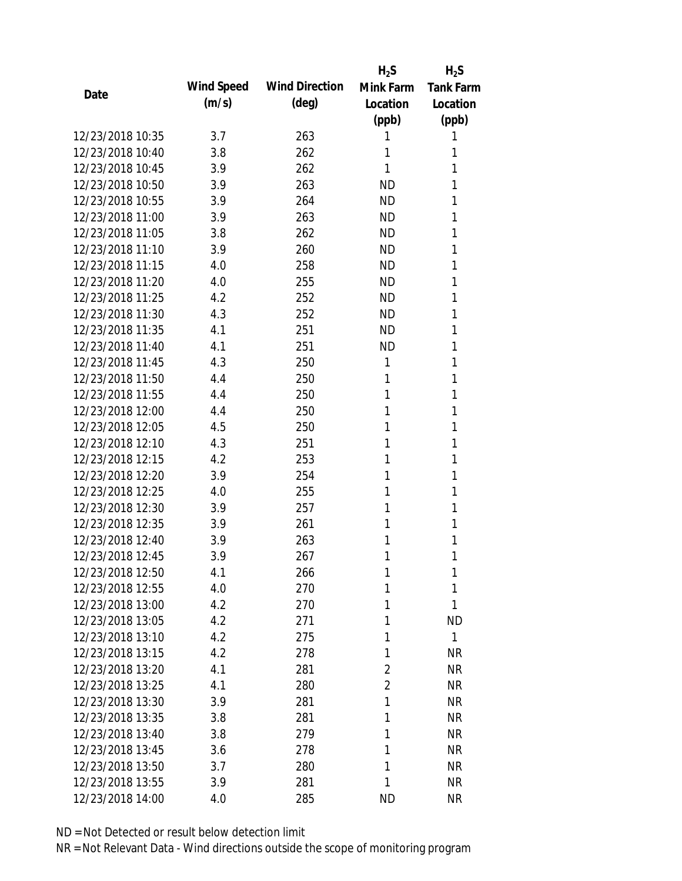|                  |            |                       | $H_2S$         | $H_2S$           |
|------------------|------------|-----------------------|----------------|------------------|
| Date             | Wind Speed | <b>Wind Direction</b> | Mink Farm      | <b>Tank Farm</b> |
|                  | (m/s)      | $(\text{deg})$        | Location       | Location         |
|                  |            |                       | (ppb)          | (ppb)            |
| 12/23/2018 10:35 | 3.7        | 263                   | 1              | 1                |
| 12/23/2018 10:40 | 3.8        | 262                   | 1              | 1                |
| 12/23/2018 10:45 | 3.9        | 262                   | 1              | 1                |
| 12/23/2018 10:50 | 3.9        | 263                   | <b>ND</b>      | 1                |
| 12/23/2018 10:55 | 3.9        | 264                   | <b>ND</b>      | 1                |
| 12/23/2018 11:00 | 3.9        | 263                   | <b>ND</b>      | 1                |
| 12/23/2018 11:05 | 3.8        | 262                   | <b>ND</b>      | 1                |
| 12/23/2018 11:10 | 3.9        | 260                   | <b>ND</b>      | 1                |
| 12/23/2018 11:15 | 4.0        | 258                   | <b>ND</b>      | 1                |
| 12/23/2018 11:20 | 4.0        | 255                   | <b>ND</b>      | 1                |
| 12/23/2018 11:25 | 4.2        | 252                   | <b>ND</b>      | 1                |
| 12/23/2018 11:30 | 4.3        | 252                   | <b>ND</b>      | 1                |
| 12/23/2018 11:35 | 4.1        | 251                   | <b>ND</b>      | 1                |
| 12/23/2018 11:40 | 4.1        | 251                   | <b>ND</b>      | 1                |
| 12/23/2018 11:45 | 4.3        | 250                   | 1              | 1                |
| 12/23/2018 11:50 | 4.4        | 250                   | 1              | 1                |
| 12/23/2018 11:55 | 4.4        | 250                   | 1              | 1                |
| 12/23/2018 12:00 | 4.4        | 250                   | 1              | 1                |
| 12/23/2018 12:05 | 4.5        | 250                   | 1              | 1                |
| 12/23/2018 12:10 | 4.3        | 251                   | 1              | 1                |
| 12/23/2018 12:15 | 4.2        | 253                   | 1              | 1                |
| 12/23/2018 12:20 | 3.9        | 254                   | 1              | 1                |
| 12/23/2018 12:25 | 4.0        | 255                   | 1              | 1                |
| 12/23/2018 12:30 | 3.9        | 257                   | 1              | 1                |
| 12/23/2018 12:35 | 3.9        | 261                   | 1              | 1                |
| 12/23/2018 12:40 | 3.9        | 263                   | 1              | 1                |
| 12/23/2018 12:45 | 3.9        | 267                   | 1              | 1                |
| 12/23/2018 12:50 | 4.1        | 266                   | 1              | 1                |
| 12/23/2018 12:55 | 4.0        | 270                   | 1              | 1                |
| 12/23/2018 13:00 | 4.2        | 270                   | 1              | 1                |
| 12/23/2018 13:05 | 4.2        | 271                   | 1              | <b>ND</b>        |
| 12/23/2018 13:10 | 4.2        | 275                   | 1              | $\mathbf{1}$     |
| 12/23/2018 13:15 | 4.2        | 278                   | 1              | <b>NR</b>        |
| 12/23/2018 13:20 | 4.1        | 281                   | 2              | <b>NR</b>        |
| 12/23/2018 13:25 | 4.1        | 280                   | $\overline{2}$ | <b>NR</b>        |
| 12/23/2018 13:30 | 3.9        | 281                   | 1              | <b>NR</b>        |
| 12/23/2018 13:35 | 3.8        | 281                   | 1              | <b>NR</b>        |
| 12/23/2018 13:40 | 3.8        | 279                   | 1              | <b>NR</b>        |
| 12/23/2018 13:45 | 3.6        | 278                   | 1              | <b>NR</b>        |
| 12/23/2018 13:50 | 3.7        | 280                   | 1              | <b>NR</b>        |
| 12/23/2018 13:55 | 3.9        | 281                   | 1              | <b>NR</b>        |
| 12/23/2018 14:00 | 4.0        | 285                   | <b>ND</b>      | <b>NR</b>        |
|                  |            |                       |                |                  |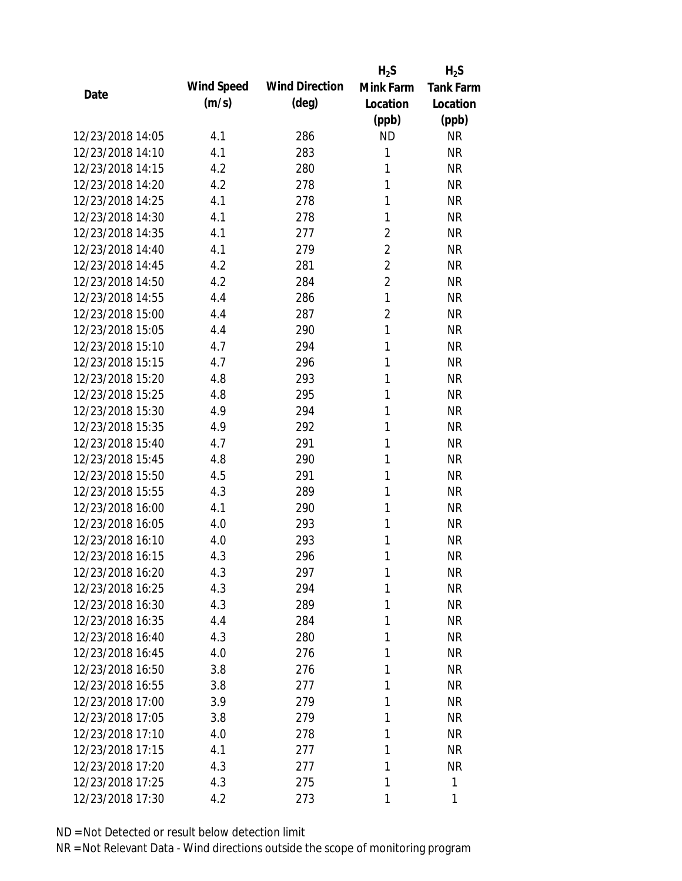|                  |            |                       | $H_2S$         | $H_2S$           |
|------------------|------------|-----------------------|----------------|------------------|
| Date             | Wind Speed | <b>Wind Direction</b> | Mink Farm      | <b>Tank Farm</b> |
|                  | (m/s)      | $(\text{deg})$        | Location       | Location         |
|                  |            |                       | (ppb)          | (ppb)            |
| 12/23/2018 14:05 | 4.1        | 286                   | <b>ND</b>      | <b>NR</b>        |
| 12/23/2018 14:10 | 4.1        | 283                   | 1              | <b>NR</b>        |
| 12/23/2018 14:15 | 4.2        | 280                   | 1              | <b>NR</b>        |
| 12/23/2018 14:20 | 4.2        | 278                   | 1              | <b>NR</b>        |
| 12/23/2018 14:25 | 4.1        | 278                   | 1              | <b>NR</b>        |
| 12/23/2018 14:30 | 4.1        | 278                   | 1              | <b>NR</b>        |
| 12/23/2018 14:35 | 4.1        | 277                   | 2              | <b>NR</b>        |
| 12/23/2018 14:40 | 4.1        | 279                   | $\overline{2}$ | <b>NR</b>        |
| 12/23/2018 14:45 | 4.2        | 281                   | $\overline{2}$ | <b>NR</b>        |
| 12/23/2018 14:50 | 4.2        | 284                   | $\overline{2}$ | <b>NR</b>        |
| 12/23/2018 14:55 | 4.4        | 286                   | $\mathbf{1}$   | <b>NR</b>        |
| 12/23/2018 15:00 | 4.4        | 287                   | 2              | <b>NR</b>        |
| 12/23/2018 15:05 | 4.4        | 290                   | $\mathbf{1}$   | <b>NR</b>        |
| 12/23/2018 15:10 | 4.7        | 294                   | 1              | <b>NR</b>        |
| 12/23/2018 15:15 | 4.7        | 296                   | 1              | <b>NR</b>        |
| 12/23/2018 15:20 | 4.8        | 293                   | 1              | <b>NR</b>        |
| 12/23/2018 15:25 | 4.8        | 295                   | 1              | <b>NR</b>        |
| 12/23/2018 15:30 | 4.9        | 294                   | 1              | <b>NR</b>        |
| 12/23/2018 15:35 | 4.9        | 292                   | 1              | <b>NR</b>        |
| 12/23/2018 15:40 | 4.7        | 291                   | 1              | <b>NR</b>        |
| 12/23/2018 15:45 | 4.8        | 290                   | 1              | <b>NR</b>        |
| 12/23/2018 15:50 | 4.5        | 291                   | 1              | <b>NR</b>        |
| 12/23/2018 15:55 | 4.3        | 289                   | 1              | <b>NR</b>        |
| 12/23/2018 16:00 | 4.1        | 290                   | 1              | <b>NR</b>        |
| 12/23/2018 16:05 | 4.0        | 293                   | 1              | <b>NR</b>        |
| 12/23/2018 16:10 | 4.0        | 293                   | 1              | <b>NR</b>        |
| 12/23/2018 16:15 | 4.3        | 296                   | 1              | <b>NR</b>        |
| 12/23/2018 16:20 | 4.3        | 297                   | 1              | <b>NR</b>        |
| 12/23/2018 16:25 | 4.3        | 294                   | 1              | <b>NR</b>        |
| 12/23/2018 16:30 | 4.3        | 289                   | 1              | <b>NR</b>        |
| 12/23/2018 16:35 | 4.4        | 284                   | 1              | <b>NR</b>        |
| 12/23/2018 16:40 | 4.3        | 280                   | 1              | <b>NR</b>        |
| 12/23/2018 16:45 | 4.0        | 276                   | 1              | <b>NR</b>        |
| 12/23/2018 16:50 | 3.8        | 276                   | 1              | <b>NR</b>        |
| 12/23/2018 16:55 | 3.8        | 277                   | 1              | <b>NR</b>        |
| 12/23/2018 17:00 | 3.9        | 279                   | 1              | <b>NR</b>        |
| 12/23/2018 17:05 | 3.8        | 279                   | 1              | <b>NR</b>        |
| 12/23/2018 17:10 | 4.0        | 278                   | 1              | <b>NR</b>        |
| 12/23/2018 17:15 | 4.1        | 277                   | 1              | <b>NR</b>        |
| 12/23/2018 17:20 | 4.3        | 277                   | 1              | <b>NR</b>        |
| 12/23/2018 17:25 | 4.3        | 275                   | 1              | 1                |
| 12/23/2018 17:30 | 4.2        | 273                   | 1              | 1                |
|                  |            |                       |                |                  |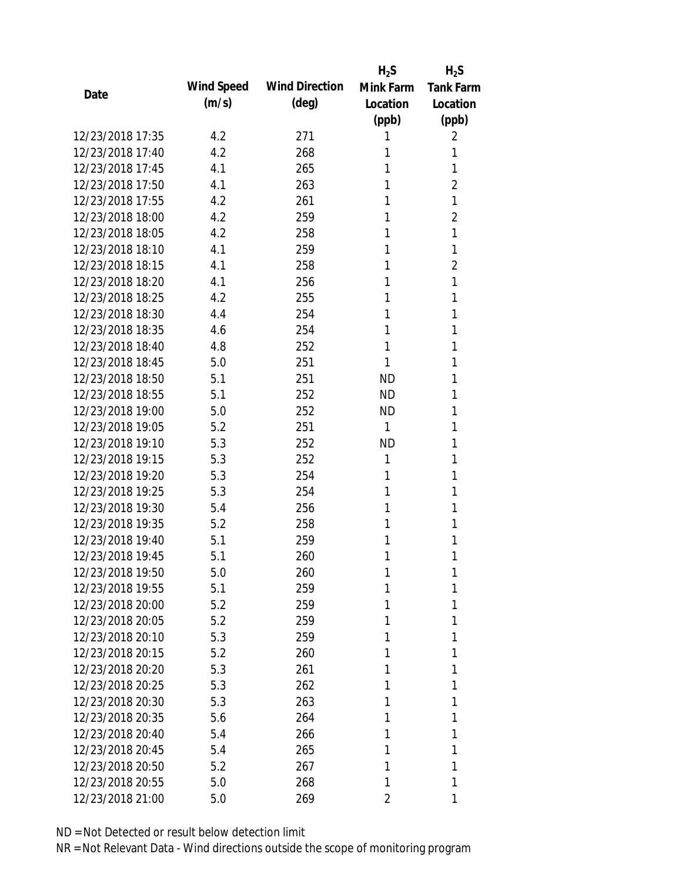|                  |            |                       | $H_2S$    | $H_2S$           |
|------------------|------------|-----------------------|-----------|------------------|
|                  | Wind Speed | <b>Wind Direction</b> | Mink Farm | <b>Tank Farm</b> |
| Date             | (m/s)      | $(\text{deg})$        | Location  | Location         |
|                  |            |                       | (ppb)     | (ppb)            |
| 12/23/2018 17:35 | 4.2        | 271                   | 1         | 2                |
| 12/23/2018 17:40 | 4.2        | 268                   | 1         | 1                |
| 12/23/2018 17:45 | 4.1        | 265                   | 1         | 1                |
| 12/23/2018 17:50 | 4.1        | 263                   | 1         | $\overline{2}$   |
| 12/23/2018 17:55 | 4.2        | 261                   | 1         | 1                |
| 12/23/2018 18:00 | 4.2        | 259                   | 1         | 2                |
| 12/23/2018 18:05 | 4.2        | 258                   | 1         | 1                |
| 12/23/2018 18:10 | 4.1        | 259                   | 1         | 1                |
| 12/23/2018 18:15 | 4.1        | 258                   | 1         | $\overline{2}$   |
| 12/23/2018 18:20 | 4.1        | 256                   | 1         | 1                |
| 12/23/2018 18:25 | 4.2        | 255                   | 1         | 1                |
| 12/23/2018 18:30 | 4.4        | 254                   | 1         | 1                |
| 12/23/2018 18:35 | 4.6        | 254                   | 1         | 1                |
| 12/23/2018 18:40 | 4.8        | 252                   | 1         | 1                |
| 12/23/2018 18:45 | 5.0        | 251                   | 1         | 1                |
| 12/23/2018 18:50 | 5.1        | 251                   | <b>ND</b> | 1                |
| 12/23/2018 18:55 | 5.1        | 252                   | <b>ND</b> | 1                |
| 12/23/2018 19:00 | 5.0        | 252                   | <b>ND</b> | 1                |
| 12/23/2018 19:05 | 5.2        | 251                   | 1         | 1                |
| 12/23/2018 19:10 | 5.3        | 252                   | <b>ND</b> | 1                |
| 12/23/2018 19:15 | 5.3        | 252                   | 1         | 1                |
| 12/23/2018 19:20 | 5.3        | 254                   | 1         | 1                |
| 12/23/2018 19:25 | 5.3        | 254                   | 1         | 1                |
| 12/23/2018 19:30 | 5.4        | 256                   | 1         | 1                |
| 12/23/2018 19:35 | 5.2        | 258                   | 1         | 1                |
| 12/23/2018 19:40 | 5.1        | 259                   | 1         | 1                |
| 12/23/2018 19:45 | 5.1        | 260                   | 1         | 1                |
| 12/23/2018 19:50 | 5.0        | 260                   | 1         | 1                |
| 12/23/2018 19:55 | 5.1        | 259                   | 1         | 1                |
| 12/23/2018 20:00 | 5.2        | 259                   | 1         | 1                |
| 12/23/2018 20:05 | 5.2        | 259                   | 1         | 1                |
| 12/23/2018 20:10 | 5.3        | 259                   | 1         | 1                |
| 12/23/2018 20:15 | 5.2        | 260                   | 1         | 1                |
| 12/23/2018 20:20 | 5.3        | 261                   | 1         | 1                |
| 12/23/2018 20:25 | 5.3        | 262                   | 1         | 1                |
| 12/23/2018 20:30 | 5.3        | 263                   | 1         | 1                |
| 12/23/2018 20:35 | 5.6        | 264                   | 1         | 1                |
| 12/23/2018 20:40 | 5.4        | 266                   | 1         | 1                |
| 12/23/2018 20:45 | 5.4        | 265                   | 1         | 1                |
| 12/23/2018 20:50 | 5.2        | 267                   | 1         | 1                |
| 12/23/2018 20:55 | 5.0        | 268                   | 1         | 1                |
| 12/23/2018 21:00 | 5.0        | 269                   | 2         | 1                |
|                  |            |                       |           |                  |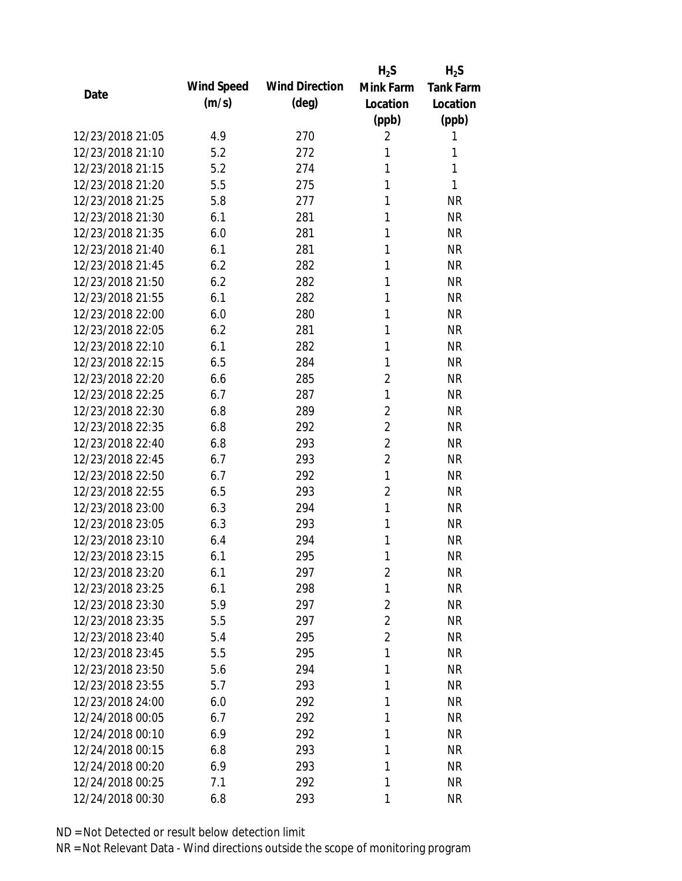|                  |            |                       | $H_2S$         | $H_2S$           |
|------------------|------------|-----------------------|----------------|------------------|
| Date             | Wind Speed | <b>Wind Direction</b> | Mink Farm      | <b>Tank Farm</b> |
|                  | (m/s)      | $(\text{deg})$        | Location       | Location         |
|                  |            |                       | (ppb)          | (ppb)            |
| 12/23/2018 21:05 | 4.9        | 270                   | 2              | 1                |
| 12/23/2018 21:10 | 5.2        | 272                   | 1              | 1                |
| 12/23/2018 21:15 | 5.2        | 274                   | 1              | 1                |
| 12/23/2018 21:20 | 5.5        | 275                   | 1              | 1                |
| 12/23/2018 21:25 | 5.8        | 277                   | 1              | <b>NR</b>        |
| 12/23/2018 21:30 | 6.1        | 281                   | 1              | <b>NR</b>        |
| 12/23/2018 21:35 | 6.0        | 281                   | 1              | <b>NR</b>        |
| 12/23/2018 21:40 | 6.1        | 281                   | 1              | <b>NR</b>        |
| 12/23/2018 21:45 | 6.2        | 282                   | 1              | <b>NR</b>        |
| 12/23/2018 21:50 | 6.2        | 282                   | 1              | <b>NR</b>        |
| 12/23/2018 21:55 | 6.1        | 282                   | 1              | <b>NR</b>        |
| 12/23/2018 22:00 | 6.0        | 280                   | 1              | <b>NR</b>        |
| 12/23/2018 22:05 | 6.2        | 281                   | 1              | <b>NR</b>        |
| 12/23/2018 22:10 | 6.1        | 282                   | 1              | <b>NR</b>        |
| 12/23/2018 22:15 | 6.5        | 284                   | 1              | <b>NR</b>        |
| 12/23/2018 22:20 | 6.6        | 285                   | $\overline{2}$ | <b>NR</b>        |
| 12/23/2018 22:25 | 6.7        | 287                   | 1              | <b>NR</b>        |
| 12/23/2018 22:30 | 6.8        | 289                   | $\overline{2}$ | <b>NR</b>        |
| 12/23/2018 22:35 | 6.8        | 292                   | $\overline{2}$ | <b>NR</b>        |
| 12/23/2018 22:40 | 6.8        | 293                   | $\overline{2}$ | <b>NR</b>        |
| 12/23/2018 22:45 | 6.7        | 293                   | $\overline{2}$ | <b>NR</b>        |
| 12/23/2018 22:50 | 6.7        | 292                   | 1              | <b>NR</b>        |
| 12/23/2018 22:55 | 6.5        | 293                   | $\overline{2}$ | <b>NR</b>        |
| 12/23/2018 23:00 | 6.3        | 294                   | $\mathbf{1}$   | <b>NR</b>        |
| 12/23/2018 23:05 | 6.3        | 293                   | 1              | <b>NR</b>        |
| 12/23/2018 23:10 | 6.4        | 294                   | 1              | <b>NR</b>        |
| 12/23/2018 23:15 | 6.1        | 295                   | 1              | <b>NR</b>        |
| 12/23/2018 23:20 | 6.1        | 297                   | $\overline{2}$ | <b>NR</b>        |
| 12/23/2018 23:25 | 6.1        | 298                   | 1              | <b>NR</b>        |
| 12/23/2018 23:30 | 5.9        | 297                   | $\overline{2}$ | <b>NR</b>        |
| 12/23/2018 23:35 | 5.5        | 297                   | $\overline{2}$ | <b>NR</b>        |
| 12/23/2018 23:40 | 5.4        | 295                   | $\overline{2}$ | <b>NR</b>        |
| 12/23/2018 23:45 | 5.5        | 295                   | 1              | <b>NR</b>        |
| 12/23/2018 23:50 | 5.6        | 294                   | 1              | <b>NR</b>        |
| 12/23/2018 23:55 | 5.7        | 293                   | 1              | <b>NR</b>        |
| 12/23/2018 24:00 | 6.0        | 292                   | 1              | <b>NR</b>        |
| 12/24/2018 00:05 | 6.7        | 292                   | 1              | <b>NR</b>        |
| 12/24/2018 00:10 | 6.9        | 292                   | 1              | <b>NR</b>        |
| 12/24/2018 00:15 | 6.8        | 293                   | 1              | <b>NR</b>        |
| 12/24/2018 00:20 | 6.9        | 293                   | 1              | <b>NR</b>        |
| 12/24/2018 00:25 | 7.1        | 292                   | 1              | <b>NR</b>        |
| 12/24/2018 00:30 | 6.8        | 293                   | 1              | <b>NR</b>        |
|                  |            |                       |                |                  |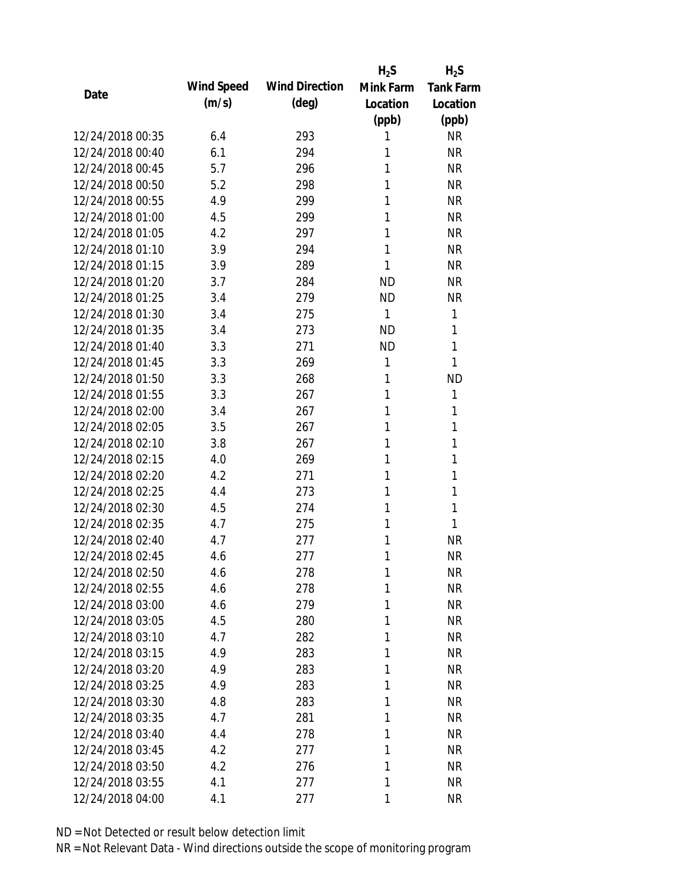|                  |            |                       | $H_2S$    | $H_2S$           |
|------------------|------------|-----------------------|-----------|------------------|
| Date             | Wind Speed | <b>Wind Direction</b> | Mink Farm | <b>Tank Farm</b> |
|                  | (m/s)      | $(\text{deg})$        | Location  | Location         |
|                  |            |                       | (ppb)     | (ppb)            |
| 12/24/2018 00:35 | 6.4        | 293                   | 1         | <b>NR</b>        |
| 12/24/2018 00:40 | 6.1        | 294                   | 1         | <b>NR</b>        |
| 12/24/2018 00:45 | 5.7        | 296                   | 1         | <b>NR</b>        |
| 12/24/2018 00:50 | 5.2        | 298                   | 1         | <b>NR</b>        |
| 12/24/2018 00:55 | 4.9        | 299                   | 1         | <b>NR</b>        |
| 12/24/2018 01:00 | 4.5        | 299                   | 1         | <b>NR</b>        |
| 12/24/2018 01:05 | 4.2        | 297                   | 1         | <b>NR</b>        |
| 12/24/2018 01:10 | 3.9        | 294                   | 1         | <b>NR</b>        |
| 12/24/2018 01:15 | 3.9        | 289                   | 1         | <b>NR</b>        |
| 12/24/2018 01:20 | 3.7        | 284                   | <b>ND</b> | <b>NR</b>        |
| 12/24/2018 01:25 | 3.4        | 279                   | <b>ND</b> | <b>NR</b>        |
| 12/24/2018 01:30 | 3.4        | 275                   | 1         | 1                |
| 12/24/2018 01:35 | 3.4        | 273                   | <b>ND</b> | 1                |
| 12/24/2018 01:40 | 3.3        | 271                   | <b>ND</b> | 1                |
| 12/24/2018 01:45 | 3.3        | 269                   | 1         | 1                |
| 12/24/2018 01:50 | 3.3        | 268                   | 1         | <b>ND</b>        |
| 12/24/2018 01:55 | 3.3        | 267                   | 1         | 1                |
| 12/24/2018 02:00 | 3.4        | 267                   | 1         | 1                |
| 12/24/2018 02:05 | 3.5        | 267                   | 1         | 1                |
| 12/24/2018 02:10 | 3.8        | 267                   | 1         | 1                |
| 12/24/2018 02:15 | 4.0        | 269                   | 1         | 1                |
| 12/24/2018 02:20 | 4.2        | 271                   | 1         | 1                |
| 12/24/2018 02:25 | 4.4        | 273                   | 1         | 1                |
| 12/24/2018 02:30 | 4.5        | 274                   | 1         | 1                |
| 12/24/2018 02:35 | 4.7        | 275                   | 1         | 1                |
| 12/24/2018 02:40 | 4.7        | 277                   | 1         | <b>NR</b>        |
| 12/24/2018 02:45 | 4.6        | 277                   | 1         | <b>NR</b>        |
| 12/24/2018 02:50 | 4.6        | 278                   | 1         | <b>NR</b>        |
| 12/24/2018 02:55 | 4.6        | 278                   | 1         | <b>NR</b>        |
| 12/24/2018 03:00 | 4.6        | 279                   | 1         | <b>NR</b>        |
| 12/24/2018 03:05 | 4.5        | 280                   | 1         | <b>NR</b>        |
| 12/24/2018 03:10 | 4.7        | 282                   | 1         | <b>NR</b>        |
| 12/24/2018 03:15 | 4.9        | 283                   | 1         | <b>NR</b>        |
| 12/24/2018 03:20 | 4.9        | 283                   | 1         | <b>NR</b>        |
| 12/24/2018 03:25 | 4.9        | 283                   | 1         | <b>NR</b>        |
| 12/24/2018 03:30 | 4.8        | 283                   | 1         | <b>NR</b>        |
| 12/24/2018 03:35 | 4.7        | 281                   | 1         | <b>NR</b>        |
| 12/24/2018 03:40 | 4.4        | 278                   | 1         | <b>NR</b>        |
| 12/24/2018 03:45 | 4.2        | 277                   | 1         | <b>NR</b>        |
| 12/24/2018 03:50 | 4.2        | 276                   | 1         | <b>NR</b>        |
| 12/24/2018 03:55 | 4.1        | 277                   | 1         | <b>NR</b>        |
| 12/24/2018 04:00 | 4.1        | 277                   | 1         | <b>NR</b>        |
|                  |            |                       |           |                  |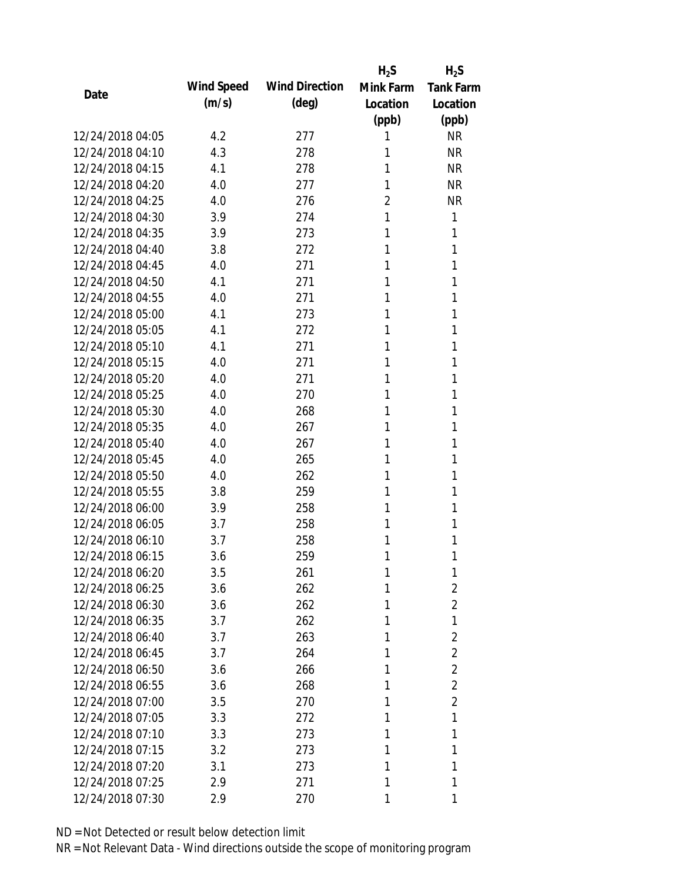|                  |            |                       | $H_2S$         | $H_2S$           |
|------------------|------------|-----------------------|----------------|------------------|
| Date             | Wind Speed | <b>Wind Direction</b> | Mink Farm      | <b>Tank Farm</b> |
|                  | (m/s)      | $(\text{deg})$        | Location       | Location         |
|                  |            |                       | (ppb)          | (ppb)            |
| 12/24/2018 04:05 | 4.2        | 277                   | 1              | <b>NR</b>        |
| 12/24/2018 04:10 | 4.3        | 278                   | 1              | <b>NR</b>        |
| 12/24/2018 04:15 | 4.1        | 278                   | 1              | <b>NR</b>        |
| 12/24/2018 04:20 | 4.0        | 277                   | 1              | <b>NR</b>        |
| 12/24/2018 04:25 | 4.0        | 276                   | $\overline{2}$ | <b>NR</b>        |
| 12/24/2018 04:30 | 3.9        | 274                   | 1              | 1                |
| 12/24/2018 04:35 | 3.9        | 273                   | 1              | 1                |
| 12/24/2018 04:40 | 3.8        | 272                   | 1              | 1                |
| 12/24/2018 04:45 | 4.0        | 271                   | 1              | 1                |
| 12/24/2018 04:50 | 4.1        | 271                   | 1              | 1                |
| 12/24/2018 04:55 | 4.0        | 271                   | 1              | 1                |
| 12/24/2018 05:00 | 4.1        | 273                   | 1              | 1                |
| 12/24/2018 05:05 | 4.1        | 272                   | 1              | 1                |
| 12/24/2018 05:10 | 4.1        | 271                   | 1              | 1                |
| 12/24/2018 05:15 | 4.0        | 271                   | 1              | 1                |
| 12/24/2018 05:20 | 4.0        | 271                   | 1              | 1                |
| 12/24/2018 05:25 | 4.0        | 270                   | 1              | 1                |
| 12/24/2018 05:30 | 4.0        | 268                   | 1              | 1                |
| 12/24/2018 05:35 | 4.0        | 267                   | 1              | 1                |
| 12/24/2018 05:40 | 4.0        | 267                   | 1              | 1                |
| 12/24/2018 05:45 | 4.0        | 265                   | 1              | 1                |
| 12/24/2018 05:50 | 4.0        | 262                   | 1              | 1                |
| 12/24/2018 05:55 | 3.8        | 259                   | 1              | 1                |
| 12/24/2018 06:00 | 3.9        | 258                   | 1              | 1                |
| 12/24/2018 06:05 | 3.7        | 258                   | 1              | 1                |
| 12/24/2018 06:10 | 3.7        | 258                   | 1              | 1                |
| 12/24/2018 06:15 | 3.6        | 259                   | 1              | 1                |
| 12/24/2018 06:20 | 3.5        | 261                   | 1              | 1                |
| 12/24/2018 06:25 | 3.6        | 262                   | 1              | 2                |
| 12/24/2018 06:30 | 3.6        | 262                   | 1              | $\overline{2}$   |
| 12/24/2018 06:35 | 3.7        | 262                   | 1              | 1                |
| 12/24/2018 06:40 | 3.7        | 263                   | 1              | $\overline{2}$   |
| 12/24/2018 06:45 | 3.7        | 264                   | 1              | $\overline{2}$   |
| 12/24/2018 06:50 | 3.6        | 266                   | 1              | $\overline{2}$   |
| 12/24/2018 06:55 | 3.6        | 268                   | 1              | $\overline{2}$   |
| 12/24/2018 07:00 | 3.5        | 270                   | 1              | $\overline{2}$   |
| 12/24/2018 07:05 | 3.3        | 272                   | 1              | 1                |
| 12/24/2018 07:10 | 3.3        | 273                   | 1              | 1                |
| 12/24/2018 07:15 | 3.2        | 273                   | 1              | 1                |
| 12/24/2018 07:20 | 3.1        | 273                   | 1              | 1                |
| 12/24/2018 07:25 | 2.9        | 271                   | 1              | 1                |
| 12/24/2018 07:30 | 2.9        | 270                   | 1              | 1                |
|                  |            |                       |                |                  |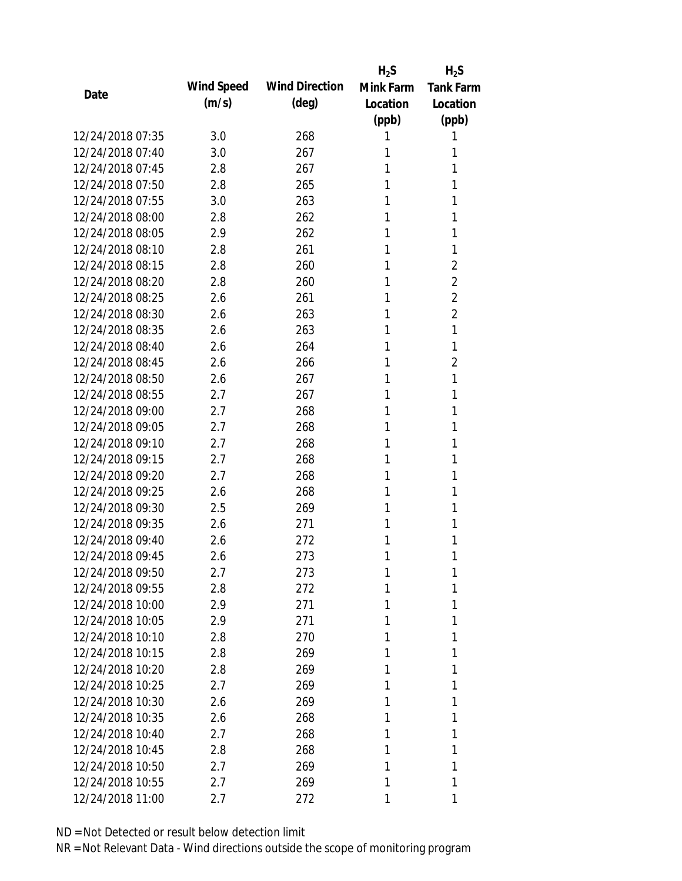|                  |            |                       | $H_2S$    | $H_2S$           |
|------------------|------------|-----------------------|-----------|------------------|
| Date             | Wind Speed | <b>Wind Direction</b> | Mink Farm | <b>Tank Farm</b> |
|                  | (m/s)      | $(\text{deg})$        | Location  | Location         |
|                  |            |                       | (ppb)     | (ppb)            |
| 12/24/2018 07:35 | 3.0        | 268                   | 1         | 1                |
| 12/24/2018 07:40 | 3.0        | 267                   | 1         | 1                |
| 12/24/2018 07:45 | 2.8        | 267                   | 1         | 1                |
| 12/24/2018 07:50 | 2.8        | 265                   | 1         | 1                |
| 12/24/2018 07:55 | 3.0        | 263                   | 1         | 1                |
| 12/24/2018 08:00 | 2.8        | 262                   | 1         | 1                |
| 12/24/2018 08:05 | 2.9        | 262                   | 1         | 1                |
| 12/24/2018 08:10 | 2.8        | 261                   | 1         | 1                |
| 12/24/2018 08:15 | 2.8        | 260                   | 1         | $\overline{2}$   |
| 12/24/2018 08:20 | 2.8        | 260                   | 1         | $\overline{2}$   |
| 12/24/2018 08:25 | 2.6        | 261                   | 1         | $\overline{2}$   |
| 12/24/2018 08:30 | 2.6        | 263                   | 1         | $\overline{2}$   |
| 12/24/2018 08:35 | 2.6        | 263                   | 1         | 1                |
| 12/24/2018 08:40 | 2.6        | 264                   | 1         | 1                |
| 12/24/2018 08:45 | 2.6        | 266                   | 1         | $\overline{2}$   |
| 12/24/2018 08:50 | 2.6        | 267                   | 1         | 1                |
| 12/24/2018 08:55 | 2.7        | 267                   | 1         | 1                |
| 12/24/2018 09:00 | 2.7        | 268                   | 1         | 1                |
| 12/24/2018 09:05 | 2.7        | 268                   | 1         | 1                |
| 12/24/2018 09:10 | 2.7        | 268                   | 1         | 1                |
| 12/24/2018 09:15 | 2.7        | 268                   | 1         | 1                |
| 12/24/2018 09:20 | 2.7        | 268                   | 1         | 1                |
| 12/24/2018 09:25 | 2.6        | 268                   | 1         | 1                |
| 12/24/2018 09:30 | 2.5        | 269                   | 1         | 1                |
| 12/24/2018 09:35 | 2.6        | 271                   | 1         | 1                |
| 12/24/2018 09:40 | 2.6        | 272                   | 1         | 1                |
| 12/24/2018 09:45 | 2.6        | 273                   | 1         | 1                |
| 12/24/2018 09:50 | 2.7        | 273                   | 1         | 1                |
| 12/24/2018 09:55 | 2.8        | 272                   | 1         | 1                |
| 12/24/2018 10:00 | 2.9        | 271                   | 1         | 1                |
| 12/24/2018 10:05 | 2.9        | 271                   | 1         | 1                |
| 12/24/2018 10:10 | 2.8        | 270                   | 1         | 1                |
| 12/24/2018 10:15 | 2.8        | 269                   | 1         | 1                |
| 12/24/2018 10:20 | 2.8        | 269                   | 1         | 1                |
| 12/24/2018 10:25 | 2.7        | 269                   | 1         | 1                |
| 12/24/2018 10:30 | 2.6        | 269                   | 1         | 1                |
| 12/24/2018 10:35 | 2.6        | 268                   | 1         | 1                |
| 12/24/2018 10:40 | 2.7        | 268                   | 1         | 1                |
| 12/24/2018 10:45 | 2.8        | 268                   | 1         | 1                |
| 12/24/2018 10:50 | 2.7        | 269                   | 1         | 1                |
| 12/24/2018 10:55 | 2.7        | 269                   | 1         | 1                |
|                  |            |                       |           |                  |
| 12/24/2018 11:00 | 2.7        | 272                   | 1         | 1                |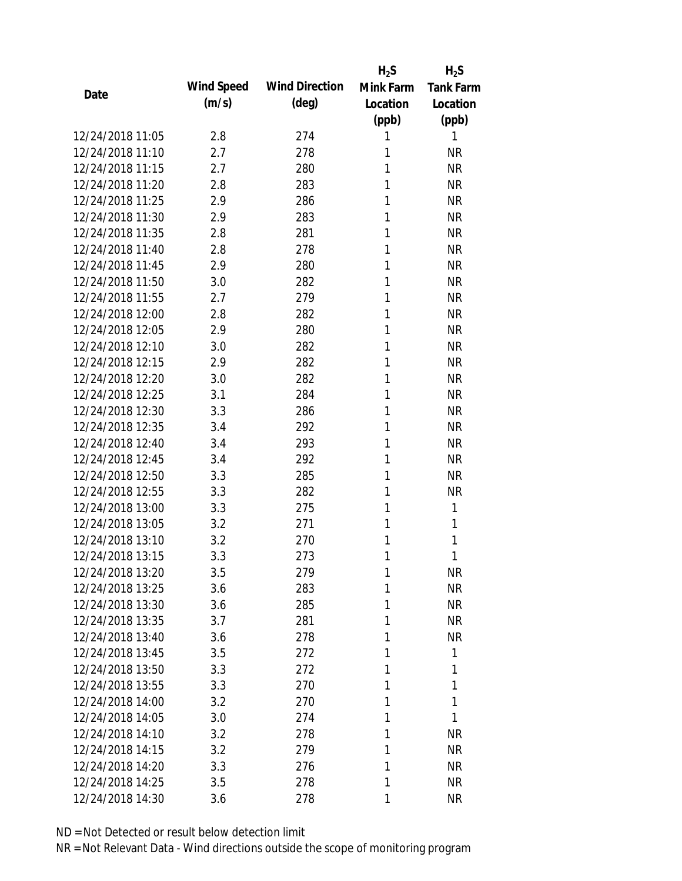|                  |            |                       | $H_2S$    | $H_2S$           |
|------------------|------------|-----------------------|-----------|------------------|
| Date             | Wind Speed | <b>Wind Direction</b> | Mink Farm | <b>Tank Farm</b> |
|                  | (m/s)      | $(\text{deg})$        | Location  | Location         |
|                  |            |                       | (ppb)     | (ppb)            |
| 12/24/2018 11:05 | 2.8        | 274                   | 1         | 1                |
| 12/24/2018 11:10 | 2.7        | 278                   | 1         | <b>NR</b>        |
| 12/24/2018 11:15 | 2.7        | 280                   | 1         | <b>NR</b>        |
| 12/24/2018 11:20 | 2.8        | 283                   | 1         | <b>NR</b>        |
| 12/24/2018 11:25 | 2.9        | 286                   | 1         | <b>NR</b>        |
| 12/24/2018 11:30 | 2.9        | 283                   | 1         | <b>NR</b>        |
| 12/24/2018 11:35 | 2.8        | 281                   | 1         | <b>NR</b>        |
| 12/24/2018 11:40 | 2.8        | 278                   | 1         | <b>NR</b>        |
| 12/24/2018 11:45 | 2.9        | 280                   | 1         | <b>NR</b>        |
| 12/24/2018 11:50 | 3.0        | 282                   | 1         | <b>NR</b>        |
| 12/24/2018 11:55 | 2.7        | 279                   | 1         | <b>NR</b>        |
| 12/24/2018 12:00 | 2.8        | 282                   | 1         | <b>NR</b>        |
| 12/24/2018 12:05 | 2.9        | 280                   | 1         | <b>NR</b>        |
| 12/24/2018 12:10 | 3.0        | 282                   | 1         | <b>NR</b>        |
| 12/24/2018 12:15 | 2.9        | 282                   | 1         | <b>NR</b>        |
| 12/24/2018 12:20 | 3.0        | 282                   | 1         | <b>NR</b>        |
| 12/24/2018 12:25 | 3.1        | 284                   | 1         | <b>NR</b>        |
| 12/24/2018 12:30 | 3.3        | 286                   | 1         | <b>NR</b>        |
| 12/24/2018 12:35 | 3.4        | 292                   | 1         | <b>NR</b>        |
| 12/24/2018 12:40 | 3.4        | 293                   | 1         | <b>NR</b>        |
| 12/24/2018 12:45 | 3.4        | 292                   | 1         | <b>NR</b>        |
| 12/24/2018 12:50 | 3.3        | 285                   | 1         | <b>NR</b>        |
| 12/24/2018 12:55 | 3.3        | 282                   | 1         | <b>NR</b>        |
| 12/24/2018 13:00 | 3.3        | 275                   | 1         | 1                |
| 12/24/2018 13:05 | 3.2        | 271                   | 1         | 1                |
| 12/24/2018 13:10 | 3.2        | 270                   | 1         | 1                |
| 12/24/2018 13:15 | 3.3        | 273                   | 1         | 1                |
| 12/24/2018 13:20 | 3.5        | 279                   | 1         | <b>NR</b>        |
| 12/24/2018 13:25 | 3.6        | 283                   | 1         | <b>NR</b>        |
| 12/24/2018 13:30 | 3.6        | 285                   | 1         | <b>NR</b>        |
| 12/24/2018 13:35 | 3.7        | 281                   | 1         | <b>NR</b>        |
| 12/24/2018 13:40 | 3.6        | 278                   | 1         | NR               |
| 12/24/2018 13:45 | 3.5        | 272                   | 1         | 1                |
| 12/24/2018 13:50 | 3.3        | 272                   | 1         | 1                |
| 12/24/2018 13:55 | 3.3        | 270                   | 1         | 1                |
| 12/24/2018 14:00 | 3.2        | 270                   | 1         | 1                |
| 12/24/2018 14:05 | 3.0        | 274                   | 1         | 1                |
| 12/24/2018 14:10 | 3.2        | 278                   | 1         | <b>NR</b>        |
| 12/24/2018 14:15 | 3.2        | 279                   | 1         | <b>NR</b>        |
| 12/24/2018 14:20 | 3.3        | 276                   | 1         | NR               |
| 12/24/2018 14:25 | 3.5        | 278                   | 1         | <b>NR</b>        |
| 12/24/2018 14:30 | 3.6        | 278                   | 1         | <b>NR</b>        |
|                  |            |                       |           |                  |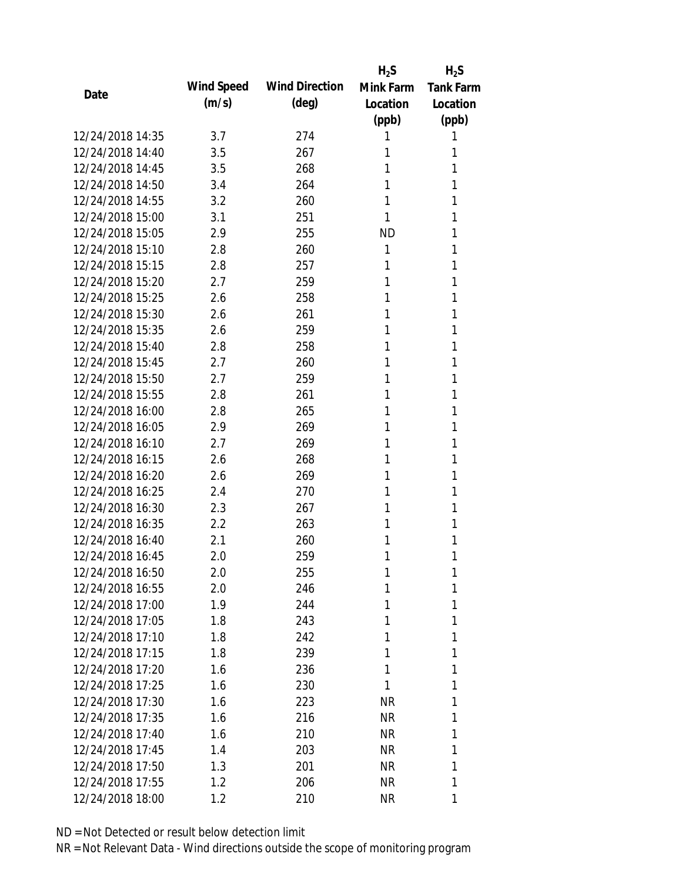|                  |            |                       | $H_2S$    | $H_2S$           |
|------------------|------------|-----------------------|-----------|------------------|
| Date             | Wind Speed | <b>Wind Direction</b> | Mink Farm | <b>Tank Farm</b> |
|                  | (m/s)      | $(\text{deg})$        | Location  | Location         |
|                  |            |                       | (ppb)     | (ppb)            |
| 12/24/2018 14:35 | 3.7        | 274                   | 1         | 1                |
| 12/24/2018 14:40 | 3.5        | 267                   | 1         | 1                |
| 12/24/2018 14:45 | 3.5        | 268                   | 1         | 1                |
| 12/24/2018 14:50 | 3.4        | 264                   | 1         | 1                |
| 12/24/2018 14:55 | 3.2        | 260                   | 1         | 1                |
| 12/24/2018 15:00 | 3.1        | 251                   | 1         | 1                |
| 12/24/2018 15:05 | 2.9        | 255                   | <b>ND</b> | 1                |
| 12/24/2018 15:10 | 2.8        | 260                   | 1         | 1                |
| 12/24/2018 15:15 | 2.8        | 257                   | 1         | 1                |
| 12/24/2018 15:20 | 2.7        | 259                   | 1         | 1                |
| 12/24/2018 15:25 | 2.6        | 258                   | 1         | 1                |
| 12/24/2018 15:30 | 2.6        | 261                   | 1         | 1                |
| 12/24/2018 15:35 | 2.6        | 259                   | 1         | 1                |
| 12/24/2018 15:40 | 2.8        | 258                   | 1         | 1                |
| 12/24/2018 15:45 | 2.7        | 260                   | 1         | 1                |
| 12/24/2018 15:50 | 2.7        | 259                   | 1         | 1                |
| 12/24/2018 15:55 | 2.8        | 261                   | 1         | 1                |
| 12/24/2018 16:00 | 2.8        | 265                   | 1         | 1                |
| 12/24/2018 16:05 | 2.9        | 269                   | 1         | 1                |
| 12/24/2018 16:10 | 2.7        | 269                   | 1         | 1                |
| 12/24/2018 16:15 | 2.6        | 268                   | 1         | 1                |
| 12/24/2018 16:20 | 2.6        | 269                   | 1         | 1                |
| 12/24/2018 16:25 | 2.4        | 270                   | 1         | 1                |
| 12/24/2018 16:30 | 2.3        | 267                   | 1         | 1                |
| 12/24/2018 16:35 | 2.2        | 263                   | 1         | 1                |
| 12/24/2018 16:40 | 2.1        | 260                   | 1         | 1                |
| 12/24/2018 16:45 | 2.0        | 259                   | 1         | 1                |
| 12/24/2018 16:50 | 2.0        | 255                   | 1         | 1                |
| 12/24/2018 16:55 | 2.0        | 246                   | 1         | 1                |
| 12/24/2018 17:00 | 1.9        | 244                   | 1         | 1                |
| 12/24/2018 17:05 | 1.8        | 243                   | 1         | 1                |
| 12/24/2018 17:10 | 1.8        | 242                   | 1         | 1                |
| 12/24/2018 17:15 | 1.8        | 239                   | 1         | 1                |
| 12/24/2018 17:20 | 1.6        | 236                   | 1         | 1                |
| 12/24/2018 17:25 | 1.6        | 230                   | 1         | 1                |
| 12/24/2018 17:30 | 1.6        | 223                   | <b>NR</b> | 1                |
| 12/24/2018 17:35 | 1.6        | 216                   | <b>NR</b> | 1                |
| 12/24/2018 17:40 | 1.6        | 210                   | <b>NR</b> | 1                |
| 12/24/2018 17:45 | 1.4        | 203                   | NR        | 1                |
| 12/24/2018 17:50 | 1.3        | 201                   | <b>NR</b> | 1                |
| 12/24/2018 17:55 | 1.2        | 206                   | <b>NR</b> | 1                |
| 12/24/2018 18:00 | 1.2        | 210                   | <b>NR</b> | 1                |
|                  |            |                       |           |                  |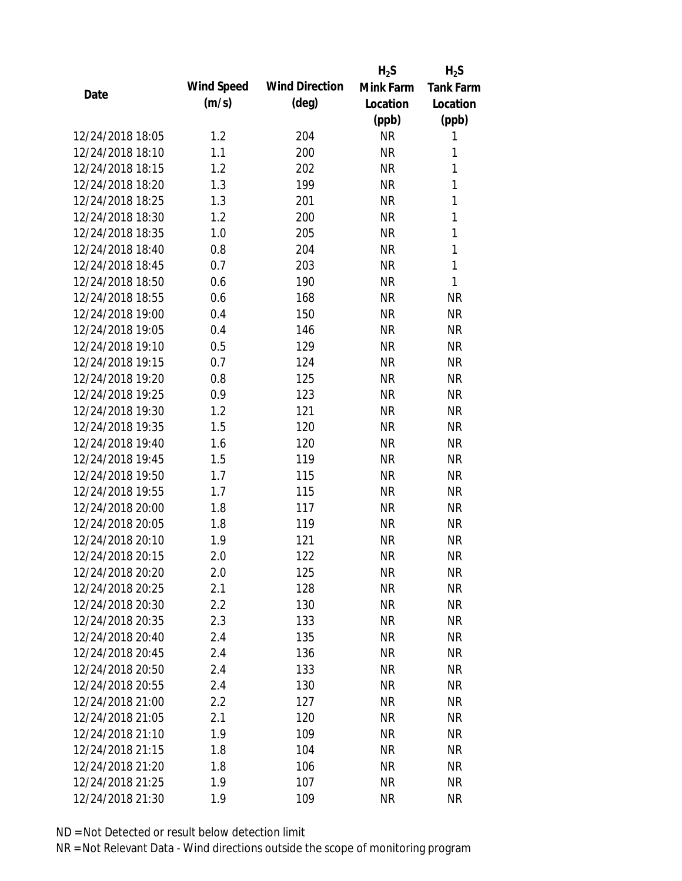|                  |            |                       | $H_2S$    | $H_2S$           |
|------------------|------------|-----------------------|-----------|------------------|
| Date             | Wind Speed | <b>Wind Direction</b> | Mink Farm | <b>Tank Farm</b> |
|                  | (m/s)      | $(\text{deg})$        | Location  | Location         |
|                  |            |                       | (ppb)     | (ppb)            |
| 12/24/2018 18:05 | 1.2        | 204                   | <b>NR</b> | 1                |
| 12/24/2018 18:10 | 1.1        | 200                   | <b>NR</b> | 1                |
| 12/24/2018 18:15 | 1.2        | 202                   | <b>NR</b> | 1                |
| 12/24/2018 18:20 | 1.3        | 199                   | <b>NR</b> | 1                |
| 12/24/2018 18:25 | 1.3        | 201                   | <b>NR</b> | 1                |
| 12/24/2018 18:30 | 1.2        | 200                   | <b>NR</b> | 1                |
| 12/24/2018 18:35 | 1.0        | 205                   | <b>NR</b> | 1                |
| 12/24/2018 18:40 | 0.8        | 204                   | <b>NR</b> | 1                |
| 12/24/2018 18:45 | 0.7        | 203                   | <b>NR</b> | 1                |
| 12/24/2018 18:50 | 0.6        | 190                   | <b>NR</b> | 1                |
| 12/24/2018 18:55 | 0.6        | 168                   | <b>NR</b> | <b>NR</b>        |
| 12/24/2018 19:00 | 0.4        | 150                   | <b>NR</b> | <b>NR</b>        |
| 12/24/2018 19:05 | 0.4        | 146                   | <b>NR</b> | <b>NR</b>        |
| 12/24/2018 19:10 | 0.5        | 129                   | <b>NR</b> | <b>NR</b>        |
| 12/24/2018 19:15 | 0.7        | 124                   | <b>NR</b> | <b>NR</b>        |
| 12/24/2018 19:20 | 0.8        | 125                   | <b>NR</b> | <b>NR</b>        |
| 12/24/2018 19:25 | 0.9        | 123                   | <b>NR</b> | <b>NR</b>        |
| 12/24/2018 19:30 | 1.2        | 121                   | <b>NR</b> | <b>NR</b>        |
| 12/24/2018 19:35 | 1.5        | 120                   | <b>NR</b> | <b>NR</b>        |
| 12/24/2018 19:40 | 1.6        | 120                   | <b>NR</b> | <b>NR</b>        |
| 12/24/2018 19:45 | 1.5        | 119                   | <b>NR</b> | <b>NR</b>        |
| 12/24/2018 19:50 | 1.7        | 115                   | <b>NR</b> | <b>NR</b>        |
| 12/24/2018 19:55 | 1.7        | 115                   | <b>NR</b> | <b>NR</b>        |
| 12/24/2018 20:00 | 1.8        | 117                   | <b>NR</b> | <b>NR</b>        |
| 12/24/2018 20:05 | 1.8        | 119                   | <b>NR</b> | <b>NR</b>        |
| 12/24/2018 20:10 | 1.9        | 121                   | <b>NR</b> | <b>NR</b>        |
| 12/24/2018 20:15 | 2.0        | 122                   | <b>NR</b> | <b>NR</b>        |
| 12/24/2018 20:20 | 2.0        | 125                   | <b>NR</b> | <b>NR</b>        |
| 12/24/2018 20:25 | 2.1        | 128                   | <b>NR</b> | <b>NR</b>        |
| 12/24/2018 20:30 | 2.2        | 130                   | <b>NR</b> | <b>NR</b>        |
| 12/24/2018 20:35 | 2.3        | 133                   | <b>NR</b> | <b>NR</b>        |
| 12/24/2018 20:40 | 2.4        | 135                   | <b>NR</b> | <b>NR</b>        |
| 12/24/2018 20:45 | 2.4        | 136                   | <b>NR</b> | <b>NR</b>        |
| 12/24/2018 20:50 | 2.4        | 133                   | <b>NR</b> | <b>NR</b>        |
| 12/24/2018 20:55 | 2.4        | 130                   | <b>NR</b> | <b>NR</b>        |
| 12/24/2018 21:00 | 2.2        | 127                   | <b>NR</b> | <b>NR</b>        |
| 12/24/2018 21:05 | 2.1        | 120                   | <b>NR</b> | <b>NR</b>        |
| 12/24/2018 21:10 | 1.9        | 109                   | <b>NR</b> | <b>NR</b>        |
| 12/24/2018 21:15 | 1.8        | 104                   | <b>NR</b> | <b>NR</b>        |
| 12/24/2018 21:20 | 1.8        | 106                   | <b>NR</b> | <b>NR</b>        |
| 12/24/2018 21:25 | 1.9        | 107                   | <b>NR</b> | <b>NR</b>        |
| 12/24/2018 21:30 | 1.9        | 109                   | <b>NR</b> | <b>NR</b>        |
|                  |            |                       |           |                  |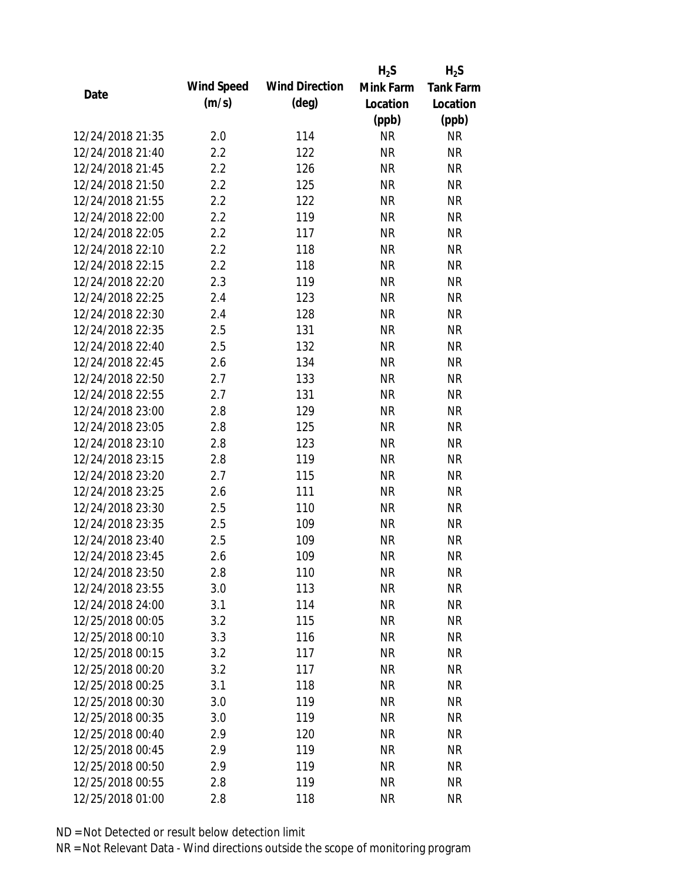|                  |            |                       | $H_2S$    | $H_2S$           |
|------------------|------------|-----------------------|-----------|------------------|
|                  | Wind Speed | <b>Wind Direction</b> | Mink Farm | <b>Tank Farm</b> |
| Date             | (m/s)      | $(\text{deg})$        | Location  | Location         |
|                  |            |                       | (ppb)     | (ppb)            |
| 12/24/2018 21:35 | 2.0        | 114                   | <b>NR</b> | <b>NR</b>        |
| 12/24/2018 21:40 | 2.2        | 122                   | <b>NR</b> | <b>NR</b>        |
| 12/24/2018 21:45 | 2.2        | 126                   | <b>NR</b> | <b>NR</b>        |
| 12/24/2018 21:50 | 2.2        | 125                   | <b>NR</b> | <b>NR</b>        |
| 12/24/2018 21:55 | 2.2        | 122                   | <b>NR</b> | <b>NR</b>        |
| 12/24/2018 22:00 | 2.2        | 119                   | <b>NR</b> | <b>NR</b>        |
| 12/24/2018 22:05 | 2.2        | 117                   | <b>NR</b> | <b>NR</b>        |
| 12/24/2018 22:10 | 2.2        | 118                   | <b>NR</b> | <b>NR</b>        |
| 12/24/2018 22:15 | 2.2        | 118                   | <b>NR</b> | <b>NR</b>        |
| 12/24/2018 22:20 | 2.3        | 119                   | <b>NR</b> | <b>NR</b>        |
| 12/24/2018 22:25 | 2.4        | 123                   | <b>NR</b> | <b>NR</b>        |
| 12/24/2018 22:30 | 2.4        | 128                   | <b>NR</b> | <b>NR</b>        |
| 12/24/2018 22:35 | 2.5        | 131                   | <b>NR</b> | <b>NR</b>        |
| 12/24/2018 22:40 | 2.5        | 132                   | <b>NR</b> | <b>NR</b>        |
| 12/24/2018 22:45 | 2.6        | 134                   | <b>NR</b> | <b>NR</b>        |
| 12/24/2018 22:50 | 2.7        | 133                   | <b>NR</b> | <b>NR</b>        |
| 12/24/2018 22:55 | 2.7        | 131                   | <b>NR</b> | <b>NR</b>        |
| 12/24/2018 23:00 | 2.8        | 129                   | <b>NR</b> | <b>NR</b>        |
| 12/24/2018 23:05 | 2.8        | 125                   | <b>NR</b> | <b>NR</b>        |
| 12/24/2018 23:10 | 2.8        | 123                   | <b>NR</b> | <b>NR</b>        |
| 12/24/2018 23:15 | 2.8        | 119                   | <b>NR</b> | <b>NR</b>        |
| 12/24/2018 23:20 | 2.7        | 115                   | <b>NR</b> | <b>NR</b>        |
| 12/24/2018 23:25 | 2.6        | 111                   | <b>NR</b> | <b>NR</b>        |
| 12/24/2018 23:30 | 2.5        | 110                   | <b>NR</b> | <b>NR</b>        |
| 12/24/2018 23:35 | 2.5        | 109                   | <b>NR</b> | <b>NR</b>        |
| 12/24/2018 23:40 | 2.5        | 109                   | <b>NR</b> | <b>NR</b>        |
| 12/24/2018 23:45 | 2.6        | 109                   | <b>NR</b> | <b>NR</b>        |
| 12/24/2018 23:50 | 2.8        | 110                   | <b>NR</b> | <b>NR</b>        |
| 12/24/2018 23:55 | 3.0        | 113                   | <b>NR</b> | <b>NR</b>        |
| 12/24/2018 24:00 | 3.1        | 114                   | <b>NR</b> | <b>NR</b>        |
| 12/25/2018 00:05 | 3.2        | 115                   | <b>NR</b> | <b>NR</b>        |
| 12/25/2018 00:10 | 3.3        | 116                   | <b>NR</b> | <b>NR</b>        |
| 12/25/2018 00:15 | 3.2        | 117                   | <b>NR</b> | <b>NR</b>        |
| 12/25/2018 00:20 | 3.2        | 117                   | <b>NR</b> | <b>NR</b>        |
| 12/25/2018 00:25 | 3.1        | 118                   | <b>NR</b> | <b>NR</b>        |
| 12/25/2018 00:30 | 3.0        | 119                   | <b>NR</b> | <b>NR</b>        |
| 12/25/2018 00:35 | 3.0        | 119                   | <b>NR</b> | <b>NR</b>        |
| 12/25/2018 00:40 | 2.9        | 120                   | <b>NR</b> | <b>NR</b>        |
| 12/25/2018 00:45 | 2.9        | 119                   | <b>NR</b> | <b>NR</b>        |
| 12/25/2018 00:50 | 2.9        | 119                   | <b>NR</b> | <b>NR</b>        |
| 12/25/2018 00:55 | 2.8        | 119                   | <b>NR</b> | <b>NR</b>        |
| 12/25/2018 01:00 | 2.8        | 118                   | <b>NR</b> | <b>NR</b>        |
|                  |            |                       |           |                  |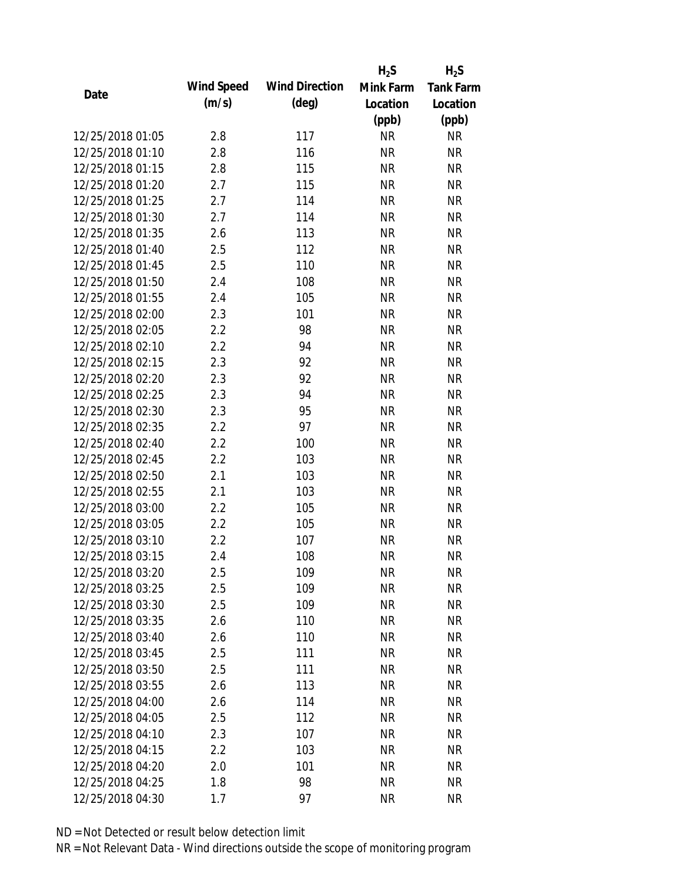|                  |            |                       | $H_2S$    | $H_2S$           |
|------------------|------------|-----------------------|-----------|------------------|
|                  | Wind Speed | <b>Wind Direction</b> | Mink Farm | <b>Tank Farm</b> |
| Date             | (m/s)      | $(\text{deg})$        | Location  | Location         |
|                  |            |                       | (ppb)     | (ppb)            |
| 12/25/2018 01:05 | 2.8        | 117                   | <b>NR</b> | <b>NR</b>        |
| 12/25/2018 01:10 | 2.8        | 116                   | <b>NR</b> | <b>NR</b>        |
| 12/25/2018 01:15 | 2.8        | 115                   | <b>NR</b> | <b>NR</b>        |
| 12/25/2018 01:20 | 2.7        | 115                   | <b>NR</b> | <b>NR</b>        |
| 12/25/2018 01:25 | 2.7        | 114                   | <b>NR</b> | <b>NR</b>        |
| 12/25/2018 01:30 | 2.7        | 114                   | <b>NR</b> | <b>NR</b>        |
| 12/25/2018 01:35 | 2.6        | 113                   | <b>NR</b> | <b>NR</b>        |
| 12/25/2018 01:40 | 2.5        | 112                   | <b>NR</b> | <b>NR</b>        |
| 12/25/2018 01:45 | 2.5        | 110                   | <b>NR</b> | <b>NR</b>        |
| 12/25/2018 01:50 | 2.4        | 108                   | <b>NR</b> | <b>NR</b>        |
| 12/25/2018 01:55 | 2.4        | 105                   | <b>NR</b> | <b>NR</b>        |
| 12/25/2018 02:00 | 2.3        | 101                   | <b>NR</b> | <b>NR</b>        |
| 12/25/2018 02:05 | 2.2        | 98                    | <b>NR</b> | <b>NR</b>        |
| 12/25/2018 02:10 | 2.2        | 94                    | <b>NR</b> | <b>NR</b>        |
| 12/25/2018 02:15 | 2.3        | 92                    | <b>NR</b> | <b>NR</b>        |
| 12/25/2018 02:20 | 2.3        | 92                    | <b>NR</b> | <b>NR</b>        |
| 12/25/2018 02:25 | 2.3        | 94                    | <b>NR</b> | <b>NR</b>        |
| 12/25/2018 02:30 | 2.3        | 95                    | <b>NR</b> | <b>NR</b>        |
| 12/25/2018 02:35 | 2.2        | 97                    | <b>NR</b> | <b>NR</b>        |
| 12/25/2018 02:40 | 2.2        | 100                   | <b>NR</b> | <b>NR</b>        |
| 12/25/2018 02:45 | 2.2        | 103                   | <b>NR</b> | <b>NR</b>        |
| 12/25/2018 02:50 | 2.1        | 103                   | <b>NR</b> | <b>NR</b>        |
| 12/25/2018 02:55 | 2.1        | 103                   | <b>NR</b> | <b>NR</b>        |
| 12/25/2018 03:00 | 2.2        | 105                   | <b>NR</b> | <b>NR</b>        |
| 12/25/2018 03:05 | 2.2        | 105                   | <b>NR</b> | <b>NR</b>        |
| 12/25/2018 03:10 | 2.2        | 107                   | <b>NR</b> | <b>NR</b>        |
| 12/25/2018 03:15 | 2.4        | 108                   | <b>NR</b> | <b>NR</b>        |
| 12/25/2018 03:20 | 2.5        | 109                   | <b>NR</b> | <b>NR</b>        |
| 12/25/2018 03:25 | 2.5        | 109                   | <b>NR</b> | <b>NR</b>        |
| 12/25/2018 03:30 | 2.5        | 109                   | <b>NR</b> | <b>NR</b>        |
| 12/25/2018 03:35 | 2.6        | 110                   | <b>NR</b> | <b>NR</b>        |
| 12/25/2018 03:40 | 2.6        | 110                   | <b>NR</b> | <b>NR</b>        |
| 12/25/2018 03:45 | 2.5        | 111                   | <b>NR</b> | <b>NR</b>        |
| 12/25/2018 03:50 | 2.5        | 111                   | <b>NR</b> | <b>NR</b>        |
| 12/25/2018 03:55 | 2.6        | 113                   | <b>NR</b> | <b>NR</b>        |
| 12/25/2018 04:00 | 2.6        | 114                   | <b>NR</b> | <b>NR</b>        |
| 12/25/2018 04:05 | 2.5        | 112                   | <b>NR</b> | <b>NR</b>        |
| 12/25/2018 04:10 | 2.3        | 107                   | <b>NR</b> | <b>NR</b>        |
| 12/25/2018 04:15 | 2.2        | 103                   | <b>NR</b> | <b>NR</b>        |
| 12/25/2018 04:20 | 2.0        | 101                   | <b>NR</b> | <b>NR</b>        |
| 12/25/2018 04:25 | 1.8        | 98                    | <b>NR</b> | <b>NR</b>        |
| 12/25/2018 04:30 | 1.7        | 97                    | <b>NR</b> | <b>NR</b>        |
|                  |            |                       |           |                  |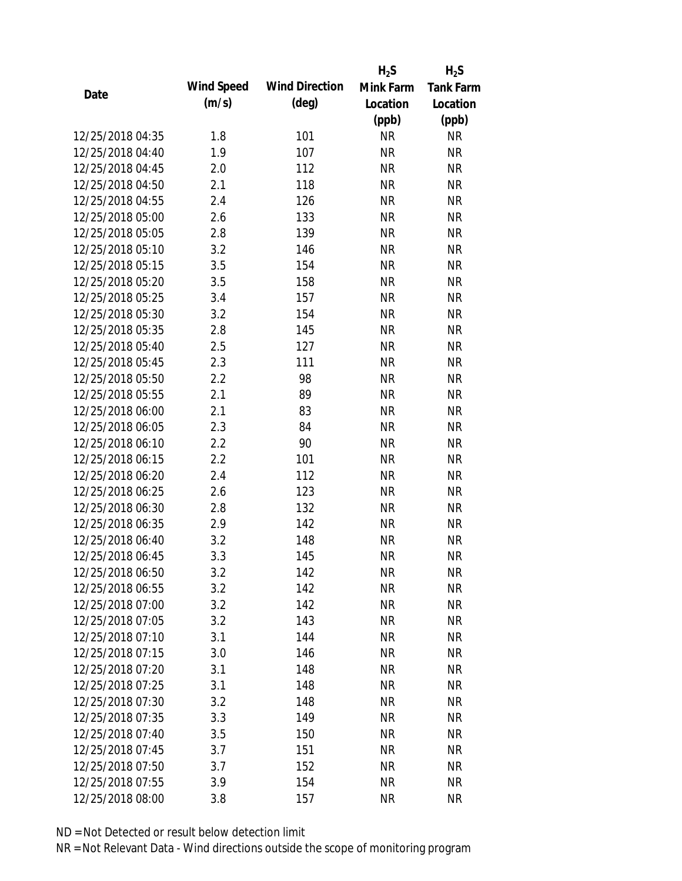|                  |            |                       | $H_2S$    | $H_2S$           |
|------------------|------------|-----------------------|-----------|------------------|
| Date             | Wind Speed | <b>Wind Direction</b> | Mink Farm | <b>Tank Farm</b> |
|                  | (m/s)      | $(\text{deg})$        | Location  | Location         |
|                  |            |                       | (ppb)     | (ppb)            |
| 12/25/2018 04:35 | 1.8        | 101                   | <b>NR</b> | NR               |
| 12/25/2018 04:40 | 1.9        | 107                   | <b>NR</b> | <b>NR</b>        |
| 12/25/2018 04:45 | 2.0        | 112                   | <b>NR</b> | <b>NR</b>        |
| 12/25/2018 04:50 | 2.1        | 118                   | <b>NR</b> | <b>NR</b>        |
| 12/25/2018 04:55 | 2.4        | 126                   | <b>NR</b> | <b>NR</b>        |
| 12/25/2018 05:00 | 2.6        | 133                   | <b>NR</b> | <b>NR</b>        |
| 12/25/2018 05:05 | 2.8        | 139                   | <b>NR</b> | <b>NR</b>        |
| 12/25/2018 05:10 | 3.2        | 146                   | <b>NR</b> | <b>NR</b>        |
| 12/25/2018 05:15 | 3.5        | 154                   | <b>NR</b> | <b>NR</b>        |
| 12/25/2018 05:20 | 3.5        | 158                   | <b>NR</b> | <b>NR</b>        |
| 12/25/2018 05:25 | 3.4        | 157                   | <b>NR</b> | <b>NR</b>        |
| 12/25/2018 05:30 | 3.2        | 154                   | <b>NR</b> | <b>NR</b>        |
| 12/25/2018 05:35 | 2.8        | 145                   | <b>NR</b> | <b>NR</b>        |
| 12/25/2018 05:40 | 2.5        | 127                   | <b>NR</b> | <b>NR</b>        |
| 12/25/2018 05:45 | 2.3        | 111                   | <b>NR</b> | <b>NR</b>        |
| 12/25/2018 05:50 | 2.2        | 98                    | <b>NR</b> | <b>NR</b>        |
| 12/25/2018 05:55 | 2.1        | 89                    | <b>NR</b> | <b>NR</b>        |
| 12/25/2018 06:00 | 2.1        | 83                    | <b>NR</b> | <b>NR</b>        |
| 12/25/2018 06:05 | 2.3        | 84                    | <b>NR</b> | <b>NR</b>        |
| 12/25/2018 06:10 | 2.2        | 90                    | <b>NR</b> | <b>NR</b>        |
| 12/25/2018 06:15 | 2.2        | 101                   | <b>NR</b> | <b>NR</b>        |
| 12/25/2018 06:20 | 2.4        | 112                   | <b>NR</b> | <b>NR</b>        |
| 12/25/2018 06:25 | 2.6        | 123                   | <b>NR</b> | <b>NR</b>        |
| 12/25/2018 06:30 | 2.8        | 132                   | <b>NR</b> | <b>NR</b>        |
| 12/25/2018 06:35 | 2.9        | 142                   | <b>NR</b> | <b>NR</b>        |
| 12/25/2018 06:40 | 3.2        | 148                   | <b>NR</b> | <b>NR</b>        |
| 12/25/2018 06:45 | 3.3        | 145                   | <b>NR</b> | <b>NR</b>        |
| 12/25/2018 06:50 | 3.2        | 142                   | <b>NR</b> | <b>NR</b>        |
| 12/25/2018 06:55 | 3.2        | 142                   | <b>NR</b> | <b>NR</b>        |
| 12/25/2018 07:00 | 3.2        | 142                   | <b>NR</b> | <b>NR</b>        |
| 12/25/2018 07:05 | 3.2        | 143                   | <b>NR</b> | <b>NR</b>        |
| 12/25/2018 07:10 | 3.1        | 144                   | <b>NR</b> | <b>NR</b>        |
| 12/25/2018 07:15 | 3.0        | 146                   | <b>NR</b> | <b>NR</b>        |
| 12/25/2018 07:20 | 3.1        | 148                   | <b>NR</b> | <b>NR</b>        |
| 12/25/2018 07:25 | 3.1        | 148                   | <b>NR</b> | <b>NR</b>        |
| 12/25/2018 07:30 | 3.2        | 148                   | <b>NR</b> | <b>NR</b>        |
| 12/25/2018 07:35 | 3.3        | 149                   | <b>NR</b> | <b>NR</b>        |
| 12/25/2018 07:40 | 3.5        | 150                   | NR        | <b>NR</b>        |
| 12/25/2018 07:45 | 3.7        | 151                   | <b>NR</b> | NR               |
| 12/25/2018 07:50 | 3.7        | 152                   | <b>NR</b> | <b>NR</b>        |
|                  |            |                       |           |                  |
| 12/25/2018 07:55 | 3.9        | 154                   | <b>NR</b> | <b>NR</b>        |
| 12/25/2018 08:00 | 3.8        | 157                   | <b>NR</b> | <b>NR</b>        |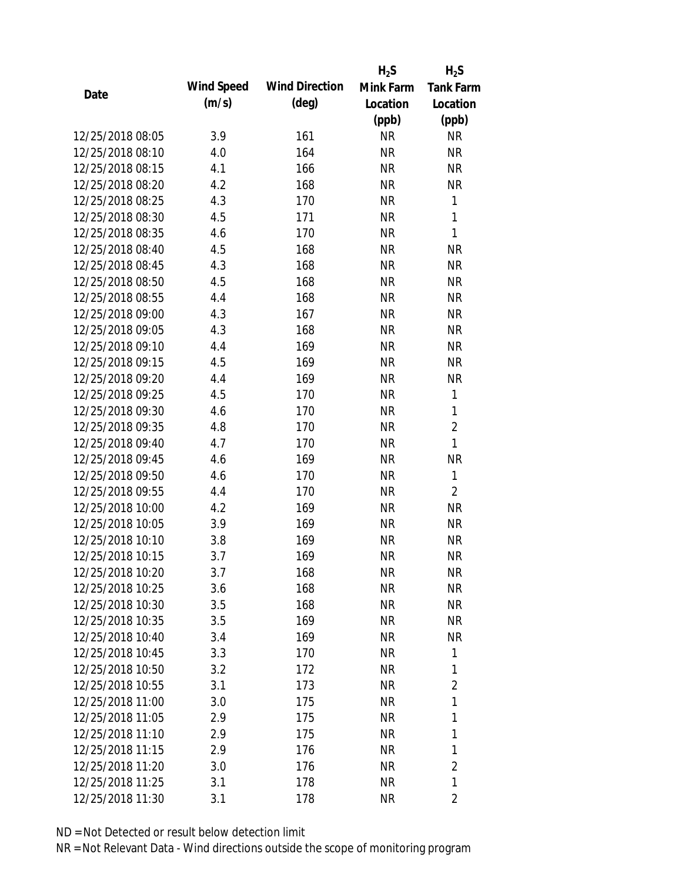|                  |            |                       | $H_2S$    | $H_2S$           |
|------------------|------------|-----------------------|-----------|------------------|
| Date             | Wind Speed | <b>Wind Direction</b> | Mink Farm | <b>Tank Farm</b> |
|                  | (m/s)      | $(\text{deg})$        | Location  | Location         |
|                  |            |                       | (ppb)     | (ppb)            |
| 12/25/2018 08:05 | 3.9        | 161                   | <b>NR</b> | NR               |
| 12/25/2018 08:10 | 4.0        | 164                   | <b>NR</b> | <b>NR</b>        |
| 12/25/2018 08:15 | 4.1        | 166                   | <b>NR</b> | <b>NR</b>        |
| 12/25/2018 08:20 | 4.2        | 168                   | <b>NR</b> | <b>NR</b>        |
| 12/25/2018 08:25 | 4.3        | 170                   | <b>NR</b> | 1                |
| 12/25/2018 08:30 | 4.5        | 171                   | <b>NR</b> | 1                |
| 12/25/2018 08:35 | 4.6        | 170                   | <b>NR</b> | 1                |
| 12/25/2018 08:40 | 4.5        | 168                   | <b>NR</b> | <b>NR</b>        |
| 12/25/2018 08:45 | 4.3        | 168                   | <b>NR</b> | <b>NR</b>        |
| 12/25/2018 08:50 | 4.5        | 168                   | <b>NR</b> | <b>NR</b>        |
| 12/25/2018 08:55 | 4.4        | 168                   | <b>NR</b> | <b>NR</b>        |
| 12/25/2018 09:00 | 4.3        | 167                   | <b>NR</b> | <b>NR</b>        |
| 12/25/2018 09:05 | 4.3        | 168                   | <b>NR</b> | <b>NR</b>        |
| 12/25/2018 09:10 | 4.4        | 169                   | <b>NR</b> | <b>NR</b>        |
| 12/25/2018 09:15 | 4.5        | 169                   | <b>NR</b> | <b>NR</b>        |
| 12/25/2018 09:20 | 4.4        | 169                   | <b>NR</b> | <b>NR</b>        |
| 12/25/2018 09:25 | 4.5        | 170                   | <b>NR</b> | 1                |
| 12/25/2018 09:30 | 4.6        | 170                   | <b>NR</b> | 1                |
| 12/25/2018 09:35 | 4.8        | 170                   | <b>NR</b> | $\overline{2}$   |
| 12/25/2018 09:40 | 4.7        | 170                   | <b>NR</b> | $\mathbf{1}$     |
| 12/25/2018 09:45 | 4.6        | 169                   | <b>NR</b> | <b>NR</b>        |
| 12/25/2018 09:50 | 4.6        | 170                   | <b>NR</b> | 1                |
| 12/25/2018 09:55 | 4.4        | 170                   | <b>NR</b> | $\overline{2}$   |
| 12/25/2018 10:00 | 4.2        | 169                   | <b>NR</b> | <b>NR</b>        |
| 12/25/2018 10:05 | 3.9        | 169                   | <b>NR</b> | <b>NR</b>        |
| 12/25/2018 10:10 | 3.8        | 169                   | <b>NR</b> | <b>NR</b>        |
| 12/25/2018 10:15 | 3.7        | 169                   | <b>NR</b> | <b>NR</b>        |
| 12/25/2018 10:20 | 3.7        | 168                   | <b>NR</b> | <b>NR</b>        |
| 12/25/2018 10:25 | 3.6        | 168                   | <b>NR</b> | <b>NR</b>        |
| 12/25/2018 10:30 | 3.5        | 168                   | <b>NR</b> | <b>NR</b>        |
| 12/25/2018 10:35 | 3.5        | 169                   | <b>NR</b> | NR               |
| 12/25/2018 10:40 | 3.4        | 169                   | <b>NR</b> | <b>NR</b>        |
| 12/25/2018 10:45 | 3.3        | 170                   | <b>NR</b> | 1                |
| 12/25/2018 10:50 | 3.2        | 172                   | <b>NR</b> | 1                |
| 12/25/2018 10:55 | 3.1        | 173                   | <b>NR</b> | $\overline{2}$   |
| 12/25/2018 11:00 | 3.0        | 175                   | <b>NR</b> | 1                |
| 12/25/2018 11:05 | 2.9        | 175                   | <b>NR</b> | 1                |
| 12/25/2018 11:10 | 2.9        | 175                   | NR        | 1                |
| 12/25/2018 11:15 | 2.9        | 176                   | <b>NR</b> | 1                |
| 12/25/2018 11:20 | 3.0        | 176                   | <b>NR</b> | $\overline{2}$   |
| 12/25/2018 11:25 | 3.1        | 178                   | <b>NR</b> | 1                |
| 12/25/2018 11:30 | 3.1        | 178                   | <b>NR</b> | 2                |
|                  |            |                       |           |                  |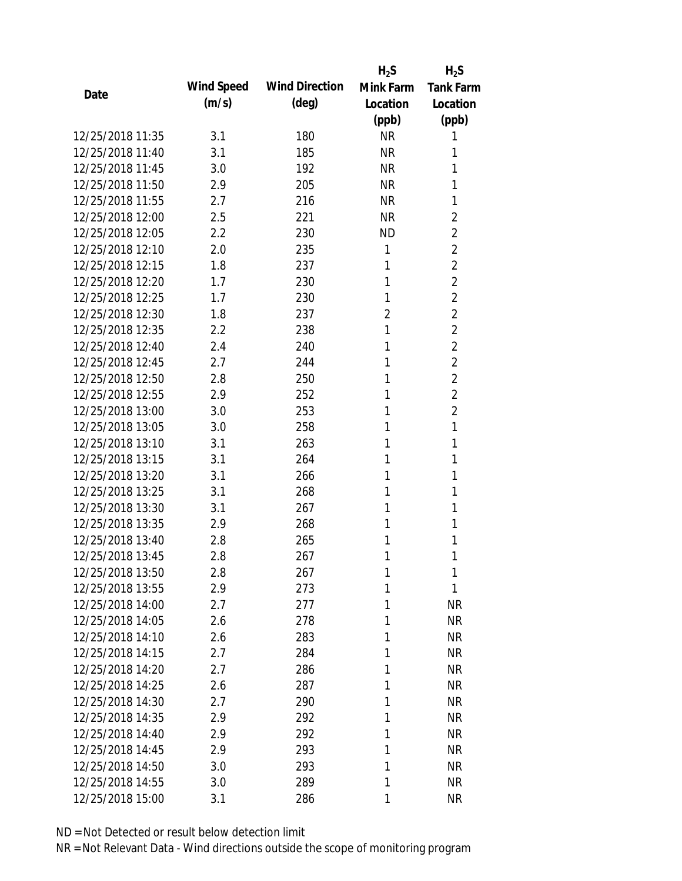|                  |            |                       | $H_2S$         | $H_2S$           |
|------------------|------------|-----------------------|----------------|------------------|
| Date             | Wind Speed | <b>Wind Direction</b> | Mink Farm      | <b>Tank Farm</b> |
|                  | (m/s)      | $(\text{deg})$        | Location       | Location         |
|                  |            |                       | (ppb)          | (ppb)            |
| 12/25/2018 11:35 | 3.1        | 180                   | <b>NR</b>      | 1                |
| 12/25/2018 11:40 | 3.1        | 185                   | <b>NR</b>      | 1                |
| 12/25/2018 11:45 | 3.0        | 192                   | <b>NR</b>      | 1                |
| 12/25/2018 11:50 | 2.9        | 205                   | <b>NR</b>      | 1                |
| 12/25/2018 11:55 | 2.7        | 216                   | <b>NR</b>      | 1                |
| 12/25/2018 12:00 | 2.5        | 221                   | <b>NR</b>      | $\overline{2}$   |
| 12/25/2018 12:05 | 2.2        | 230                   | <b>ND</b>      | $\overline{2}$   |
| 12/25/2018 12:10 | 2.0        | 235                   | 1              | $\overline{2}$   |
| 12/25/2018 12:15 | 1.8        | 237                   | 1              | $\overline{2}$   |
| 12/25/2018 12:20 | 1.7        | 230                   | 1              | $\overline{2}$   |
| 12/25/2018 12:25 | 1.7        | 230                   | 1              | $\overline{2}$   |
| 12/25/2018 12:30 | 1.8        | 237                   | $\overline{2}$ | $\overline{2}$   |
| 12/25/2018 12:35 | 2.2        | 238                   | 1              | $\overline{2}$   |
| 12/25/2018 12:40 | 2.4        | 240                   | 1              | $\overline{2}$   |
| 12/25/2018 12:45 | 2.7        | 244                   | 1              | $\overline{2}$   |
| 12/25/2018 12:50 | 2.8        | 250                   | 1              | $\overline{2}$   |
| 12/25/2018 12:55 | 2.9        | 252                   | 1              | $\overline{2}$   |
| 12/25/2018 13:00 | 3.0        | 253                   | 1              | $\overline{2}$   |
| 12/25/2018 13:05 | 3.0        | 258                   | 1              | 1                |
| 12/25/2018 13:10 | 3.1        | 263                   | 1              | 1                |
| 12/25/2018 13:15 | 3.1        | 264                   | 1              | 1                |
| 12/25/2018 13:20 | 3.1        | 266                   | 1              | 1                |
| 12/25/2018 13:25 | 3.1        | 268                   | 1              | 1                |
| 12/25/2018 13:30 | 3.1        | 267                   | 1              | 1                |
| 12/25/2018 13:35 | 2.9        | 268                   | 1              | 1                |
| 12/25/2018 13:40 | 2.8        | 265                   | 1              | 1                |
| 12/25/2018 13:45 | 2.8        | 267                   | 1              | 1                |
| 12/25/2018 13:50 | 2.8        | 267                   | 1              | 1                |
| 12/25/2018 13:55 | 2.9        | 273                   | 1              | 1                |
| 12/25/2018 14:00 | 2.7        | 277                   | 1              | <b>NR</b>        |
| 12/25/2018 14:05 | 2.6        | 278                   | 1              | <b>NR</b>        |
| 12/25/2018 14:10 | 2.6        | 283                   | 1              | <b>NR</b>        |
| 12/25/2018 14:15 | 2.7        | 284                   | 1              | <b>NR</b>        |
| 12/25/2018 14:20 | 2.7        | 286                   | 1              | <b>NR</b>        |
| 12/25/2018 14:25 | 2.6        | 287                   | 1              | NR               |
| 12/25/2018 14:30 | 2.7        | 290                   | 1              | <b>NR</b>        |
| 12/25/2018 14:35 | 2.9        | 292                   | 1              | <b>NR</b>        |
| 12/25/2018 14:40 | 2.9        | 292                   | 1              | <b>NR</b>        |
| 12/25/2018 14:45 | 2.9        | 293                   | 1              | <b>NR</b>        |
| 12/25/2018 14:50 | 3.0        | 293                   | 1              | <b>NR</b>        |
| 12/25/2018 14:55 | 3.0        | 289                   | 1              | <b>NR</b>        |
| 12/25/2018 15:00 | 3.1        | 286                   | 1              | <b>NR</b>        |
|                  |            |                       |                |                  |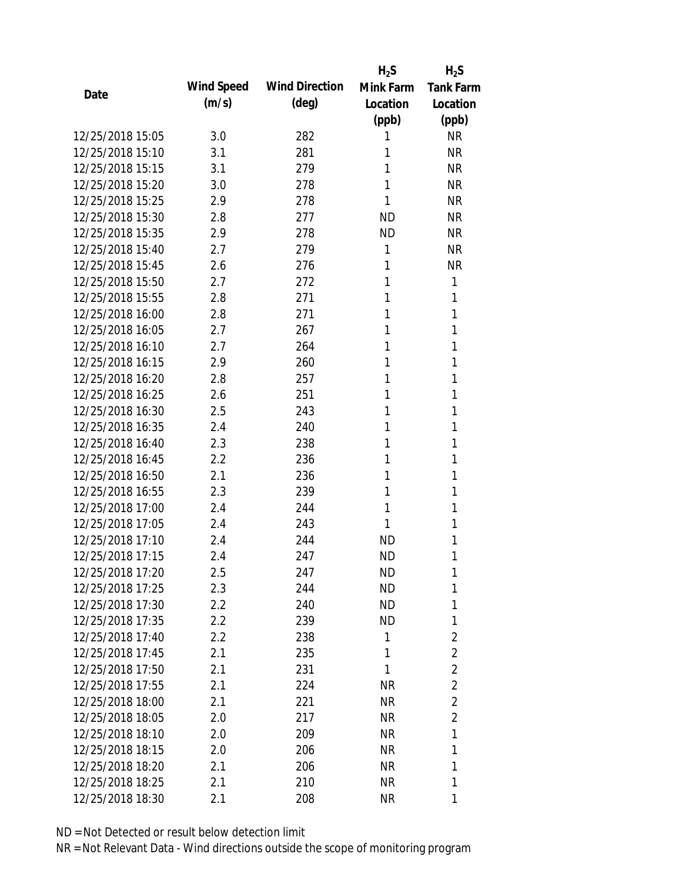|                  |            |                       | $H_2S$    | $H_2S$           |
|------------------|------------|-----------------------|-----------|------------------|
| Date             | Wind Speed | <b>Wind Direction</b> | Mink Farm | <b>Tank Farm</b> |
|                  | (m/s)      | $(\text{deg})$        | Location  | Location         |
|                  |            |                       | (ppb)     | (ppb)            |
| 12/25/2018 15:05 | 3.0        | 282                   | 1         | <b>NR</b>        |
| 12/25/2018 15:10 | 3.1        | 281                   | 1         | <b>NR</b>        |
| 12/25/2018 15:15 | 3.1        | 279                   | 1         | <b>NR</b>        |
| 12/25/2018 15:20 | 3.0        | 278                   | 1         | <b>NR</b>        |
| 12/25/2018 15:25 | 2.9        | 278                   | 1         | <b>NR</b>        |
| 12/25/2018 15:30 | 2.8        | 277                   | <b>ND</b> | <b>NR</b>        |
| 12/25/2018 15:35 | 2.9        | 278                   | <b>ND</b> | <b>NR</b>        |
| 12/25/2018 15:40 | 2.7        | 279                   | 1         | <b>NR</b>        |
| 12/25/2018 15:45 | 2.6        | 276                   | 1         | <b>NR</b>        |
| 12/25/2018 15:50 | 2.7        | 272                   | 1         | 1                |
| 12/25/2018 15:55 | 2.8        | 271                   | 1         | 1                |
| 12/25/2018 16:00 | 2.8        | 271                   | 1         | 1                |
| 12/25/2018 16:05 | 2.7        | 267                   | 1         | 1                |
| 12/25/2018 16:10 | 2.7        | 264                   | 1         | 1                |
| 12/25/2018 16:15 | 2.9        | 260                   | 1         | 1                |
| 12/25/2018 16:20 | 2.8        | 257                   | 1         | 1                |
| 12/25/2018 16:25 | 2.6        | 251                   | 1         | 1                |
| 12/25/2018 16:30 | 2.5        | 243                   | 1         | 1                |
| 12/25/2018 16:35 | 2.4        | 240                   | 1         | 1                |
| 12/25/2018 16:40 | 2.3        | 238                   | 1         | 1                |
| 12/25/2018 16:45 | 2.2        | 236                   | 1         | 1                |
| 12/25/2018 16:50 | 2.1        | 236                   | 1         | 1                |
| 12/25/2018 16:55 | 2.3        | 239                   | 1         | 1                |
| 12/25/2018 17:00 | 2.4        | 244                   | 1         | 1                |
| 12/25/2018 17:05 | 2.4        | 243                   | 1         | 1                |
| 12/25/2018 17:10 | 2.4        | 244                   | <b>ND</b> | 1                |
| 12/25/2018 17:15 | 2.4        | 247                   | <b>ND</b> | 1                |
| 12/25/2018 17:20 | 2.5        | 247                   | <b>ND</b> | 1                |
| 12/25/2018 17:25 | 2.3        | 244                   | <b>ND</b> | 1                |
| 12/25/2018 17:30 | $2.2\,$    | 240                   | ND        | 1                |
| 12/25/2018 17:35 | 2.2        | 239                   | <b>ND</b> | 1                |
| 12/25/2018 17:40 | 2.2        | 238                   | 1         | $\overline{2}$   |
| 12/25/2018 17:45 | 2.1        | 235                   | 1         | $\overline{2}$   |
| 12/25/2018 17:50 | 2.1        | 231                   | 1         | $\overline{2}$   |
| 12/25/2018 17:55 | 2.1        | 224                   | <b>NR</b> | $\overline{2}$   |
| 12/25/2018 18:00 | 2.1        | 221                   | <b>NR</b> | $\overline{2}$   |
| 12/25/2018 18:05 | 2.0        | 217                   | NR        | $\overline{2}$   |
| 12/25/2018 18:10 | 2.0        | 209                   | NR        | 1                |
| 12/25/2018 18:15 | 2.0        | 206                   | <b>NR</b> | 1                |
| 12/25/2018 18:20 | 2.1        | 206                   | <b>NR</b> | 1                |
| 12/25/2018 18:25 | 2.1        | 210                   | <b>NR</b> | 1                |
| 12/25/2018 18:30 | 2.1        | 208                   | <b>NR</b> | 1                |
|                  |            |                       |           |                  |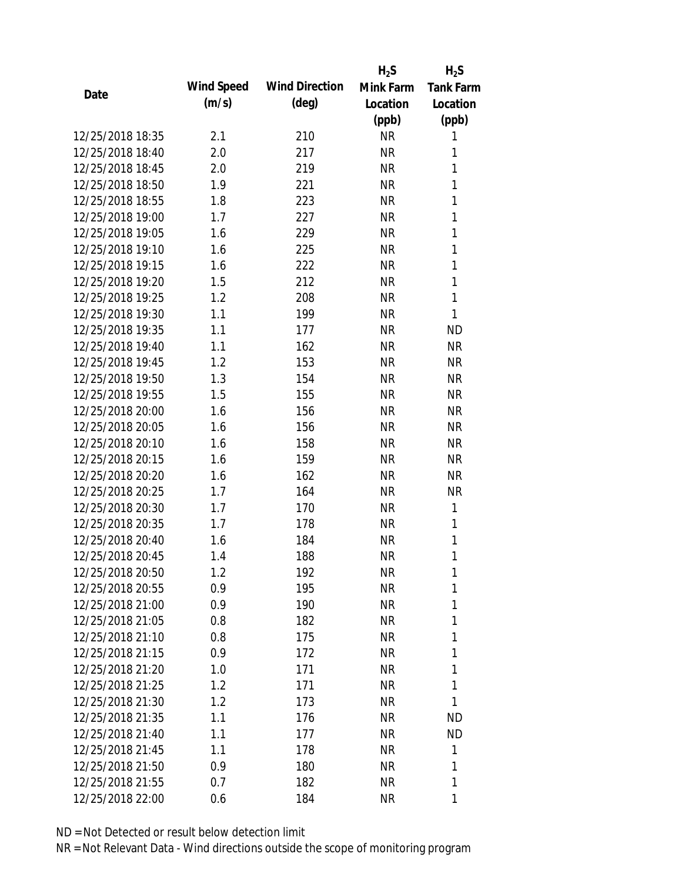|                  |            |                       | $H_2S$    | $H_2S$           |
|------------------|------------|-----------------------|-----------|------------------|
| Date             | Wind Speed | <b>Wind Direction</b> | Mink Farm | <b>Tank Farm</b> |
|                  | (m/s)      | $(\text{deg})$        | Location  | Location         |
|                  |            |                       | (ppb)     | (ppb)            |
| 12/25/2018 18:35 | 2.1        | 210                   | <b>NR</b> | 1                |
| 12/25/2018 18:40 | 2.0        | 217                   | <b>NR</b> | 1                |
| 12/25/2018 18:45 | 2.0        | 219                   | <b>NR</b> | $\mathbf{1}$     |
| 12/25/2018 18:50 | 1.9        | 221                   | <b>NR</b> | 1                |
| 12/25/2018 18:55 | 1.8        | 223                   | <b>NR</b> | 1                |
| 12/25/2018 19:00 | 1.7        | 227                   | <b>NR</b> | 1                |
| 12/25/2018 19:05 | 1.6        | 229                   | <b>NR</b> | 1                |
| 12/25/2018 19:10 | 1.6        | 225                   | <b>NR</b> | $\mathbf{1}$     |
| 12/25/2018 19:15 | 1.6        | 222                   | <b>NR</b> | 1                |
| 12/25/2018 19:20 | 1.5        | 212                   | <b>NR</b> | $\mathbf{1}$     |
| 12/25/2018 19:25 | 1.2        | 208                   | <b>NR</b> | 1                |
| 12/25/2018 19:30 | 1.1        | 199                   | <b>NR</b> | 1                |
| 12/25/2018 19:35 | 1.1        | 177                   | <b>NR</b> | <b>ND</b>        |
| 12/25/2018 19:40 | 1.1        | 162                   | <b>NR</b> | <b>NR</b>        |
| 12/25/2018 19:45 | 1.2        | 153                   | <b>NR</b> | <b>NR</b>        |
| 12/25/2018 19:50 | 1.3        | 154                   | <b>NR</b> | <b>NR</b>        |
| 12/25/2018 19:55 | 1.5        | 155                   | <b>NR</b> | <b>NR</b>        |
| 12/25/2018 20:00 | 1.6        | 156                   | <b>NR</b> | <b>NR</b>        |
| 12/25/2018 20:05 | 1.6        | 156                   | <b>NR</b> | <b>NR</b>        |
| 12/25/2018 20:10 | 1.6        | 158                   | <b>NR</b> | <b>NR</b>        |
| 12/25/2018 20:15 | 1.6        | 159                   | <b>NR</b> | <b>NR</b>        |
| 12/25/2018 20:20 | 1.6        | 162                   | <b>NR</b> | <b>NR</b>        |
| 12/25/2018 20:25 | 1.7        | 164                   | <b>NR</b> | <b>NR</b>        |
| 12/25/2018 20:30 | 1.7        | 170                   | <b>NR</b> | 1                |
| 12/25/2018 20:35 | 1.7        | 178                   | <b>NR</b> | 1                |
| 12/25/2018 20:40 | 1.6        | 184                   | <b>NR</b> | 1                |
| 12/25/2018 20:45 | 1.4        | 188                   | <b>NR</b> | 1                |
| 12/25/2018 20:50 | 1.2        | 192                   | <b>NR</b> | 1                |
| 12/25/2018 20:55 | 0.9        | 195                   | <b>NR</b> | 1                |
| 12/25/2018 21:00 | 0.9        | 190                   | <b>NR</b> | 1                |
| 12/25/2018 21:05 | 0.8        | 182                   | <b>NR</b> | 1                |
| 12/25/2018 21:10 | 0.8        | 175                   | <b>NR</b> | 1                |
| 12/25/2018 21:15 | 0.9        | 172                   | <b>NR</b> | 1                |
| 12/25/2018 21:20 | 1.0        | 171                   | <b>NR</b> | 1                |
| 12/25/2018 21:25 | 1.2        | 171                   | <b>NR</b> | 1                |
| 12/25/2018 21:30 | 1.2        | 173                   | <b>NR</b> | 1                |
| 12/25/2018 21:35 | 1.1        | 176                   | <b>NR</b> | <b>ND</b>        |
| 12/25/2018 21:40 | 1.1        | 177                   | <b>NR</b> | <b>ND</b>        |
| 12/25/2018 21:45 | 1.1        | 178                   | <b>NR</b> | 1                |
| 12/25/2018 21:50 | 0.9        | 180                   | <b>NR</b> | 1                |
| 12/25/2018 21:55 | 0.7        | 182                   | <b>NR</b> | 1                |
| 12/25/2018 22:00 | 0.6        | 184                   | <b>NR</b> | 1                |
|                  |            |                       |           |                  |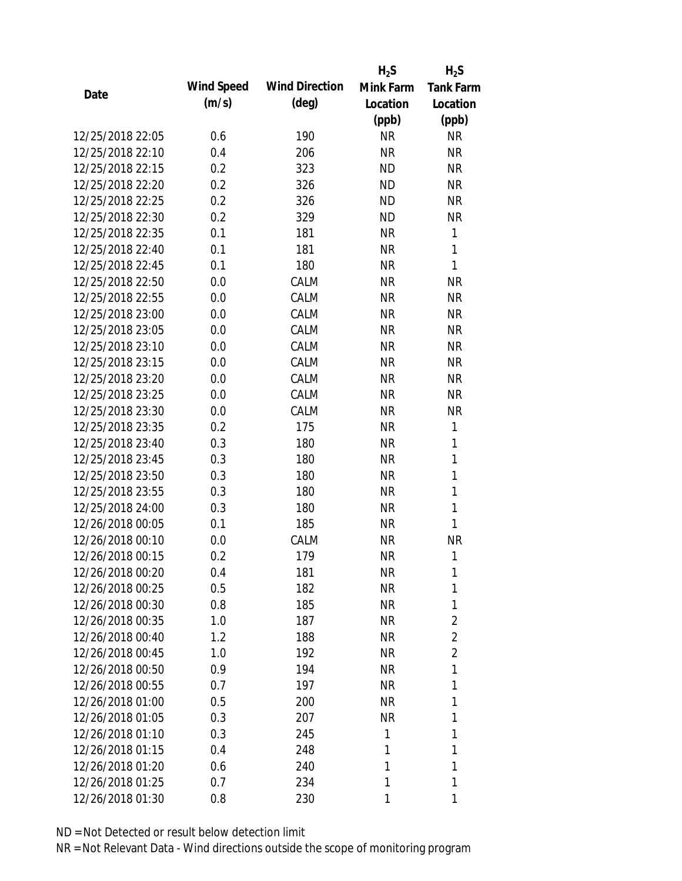|                  |            |                       | $H_2S$    | $H_2S$           |
|------------------|------------|-----------------------|-----------|------------------|
| Date             | Wind Speed | <b>Wind Direction</b> | Mink Farm | <b>Tank Farm</b> |
|                  | (m/s)      | $(\text{deg})$        | Location  | Location         |
|                  |            |                       | (ppb)     | (ppb)            |
| 12/25/2018 22:05 | 0.6        | 190                   | <b>NR</b> | <b>NR</b>        |
| 12/25/2018 22:10 | 0.4        | 206                   | <b>NR</b> | <b>NR</b>        |
| 12/25/2018 22:15 | 0.2        | 323                   | <b>ND</b> | <b>NR</b>        |
| 12/25/2018 22:20 | 0.2        | 326                   | <b>ND</b> | <b>NR</b>        |
| 12/25/2018 22:25 | 0.2        | 326                   | <b>ND</b> | <b>NR</b>        |
| 12/25/2018 22:30 | 0.2        | 329                   | <b>ND</b> | <b>NR</b>        |
| 12/25/2018 22:35 | 0.1        | 181                   | <b>NR</b> | 1                |
| 12/25/2018 22:40 | 0.1        | 181                   | <b>NR</b> | $\mathbf{1}$     |
| 12/25/2018 22:45 | 0.1        | 180                   | <b>NR</b> | 1                |
| 12/25/2018 22:50 | 0.0        | CALM                  | <b>NR</b> | <b>NR</b>        |
| 12/25/2018 22:55 | 0.0        | CALM                  | <b>NR</b> | <b>NR</b>        |
| 12/25/2018 23:00 | 0.0        | CALM                  | <b>NR</b> | <b>NR</b>        |
| 12/25/2018 23:05 | 0.0        | CALM                  | <b>NR</b> | <b>NR</b>        |
| 12/25/2018 23:10 | 0.0        | CALM                  | <b>NR</b> | <b>NR</b>        |
| 12/25/2018 23:15 | 0.0        | CALM                  | <b>NR</b> | <b>NR</b>        |
| 12/25/2018 23:20 | 0.0        | CALM                  | <b>NR</b> | <b>NR</b>        |
| 12/25/2018 23:25 | 0.0        | CALM                  | <b>NR</b> | <b>NR</b>        |
| 12/25/2018 23:30 | 0.0        | CALM                  | <b>NR</b> | <b>NR</b>        |
| 12/25/2018 23:35 | 0.2        | 175                   | <b>NR</b> | 1                |
| 12/25/2018 23:40 | 0.3        | 180                   | <b>NR</b> | 1                |
| 12/25/2018 23:45 | 0.3        | 180                   | <b>NR</b> | $\mathbf{1}$     |
| 12/25/2018 23:50 | 0.3        | 180                   | <b>NR</b> | $\mathbf{1}$     |
| 12/25/2018 23:55 | 0.3        | 180                   | <b>NR</b> | 1                |
| 12/25/2018 24:00 | 0.3        | 180                   | <b>NR</b> | $\mathbf{1}$     |
| 12/26/2018 00:05 | 0.1        | 185                   | <b>NR</b> | 1                |
| 12/26/2018 00:10 | 0.0        | CALM                  | <b>NR</b> | <b>NR</b>        |
| 12/26/2018 00:15 | 0.2        | 179                   | <b>NR</b> | 1                |
| 12/26/2018 00:20 | 0.4        | 181                   | <b>NR</b> | 1                |
| 12/26/2018 00:25 | 0.5        | 182                   | <b>NR</b> | 1                |
| 12/26/2018 00:30 | 0.8        | 185                   | <b>NR</b> | 1                |
| 12/26/2018 00:35 | 1.0        | 187                   | <b>NR</b> | 2                |
| 12/26/2018 00:40 | 1.2        | 188                   | <b>NR</b> | $\overline{2}$   |
| 12/26/2018 00:45 | 1.0        | 192                   | <b>NR</b> | $\overline{2}$   |
| 12/26/2018 00:50 | 0.9        | 194                   | <b>NR</b> | 1                |
| 12/26/2018 00:55 | 0.7        | 197                   | <b>NR</b> | 1                |
| 12/26/2018 01:00 | 0.5        | 200                   | <b>NR</b> | 1                |
| 12/26/2018 01:05 | 0.3        | 207                   | <b>NR</b> | 1                |
| 12/26/2018 01:10 | 0.3        | 245                   | 1         | 1                |
| 12/26/2018 01:15 | 0.4        | 248                   | 1         | 1                |
| 12/26/2018 01:20 | 0.6        | 240                   | 1         | 1                |
| 12/26/2018 01:25 | 0.7        | 234                   | 1         | 1                |
| 12/26/2018 01:30 | 0.8        | 230                   | 1         | 1                |
|                  |            |                       |           |                  |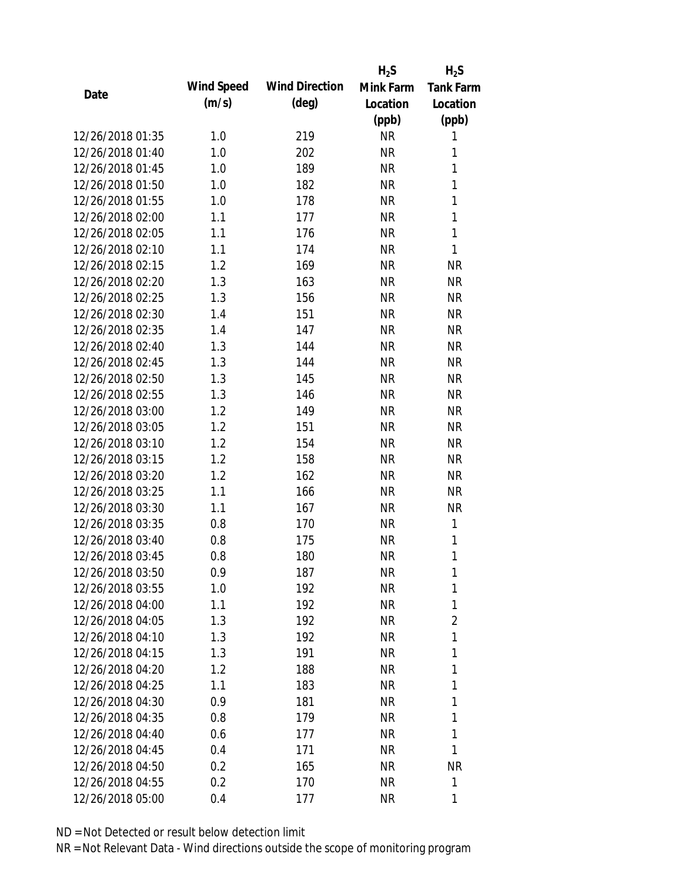|                  |            |                       | $H_2S$    | $H_2S$           |
|------------------|------------|-----------------------|-----------|------------------|
| Date             | Wind Speed | <b>Wind Direction</b> | Mink Farm | <b>Tank Farm</b> |
|                  | (m/s)      | $(\text{deg})$        | Location  | Location         |
|                  |            |                       | (ppb)     | (ppb)            |
| 12/26/2018 01:35 | 1.0        | 219                   | <b>NR</b> | 1                |
| 12/26/2018 01:40 | 1.0        | 202                   | <b>NR</b> | 1                |
| 12/26/2018 01:45 | 1.0        | 189                   | <b>NR</b> | $\mathbf{1}$     |
| 12/26/2018 01:50 | 1.0        | 182                   | <b>NR</b> | 1                |
| 12/26/2018 01:55 | 1.0        | 178                   | <b>NR</b> | $\mathbf{1}$     |
| 12/26/2018 02:00 | 1.1        | 177                   | <b>NR</b> | 1                |
| 12/26/2018 02:05 | 1.1        | 176                   | <b>NR</b> | 1                |
| 12/26/2018 02:10 | 1.1        | 174                   | <b>NR</b> | $\mathbf{1}$     |
| 12/26/2018 02:15 | 1.2        | 169                   | <b>NR</b> | <b>NR</b>        |
| 12/26/2018 02:20 | 1.3        | 163                   | <b>NR</b> | <b>NR</b>        |
| 12/26/2018 02:25 | 1.3        | 156                   | <b>NR</b> | <b>NR</b>        |
| 12/26/2018 02:30 | 1.4        | 151                   | <b>NR</b> | <b>NR</b>        |
| 12/26/2018 02:35 | 1.4        | 147                   | <b>NR</b> | <b>NR</b>        |
| 12/26/2018 02:40 | 1.3        | 144                   | <b>NR</b> | <b>NR</b>        |
| 12/26/2018 02:45 | 1.3        | 144                   | <b>NR</b> | <b>NR</b>        |
| 12/26/2018 02:50 | 1.3        | 145                   | <b>NR</b> | <b>NR</b>        |
| 12/26/2018 02:55 | 1.3        | 146                   | <b>NR</b> | <b>NR</b>        |
| 12/26/2018 03:00 | 1.2        | 149                   | <b>NR</b> | <b>NR</b>        |
| 12/26/2018 03:05 | 1.2        | 151                   | <b>NR</b> | <b>NR</b>        |
| 12/26/2018 03:10 | 1.2        | 154                   | <b>NR</b> | <b>NR</b>        |
| 12/26/2018 03:15 | 1.2        | 158                   | <b>NR</b> | <b>NR</b>        |
| 12/26/2018 03:20 | 1.2        | 162                   | <b>NR</b> | <b>NR</b>        |
| 12/26/2018 03:25 | 1.1        | 166                   | <b>NR</b> | <b>NR</b>        |
| 12/26/2018 03:30 | 1.1        | 167                   | <b>NR</b> | <b>NR</b>        |
| 12/26/2018 03:35 | 0.8        | 170                   | <b>NR</b> | 1                |
| 12/26/2018 03:40 | 0.8        | 175                   | <b>NR</b> | 1                |
| 12/26/2018 03:45 | 0.8        | 180                   | <b>NR</b> | 1                |
| 12/26/2018 03:50 | 0.9        | 187                   | <b>NR</b> | 1                |
| 12/26/2018 03:55 | 1.0        | 192                   | <b>NR</b> | 1                |
| 12/26/2018 04:00 | 1.1        | 192                   | <b>NR</b> | 1                |
| 12/26/2018 04:05 | 1.3        | 192                   | <b>NR</b> | 2                |
| 12/26/2018 04:10 | 1.3        | 192                   | <b>NR</b> | 1                |
| 12/26/2018 04:15 | 1.3        | 191                   | <b>NR</b> | 1                |
| 12/26/2018 04:20 | 1.2        | 188                   | <b>NR</b> | 1                |
| 12/26/2018 04:25 | 1.1        | 183                   | <b>NR</b> | 1                |
| 12/26/2018 04:30 | 0.9        | 181                   | <b>NR</b> | 1                |
| 12/26/2018 04:35 | 0.8        | 179                   | <b>NR</b> | 1                |
|                  |            |                       |           |                  |
| 12/26/2018 04:40 | 0.6        | 177                   | <b>NR</b> | 1<br>1           |
| 12/26/2018 04:45 | 0.4        | 171                   | <b>NR</b> |                  |
| 12/26/2018 04:50 | 0.2        | 165                   | <b>NR</b> | <b>NR</b>        |
| 12/26/2018 04:55 | 0.2        | 170                   | <b>NR</b> | 1                |
| 12/26/2018 05:00 | 0.4        | 177                   | <b>NR</b> | 1                |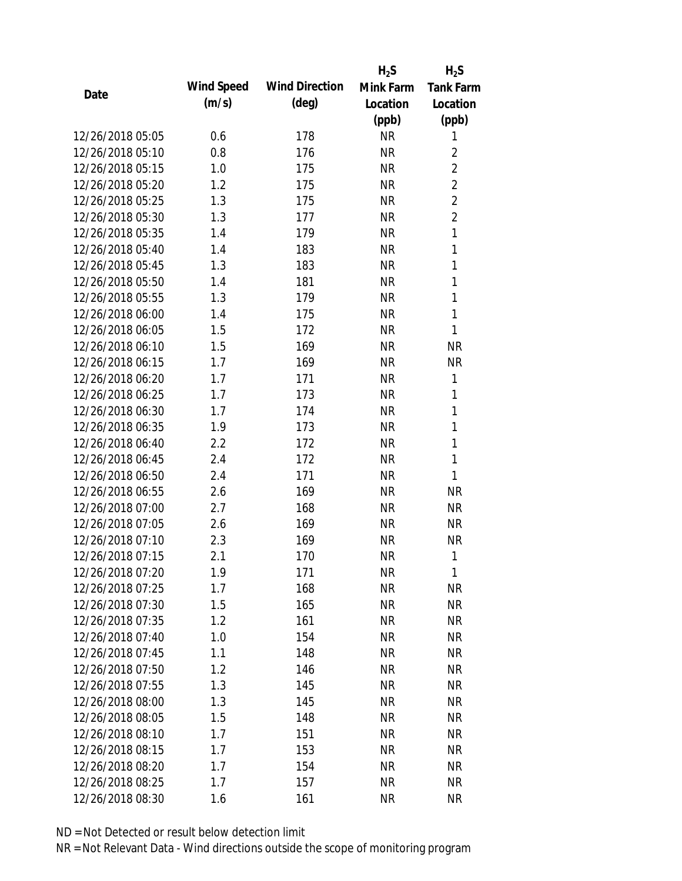|                  |            |                       | $H_2S$    | $H_2S$           |
|------------------|------------|-----------------------|-----------|------------------|
|                  | Wind Speed | <b>Wind Direction</b> | Mink Farm | <b>Tank Farm</b> |
| Date             | (m/s)      | $(\text{deg})$        | Location  | Location         |
|                  |            |                       | (ppb)     | (ppb)            |
| 12/26/2018 05:05 | 0.6        | 178                   | <b>NR</b> | 1                |
| 12/26/2018 05:10 | 0.8        | 176                   | <b>NR</b> | $\overline{2}$   |
| 12/26/2018 05:15 | 1.0        | 175                   | <b>NR</b> | $\overline{2}$   |
| 12/26/2018 05:20 | 1.2        | 175                   | <b>NR</b> | $\overline{2}$   |
| 12/26/2018 05:25 | 1.3        | 175                   | <b>NR</b> | $\overline{2}$   |
| 12/26/2018 05:30 | 1.3        | 177                   | <b>NR</b> | $\overline{2}$   |
| 12/26/2018 05:35 | 1.4        | 179                   | <b>NR</b> | 1                |
| 12/26/2018 05:40 | 1.4        | 183                   | <b>NR</b> | 1                |
| 12/26/2018 05:45 | 1.3        | 183                   | <b>NR</b> | 1                |
| 12/26/2018 05:50 | 1.4        | 181                   | <b>NR</b> | 1                |
| 12/26/2018 05:55 | 1.3        | 179                   | <b>NR</b> | 1                |
| 12/26/2018 06:00 | 1.4        | 175                   | <b>NR</b> | 1                |
| 12/26/2018 06:05 | 1.5        | 172                   | <b>NR</b> | 1                |
| 12/26/2018 06:10 | 1.5        | 169                   | <b>NR</b> | <b>NR</b>        |
| 12/26/2018 06:15 | 1.7        | 169                   | <b>NR</b> | <b>NR</b>        |
| 12/26/2018 06:20 | 1.7        | 171                   | <b>NR</b> | 1                |
| 12/26/2018 06:25 | 1.7        | 173                   | <b>NR</b> | 1                |
| 12/26/2018 06:30 | 1.7        | 174                   | <b>NR</b> | 1                |
| 12/26/2018 06:35 | 1.9        | 173                   | <b>NR</b> | 1                |
| 12/26/2018 06:40 | 2.2        | 172                   | <b>NR</b> | 1                |
| 12/26/2018 06:45 | 2.4        | 172                   | <b>NR</b> | 1                |
| 12/26/2018 06:50 | 2.4        | 171                   | <b>NR</b> | 1                |
| 12/26/2018 06:55 | 2.6        | 169                   | <b>NR</b> | <b>NR</b>        |
| 12/26/2018 07:00 | 2.7        | 168                   | <b>NR</b> | <b>NR</b>        |
| 12/26/2018 07:05 | 2.6        | 169                   | <b>NR</b> | <b>NR</b>        |
| 12/26/2018 07:10 | 2.3        | 169                   | <b>NR</b> | <b>NR</b>        |
| 12/26/2018 07:15 | 2.1        | 170                   | <b>NR</b> | 1                |
| 12/26/2018 07:20 | 1.9        | 171                   | <b>NR</b> | 1                |
| 12/26/2018 07:25 | 1.7        | 168                   | <b>NR</b> | <b>NR</b>        |
| 12/26/2018 07:30 | 1.5        | 165                   | NR        | <b>NR</b>        |
| 12/26/2018 07:35 | 1.2        | 161                   | <b>NR</b> | <b>NR</b>        |
| 12/26/2018 07:40 | 1.0        | 154                   | <b>NR</b> | <b>NR</b>        |
| 12/26/2018 07:45 | 1.1        | 148                   | <b>NR</b> | <b>NR</b>        |
| 12/26/2018 07:50 | 1.2        | 146                   | <b>NR</b> | <b>NR</b>        |
| 12/26/2018 07:55 | 1.3        | 145                   | <b>NR</b> | <b>NR</b>        |
| 12/26/2018 08:00 | 1.3        | 145                   | <b>NR</b> | <b>NR</b>        |
| 12/26/2018 08:05 | 1.5        | 148                   | <b>NR</b> | <b>NR</b>        |
| 12/26/2018 08:10 | 1.7        | 151                   | <b>NR</b> | <b>NR</b>        |
| 12/26/2018 08:15 | 1.7        | 153                   | <b>NR</b> | <b>NR</b>        |
| 12/26/2018 08:20 | 1.7        | 154                   | <b>NR</b> | <b>NR</b>        |
| 12/26/2018 08:25 | 1.7        | 157                   | <b>NR</b> | <b>NR</b>        |
| 12/26/2018 08:30 | 1.6        | 161                   | <b>NR</b> | <b>NR</b>        |
|                  |            |                       |           |                  |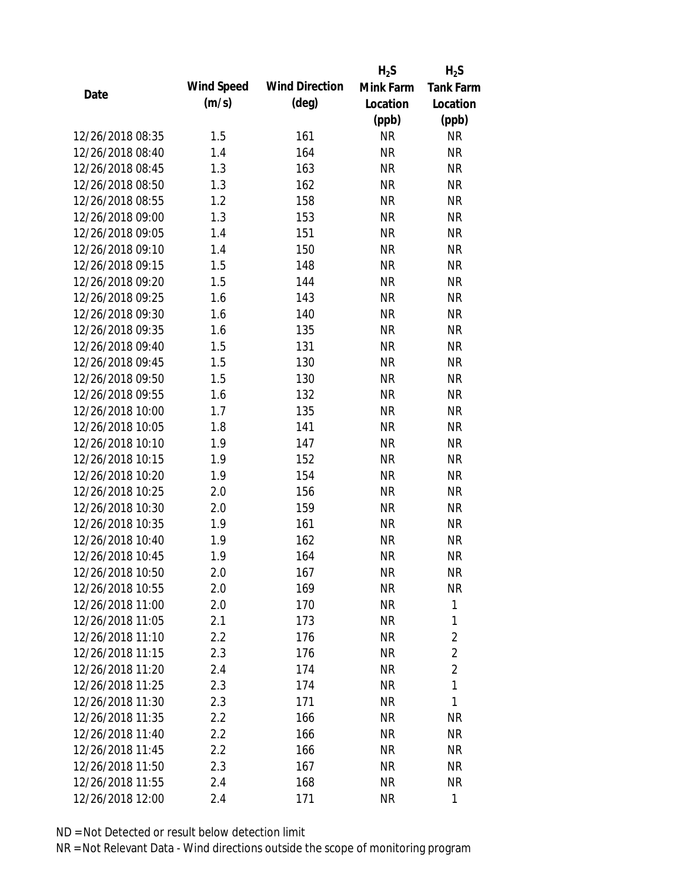|                  |            |                       | $H_2S$    | $H_2S$           |
|------------------|------------|-----------------------|-----------|------------------|
|                  | Wind Speed | <b>Wind Direction</b> | Mink Farm | <b>Tank Farm</b> |
| Date             | (m/s)      | $(\text{deg})$        | Location  | Location         |
|                  |            |                       | (ppb)     | (ppb)            |
| 12/26/2018 08:35 | 1.5        | 161                   | <b>NR</b> | <b>NR</b>        |
| 12/26/2018 08:40 | 1.4        | 164                   | <b>NR</b> | <b>NR</b>        |
| 12/26/2018 08:45 | 1.3        | 163                   | <b>NR</b> | <b>NR</b>        |
| 12/26/2018 08:50 | 1.3        | 162                   | <b>NR</b> | <b>NR</b>        |
| 12/26/2018 08:55 | 1.2        | 158                   | <b>NR</b> | <b>NR</b>        |
| 12/26/2018 09:00 | 1.3        | 153                   | <b>NR</b> | <b>NR</b>        |
| 12/26/2018 09:05 | 1.4        | 151                   | <b>NR</b> | <b>NR</b>        |
| 12/26/2018 09:10 | 1.4        | 150                   | <b>NR</b> | <b>NR</b>        |
| 12/26/2018 09:15 | 1.5        | 148                   | <b>NR</b> | <b>NR</b>        |
| 12/26/2018 09:20 | 1.5        | 144                   | <b>NR</b> | <b>NR</b>        |
| 12/26/2018 09:25 | 1.6        | 143                   | <b>NR</b> | <b>NR</b>        |
| 12/26/2018 09:30 | 1.6        | 140                   | <b>NR</b> | <b>NR</b>        |
| 12/26/2018 09:35 | 1.6        | 135                   | <b>NR</b> | <b>NR</b>        |
| 12/26/2018 09:40 | 1.5        | 131                   | <b>NR</b> | <b>NR</b>        |
| 12/26/2018 09:45 | 1.5        | 130                   | <b>NR</b> | <b>NR</b>        |
| 12/26/2018 09:50 | 1.5        | 130                   | <b>NR</b> | <b>NR</b>        |
| 12/26/2018 09:55 | 1.6        | 132                   | <b>NR</b> | <b>NR</b>        |
| 12/26/2018 10:00 | 1.7        | 135                   | <b>NR</b> | <b>NR</b>        |
| 12/26/2018 10:05 | 1.8        | 141                   | <b>NR</b> | <b>NR</b>        |
| 12/26/2018 10:10 | 1.9        | 147                   | <b>NR</b> | <b>NR</b>        |
| 12/26/2018 10:15 | 1.9        | 152                   | <b>NR</b> | <b>NR</b>        |
| 12/26/2018 10:20 | 1.9        | 154                   | <b>NR</b> | <b>NR</b>        |
| 12/26/2018 10:25 | 2.0        | 156                   | <b>NR</b> | <b>NR</b>        |
| 12/26/2018 10:30 | 2.0        | 159                   | <b>NR</b> | <b>NR</b>        |
| 12/26/2018 10:35 | 1.9        | 161                   | <b>NR</b> | <b>NR</b>        |
| 12/26/2018 10:40 | 1.9        | 162                   | <b>NR</b> | <b>NR</b>        |
| 12/26/2018 10:45 | 1.9        | 164                   | <b>NR</b> | <b>NR</b>        |
| 12/26/2018 10:50 | 2.0        | 167                   | <b>NR</b> | <b>NR</b>        |
| 12/26/2018 10:55 | 2.0        | 169                   | <b>NR</b> | <b>NR</b>        |
| 12/26/2018 11:00 | 2.0        | 170                   | <b>NR</b> | 1                |
| 12/26/2018 11:05 | 2.1        | 173                   | <b>NR</b> | 1                |
| 12/26/2018 11:10 | 2.2        | 176                   | <b>NR</b> | $\overline{2}$   |
| 12/26/2018 11:15 | 2.3        | 176                   | <b>NR</b> | $\overline{2}$   |
| 12/26/2018 11:20 | 2.4        | 174                   | <b>NR</b> | $\overline{2}$   |
| 12/26/2018 11:25 | 2.3        | 174                   | <b>NR</b> | 1                |
| 12/26/2018 11:30 | 2.3        | 171                   | <b>NR</b> | 1                |
| 12/26/2018 11:35 | 2.2        | 166                   | <b>NR</b> | <b>NR</b>        |
| 12/26/2018 11:40 | 2.2        | 166                   | <b>NR</b> | <b>NR</b>        |
| 12/26/2018 11:45 | 2.2        | 166                   | <b>NR</b> | NR               |
| 12/26/2018 11:50 | 2.3        | 167                   | <b>NR</b> | NR               |
|                  |            |                       |           |                  |
| 12/26/2018 11:55 | 2.4        | 168                   | <b>NR</b> | <b>NR</b>        |
| 12/26/2018 12:00 | 2.4        | 171                   | <b>NR</b> | 1                |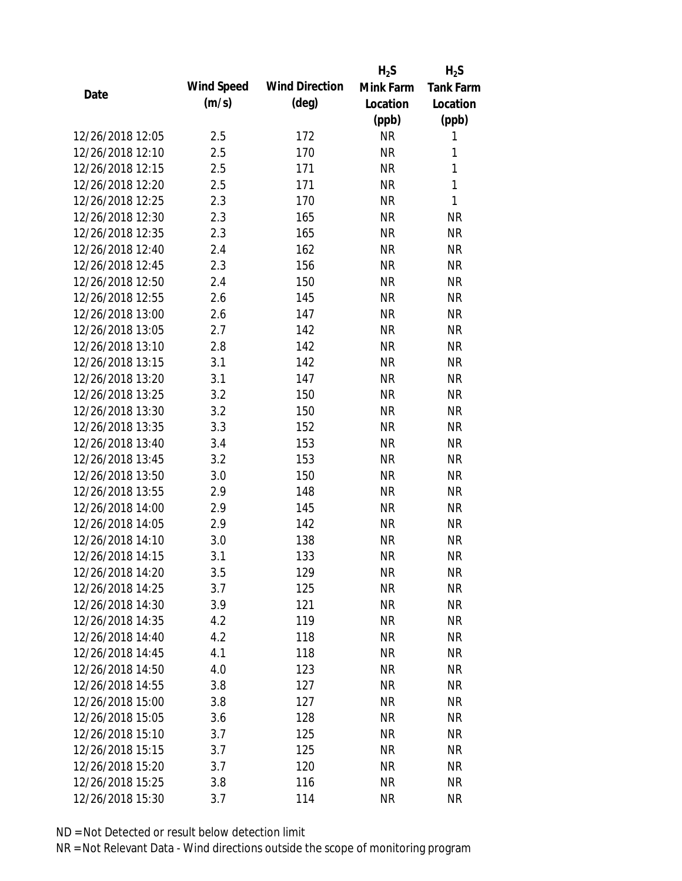|                  |            |                       | $H_2S$    | $H_2S$           |
|------------------|------------|-----------------------|-----------|------------------|
|                  | Wind Speed | <b>Wind Direction</b> | Mink Farm | <b>Tank Farm</b> |
| Date             | (m/s)      | $(\text{deg})$        | Location  | Location         |
|                  |            |                       | (ppb)     | (ppb)            |
| 12/26/2018 12:05 | 2.5        | 172                   | <b>NR</b> | 1                |
| 12/26/2018 12:10 | 2.5        | 170                   | <b>NR</b> | 1                |
| 12/26/2018 12:15 | 2.5        | 171                   | <b>NR</b> | 1                |
| 12/26/2018 12:20 | 2.5        | 171                   | <b>NR</b> | 1                |
| 12/26/2018 12:25 | 2.3        | 170                   | <b>NR</b> | 1                |
| 12/26/2018 12:30 | 2.3        | 165                   | <b>NR</b> | <b>NR</b>        |
| 12/26/2018 12:35 | 2.3        | 165                   | <b>NR</b> | <b>NR</b>        |
| 12/26/2018 12:40 | 2.4        | 162                   | <b>NR</b> | <b>NR</b>        |
| 12/26/2018 12:45 | 2.3        | 156                   | <b>NR</b> | <b>NR</b>        |
| 12/26/2018 12:50 | 2.4        | 150                   | <b>NR</b> | <b>NR</b>        |
| 12/26/2018 12:55 | 2.6        | 145                   | <b>NR</b> | <b>NR</b>        |
| 12/26/2018 13:00 | 2.6        | 147                   | <b>NR</b> | <b>NR</b>        |
| 12/26/2018 13:05 | 2.7        | 142                   | <b>NR</b> | <b>NR</b>        |
| 12/26/2018 13:10 | 2.8        | 142                   | <b>NR</b> | <b>NR</b>        |
| 12/26/2018 13:15 | 3.1        | 142                   | <b>NR</b> | <b>NR</b>        |
| 12/26/2018 13:20 | 3.1        | 147                   | <b>NR</b> | <b>NR</b>        |
| 12/26/2018 13:25 | 3.2        | 150                   | <b>NR</b> | <b>NR</b>        |
| 12/26/2018 13:30 | 3.2        | 150                   | <b>NR</b> | <b>NR</b>        |
| 12/26/2018 13:35 | 3.3        | 152                   | <b>NR</b> | <b>NR</b>        |
| 12/26/2018 13:40 | 3.4        | 153                   | <b>NR</b> | <b>NR</b>        |
| 12/26/2018 13:45 | 3.2        | 153                   | <b>NR</b> | <b>NR</b>        |
| 12/26/2018 13:50 | 3.0        | 150                   | <b>NR</b> | <b>NR</b>        |
| 12/26/2018 13:55 | 2.9        | 148                   | <b>NR</b> | <b>NR</b>        |
| 12/26/2018 14:00 | 2.9        | 145                   | <b>NR</b> | <b>NR</b>        |
| 12/26/2018 14:05 | 2.9        | 142                   | <b>NR</b> | <b>NR</b>        |
| 12/26/2018 14:10 | 3.0        | 138                   | <b>NR</b> | <b>NR</b>        |
| 12/26/2018 14:15 | 3.1        | 133                   | <b>NR</b> | <b>NR</b>        |
| 12/26/2018 14:20 | 3.5        | 129                   | <b>NR</b> | <b>NR</b>        |
| 12/26/2018 14:25 | 3.7        | 125                   | <b>NR</b> | <b>NR</b>        |
| 12/26/2018 14:30 | 3.9        | 121                   | NR        | <b>NR</b>        |
| 12/26/2018 14:35 | 4.2        | 119                   | <b>NR</b> | <b>NR</b>        |
| 12/26/2018 14:40 | 4.2        | 118                   | <b>NR</b> | <b>NR</b>        |
| 12/26/2018 14:45 | 4.1        | 118                   | <b>NR</b> | <b>NR</b>        |
| 12/26/2018 14:50 | 4.0        | 123                   | <b>NR</b> | <b>NR</b>        |
| 12/26/2018 14:55 | 3.8        | 127                   | <b>NR</b> | <b>NR</b>        |
| 12/26/2018 15:00 | 3.8        | 127                   | <b>NR</b> | <b>NR</b>        |
| 12/26/2018 15:05 | 3.6        | 128                   | <b>NR</b> | <b>NR</b>        |
| 12/26/2018 15:10 | 3.7        | 125                   | <b>NR</b> | <b>NR</b>        |
| 12/26/2018 15:15 | 3.7        | 125                   | <b>NR</b> | <b>NR</b>        |
| 12/26/2018 15:20 | 3.7        | 120                   | <b>NR</b> | <b>NR</b>        |
| 12/26/2018 15:25 | 3.8        | 116                   | <b>NR</b> | <b>NR</b>        |
| 12/26/2018 15:30 | 3.7        | 114                   | <b>NR</b> | <b>NR</b>        |
|                  |            |                       |           |                  |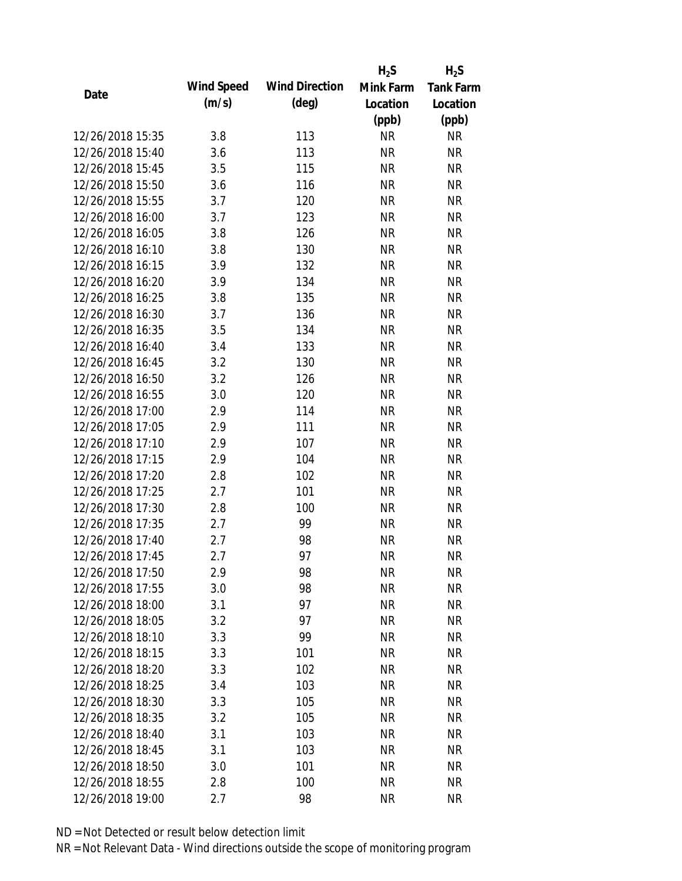|                  |            |                       | $H_2S$    | $H_2S$           |
|------------------|------------|-----------------------|-----------|------------------|
|                  | Wind Speed | <b>Wind Direction</b> | Mink Farm | <b>Tank Farm</b> |
| Date             | (m/s)      | $(\text{deg})$        | Location  | Location         |
|                  |            |                       | (ppb)     | (ppb)            |
| 12/26/2018 15:35 | 3.8        | 113                   | <b>NR</b> | <b>NR</b>        |
| 12/26/2018 15:40 | 3.6        | 113                   | <b>NR</b> | <b>NR</b>        |
| 12/26/2018 15:45 | 3.5        | 115                   | <b>NR</b> | <b>NR</b>        |
| 12/26/2018 15:50 | 3.6        | 116                   | <b>NR</b> | <b>NR</b>        |
| 12/26/2018 15:55 | 3.7        | 120                   | <b>NR</b> | <b>NR</b>        |
| 12/26/2018 16:00 | 3.7        | 123                   | <b>NR</b> | <b>NR</b>        |
| 12/26/2018 16:05 | 3.8        | 126                   | <b>NR</b> | <b>NR</b>        |
| 12/26/2018 16:10 | 3.8        | 130                   | <b>NR</b> | <b>NR</b>        |
| 12/26/2018 16:15 | 3.9        | 132                   | <b>NR</b> | <b>NR</b>        |
| 12/26/2018 16:20 | 3.9        | 134                   | <b>NR</b> | <b>NR</b>        |
| 12/26/2018 16:25 | 3.8        | 135                   | <b>NR</b> | <b>NR</b>        |
| 12/26/2018 16:30 | 3.7        | 136                   | <b>NR</b> | <b>NR</b>        |
| 12/26/2018 16:35 | 3.5        | 134                   | <b>NR</b> | <b>NR</b>        |
| 12/26/2018 16:40 | 3.4        | 133                   | <b>NR</b> | <b>NR</b>        |
| 12/26/2018 16:45 | 3.2        | 130                   | <b>NR</b> | <b>NR</b>        |
| 12/26/2018 16:50 | 3.2        | 126                   | <b>NR</b> | <b>NR</b>        |
| 12/26/2018 16:55 | 3.0        | 120                   | <b>NR</b> | <b>NR</b>        |
| 12/26/2018 17:00 | 2.9        | 114                   | <b>NR</b> | <b>NR</b>        |
| 12/26/2018 17:05 | 2.9        | 111                   | <b>NR</b> | <b>NR</b>        |
| 12/26/2018 17:10 | 2.9        | 107                   | <b>NR</b> | <b>NR</b>        |
| 12/26/2018 17:15 | 2.9        | 104                   | <b>NR</b> | <b>NR</b>        |
| 12/26/2018 17:20 | 2.8        | 102                   | <b>NR</b> | <b>NR</b>        |
| 12/26/2018 17:25 | 2.7        | 101                   | <b>NR</b> | <b>NR</b>        |
| 12/26/2018 17:30 | 2.8        | 100                   | <b>NR</b> | <b>NR</b>        |
| 12/26/2018 17:35 | 2.7        | 99                    | <b>NR</b> | <b>NR</b>        |
| 12/26/2018 17:40 | 2.7        | 98                    | <b>NR</b> | <b>NR</b>        |
| 12/26/2018 17:45 | 2.7        | 97                    | <b>NR</b> | <b>NR</b>        |
| 12/26/2018 17:50 | 2.9        | 98                    | <b>NR</b> | <b>NR</b>        |
| 12/26/2018 17:55 | 3.0        | 98                    | <b>NR</b> | <b>NR</b>        |
| 12/26/2018 18:00 | 3.1        | 97                    | <b>NR</b> | <b>NR</b>        |
| 12/26/2018 18:05 | 3.2        | 97                    | <b>NR</b> | <b>NR</b>        |
| 12/26/2018 18:10 | 3.3        | 99                    | <b>NR</b> | <b>NR</b>        |
| 12/26/2018 18:15 | 3.3        | 101                   | <b>NR</b> | <b>NR</b>        |
| 12/26/2018 18:20 | 3.3        | 102                   | <b>NR</b> | <b>NR</b>        |
| 12/26/2018 18:25 | 3.4        | 103                   | <b>NR</b> | <b>NR</b>        |
| 12/26/2018 18:30 | 3.3        | 105                   | <b>NR</b> | <b>NR</b>        |
| 12/26/2018 18:35 | 3.2        | 105                   | <b>NR</b> | <b>NR</b>        |
| 12/26/2018 18:40 | 3.1        | 103                   | <b>NR</b> | <b>NR</b>        |
| 12/26/2018 18:45 | 3.1        | 103                   | <b>NR</b> | <b>NR</b>        |
| 12/26/2018 18:50 | 3.0        | 101                   | <b>NR</b> | <b>NR</b>        |
| 12/26/2018 18:55 | 2.8        | 100                   | <b>NR</b> | <b>NR</b>        |
| 12/26/2018 19:00 | 2.7        | 98                    | <b>NR</b> | <b>NR</b>        |
|                  |            |                       |           |                  |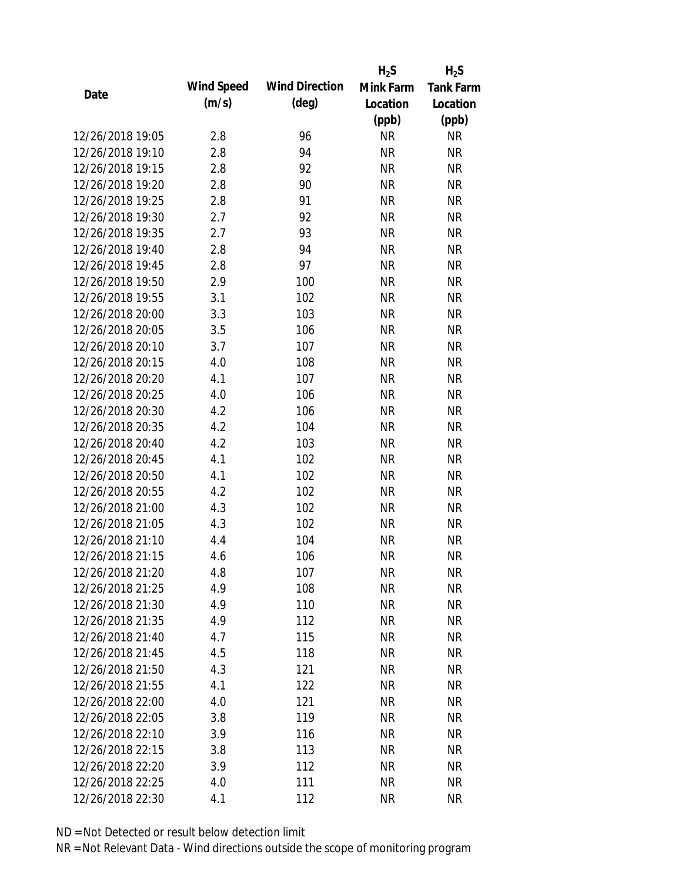|                  |            |                       | $H_2S$    | $H_2S$           |
|------------------|------------|-----------------------|-----------|------------------|
| Date             | Wind Speed | <b>Wind Direction</b> | Mink Farm | <b>Tank Farm</b> |
|                  | (m/s)      | $(\text{deg})$        | Location  | Location         |
|                  |            |                       | (ppb)     | (ppb)            |
| 12/26/2018 19:05 | 2.8        | 96                    | <b>NR</b> | NR               |
| 12/26/2018 19:10 | 2.8        | 94                    | <b>NR</b> | <b>NR</b>        |
| 12/26/2018 19:15 | 2.8        | 92                    | <b>NR</b> | <b>NR</b>        |
| 12/26/2018 19:20 | 2.8        | 90                    | <b>NR</b> | <b>NR</b>        |
| 12/26/2018 19:25 | 2.8        | 91                    | <b>NR</b> | <b>NR</b>        |
| 12/26/2018 19:30 | 2.7        | 92                    | <b>NR</b> | <b>NR</b>        |
| 12/26/2018 19:35 | 2.7        | 93                    | <b>NR</b> | <b>NR</b>        |
| 12/26/2018 19:40 | 2.8        | 94                    | <b>NR</b> | <b>NR</b>        |
| 12/26/2018 19:45 | 2.8        | 97                    | <b>NR</b> | <b>NR</b>        |
| 12/26/2018 19:50 | 2.9        | 100                   | <b>NR</b> | <b>NR</b>        |
| 12/26/2018 19:55 | 3.1        | 102                   | <b>NR</b> | <b>NR</b>        |
| 12/26/2018 20:00 | 3.3        | 103                   | <b>NR</b> | <b>NR</b>        |
| 12/26/2018 20:05 | 3.5        | 106                   | <b>NR</b> | <b>NR</b>        |
| 12/26/2018 20:10 | 3.7        | 107                   | <b>NR</b> | <b>NR</b>        |
| 12/26/2018 20:15 | 4.0        | 108                   | <b>NR</b> | <b>NR</b>        |
| 12/26/2018 20:20 | 4.1        | 107                   | <b>NR</b> | <b>NR</b>        |
| 12/26/2018 20:25 | 4.0        | 106                   | <b>NR</b> | <b>NR</b>        |
| 12/26/2018 20:30 | 4.2        | 106                   | <b>NR</b> | <b>NR</b>        |
| 12/26/2018 20:35 | 4.2        | 104                   | <b>NR</b> | <b>NR</b>        |
| 12/26/2018 20:40 | 4.2        | 103                   | <b>NR</b> | <b>NR</b>        |
| 12/26/2018 20:45 | 4.1        | 102                   | <b>NR</b> | <b>NR</b>        |
| 12/26/2018 20:50 | 4.1        | 102                   | <b>NR</b> | <b>NR</b>        |
| 12/26/2018 20:55 | 4.2        | 102                   | <b>NR</b> | <b>NR</b>        |
| 12/26/2018 21:00 | 4.3        | 102                   | <b>NR</b> | <b>NR</b>        |
| 12/26/2018 21:05 | 4.3        | 102                   | <b>NR</b> | <b>NR</b>        |
| 12/26/2018 21:10 | 4.4        | 104                   | <b>NR</b> | <b>NR</b>        |
| 12/26/2018 21:15 | 4.6        | 106                   | <b>NR</b> | <b>NR</b>        |
| 12/26/2018 21:20 | 4.8        | 107                   | <b>NR</b> | <b>NR</b>        |
| 12/26/2018 21:25 | 4.9        | 108                   | <b>NR</b> | <b>NR</b>        |
| 12/26/2018 21:30 | 4.9        | 110                   | <b>NR</b> | <b>NR</b>        |
| 12/26/2018 21:35 | 4.9        | 112                   | <b>NR</b> | <b>NR</b>        |
| 12/26/2018 21:40 | 4.7        | 115                   | <b>NR</b> | <b>NR</b>        |
| 12/26/2018 21:45 | 4.5        | 118                   | <b>NR</b> | <b>NR</b>        |
| 12/26/2018 21:50 | 4.3        | 121                   | <b>NR</b> | <b>NR</b>        |
| 12/26/2018 21:55 | 4.1        | 122                   | <b>NR</b> | NR               |
| 12/26/2018 22:00 | 4.0        | 121                   | <b>NR</b> | <b>NR</b>        |
| 12/26/2018 22:05 | 3.8        | 119                   | NR        | <b>NR</b>        |
| 12/26/2018 22:10 | 3.9        | 116                   | NR        | <b>NR</b>        |
| 12/26/2018 22:15 | 3.8        | 113                   | <b>NR</b> | NR               |
| 12/26/2018 22:20 | 3.9        | 112                   | <b>NR</b> | <b>NR</b>        |
| 12/26/2018 22:25 |            |                       | <b>NR</b> |                  |
|                  | 4.0        | 111                   |           | <b>NR</b>        |
| 12/26/2018 22:30 | 4.1        | 112                   | <b>NR</b> | <b>NR</b>        |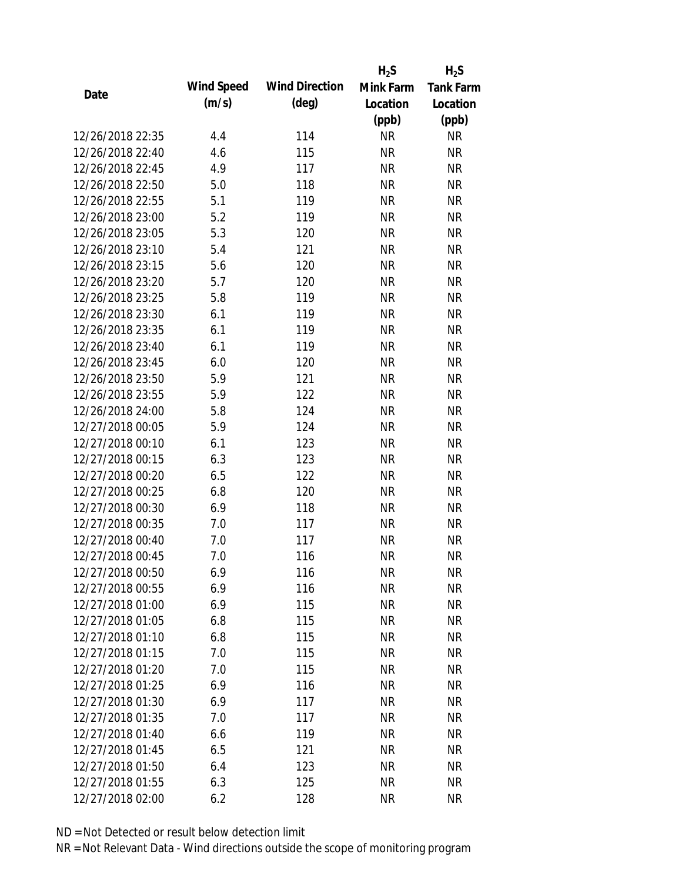|                  |            |                       | $H_2S$    | $H_2S$           |
|------------------|------------|-----------------------|-----------|------------------|
| Date             | Wind Speed | <b>Wind Direction</b> | Mink Farm | <b>Tank Farm</b> |
|                  | (m/s)      | $(\text{deg})$        | Location  | Location         |
|                  |            |                       | (ppb)     | (ppb)            |
| 12/26/2018 22:35 | 4.4        | 114                   | <b>NR</b> | NR               |
| 12/26/2018 22:40 | 4.6        | 115                   | <b>NR</b> | <b>NR</b>        |
| 12/26/2018 22:45 | 4.9        | 117                   | <b>NR</b> | <b>NR</b>        |
| 12/26/2018 22:50 | 5.0        | 118                   | <b>NR</b> | <b>NR</b>        |
| 12/26/2018 22:55 | 5.1        | 119                   | <b>NR</b> | <b>NR</b>        |
| 12/26/2018 23:00 | 5.2        | 119                   | <b>NR</b> | <b>NR</b>        |
| 12/26/2018 23:05 | 5.3        | 120                   | <b>NR</b> | <b>NR</b>        |
| 12/26/2018 23:10 | 5.4        | 121                   | <b>NR</b> | <b>NR</b>        |
| 12/26/2018 23:15 | 5.6        | 120                   | <b>NR</b> | <b>NR</b>        |
| 12/26/2018 23:20 | 5.7        | 120                   | <b>NR</b> | <b>NR</b>        |
| 12/26/2018 23:25 | 5.8        | 119                   | <b>NR</b> | <b>NR</b>        |
| 12/26/2018 23:30 | 6.1        | 119                   | <b>NR</b> | <b>NR</b>        |
| 12/26/2018 23:35 | 6.1        | 119                   | <b>NR</b> | <b>NR</b>        |
| 12/26/2018 23:40 | 6.1        | 119                   | <b>NR</b> | <b>NR</b>        |
| 12/26/2018 23:45 | 6.0        | 120                   | <b>NR</b> | <b>NR</b>        |
| 12/26/2018 23:50 | 5.9        | 121                   | <b>NR</b> | <b>NR</b>        |
| 12/26/2018 23:55 | 5.9        | 122                   | <b>NR</b> | <b>NR</b>        |
| 12/26/2018 24:00 | 5.8        | 124                   | <b>NR</b> | <b>NR</b>        |
| 12/27/2018 00:05 | 5.9        | 124                   | <b>NR</b> | <b>NR</b>        |
| 12/27/2018 00:10 | 6.1        | 123                   | <b>NR</b> | <b>NR</b>        |
| 12/27/2018 00:15 | 6.3        | 123                   | <b>NR</b> | <b>NR</b>        |
| 12/27/2018 00:20 | 6.5        | 122                   | <b>NR</b> | <b>NR</b>        |
| 12/27/2018 00:25 | 6.8        | 120                   | <b>NR</b> | <b>NR</b>        |
| 12/27/2018 00:30 | 6.9        | 118                   | <b>NR</b> | <b>NR</b>        |
| 12/27/2018 00:35 | 7.0        | 117                   | <b>NR</b> | <b>NR</b>        |
| 12/27/2018 00:40 | 7.0        | 117                   | <b>NR</b> | <b>NR</b>        |
| 12/27/2018 00:45 | 7.0        | 116                   | <b>NR</b> | <b>NR</b>        |
| 12/27/2018 00:50 | 6.9        | 116                   | <b>NR</b> | <b>NR</b>        |
| 12/27/2018 00:55 | 6.9        | 116                   | <b>NR</b> | <b>NR</b>        |
| 12/27/2018 01:00 | 6.9        | 115                   | <b>NR</b> | <b>NR</b>        |
| 12/27/2018 01:05 | 6.8        | 115                   | <b>NR</b> | <b>NR</b>        |
| 12/27/2018 01:10 | 6.8        | 115                   | <b>NR</b> | <b>NR</b>        |
| 12/27/2018 01:15 | 7.0        | 115                   | <b>NR</b> | <b>NR</b>        |
| 12/27/2018 01:20 | 7.0        | 115                   | <b>NR</b> | <b>NR</b>        |
| 12/27/2018 01:25 | 6.9        | 116                   | <b>NR</b> | NR               |
| 12/27/2018 01:30 | 6.9        | 117                   | <b>NR</b> | <b>NR</b>        |
| 12/27/2018 01:35 | 7.0        | 117                   | NR        | <b>NR</b>        |
| 12/27/2018 01:40 | 6.6        | 119                   | NR        | <b>NR</b>        |
| 12/27/2018 01:45 | 6.5        | 121                   | <b>NR</b> | NR               |
| 12/27/2018 01:50 | 6.4        | 123                   | <b>NR</b> | <b>NR</b>        |
| 12/27/2018 01:55 | 6.3        | 125                   | <b>NR</b> | <b>NR</b>        |
| 12/27/2018 02:00 | 6.2        | 128                   | <b>NR</b> | <b>NR</b>        |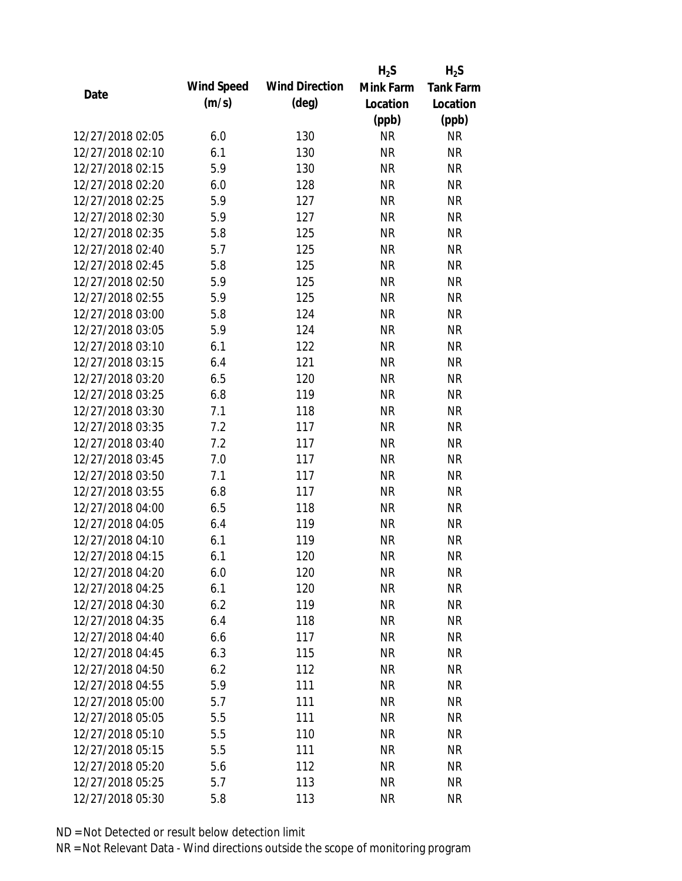|                  |            |                       | $H_2S$    | $H_2S$           |
|------------------|------------|-----------------------|-----------|------------------|
| Date             | Wind Speed | <b>Wind Direction</b> | Mink Farm | <b>Tank Farm</b> |
|                  | (m/s)      | $(\text{deg})$        | Location  | Location         |
|                  |            |                       | (ppb)     | (ppb)            |
| 12/27/2018 02:05 | 6.0        | 130                   | <b>NR</b> | <b>NR</b>        |
| 12/27/2018 02:10 | 6.1        | 130                   | <b>NR</b> | <b>NR</b>        |
| 12/27/2018 02:15 | 5.9        | 130                   | <b>NR</b> | <b>NR</b>        |
| 12/27/2018 02:20 | 6.0        | 128                   | <b>NR</b> | <b>NR</b>        |
| 12/27/2018 02:25 | 5.9        | 127                   | <b>NR</b> | <b>NR</b>        |
| 12/27/2018 02:30 | 5.9        | 127                   | <b>NR</b> | <b>NR</b>        |
| 12/27/2018 02:35 | 5.8        | 125                   | <b>NR</b> | <b>NR</b>        |
| 12/27/2018 02:40 | 5.7        | 125                   | <b>NR</b> | <b>NR</b>        |
| 12/27/2018 02:45 | 5.8        | 125                   | <b>NR</b> | <b>NR</b>        |
| 12/27/2018 02:50 | 5.9        | 125                   | <b>NR</b> | <b>NR</b>        |
| 12/27/2018 02:55 | 5.9        | 125                   | <b>NR</b> | <b>NR</b>        |
| 12/27/2018 03:00 | 5.8        | 124                   | <b>NR</b> | <b>NR</b>        |
| 12/27/2018 03:05 | 5.9        | 124                   | <b>NR</b> | <b>NR</b>        |
| 12/27/2018 03:10 | 6.1        | 122                   | <b>NR</b> | <b>NR</b>        |
| 12/27/2018 03:15 | 6.4        | 121                   | <b>NR</b> | <b>NR</b>        |
| 12/27/2018 03:20 | 6.5        | 120                   | <b>NR</b> | <b>NR</b>        |
| 12/27/2018 03:25 | 6.8        | 119                   | <b>NR</b> | <b>NR</b>        |
| 12/27/2018 03:30 | 7.1        | 118                   | <b>NR</b> | <b>NR</b>        |
| 12/27/2018 03:35 | 7.2        | 117                   | <b>NR</b> | <b>NR</b>        |
| 12/27/2018 03:40 | 7.2        | 117                   | <b>NR</b> | <b>NR</b>        |
| 12/27/2018 03:45 | 7.0        | 117                   | <b>NR</b> | <b>NR</b>        |
| 12/27/2018 03:50 | 7.1        | 117                   | <b>NR</b> | <b>NR</b>        |
| 12/27/2018 03:55 | 6.8        | 117                   | <b>NR</b> | <b>NR</b>        |
| 12/27/2018 04:00 | 6.5        | 118                   | <b>NR</b> | <b>NR</b>        |
| 12/27/2018 04:05 | 6.4        | 119                   | <b>NR</b> | <b>NR</b>        |
| 12/27/2018 04:10 | 6.1        | 119                   | <b>NR</b> | <b>NR</b>        |
| 12/27/2018 04:15 | 6.1        | 120                   | <b>NR</b> | <b>NR</b>        |
| 12/27/2018 04:20 | 6.0        | 120                   | <b>NR</b> | <b>NR</b>        |
| 12/27/2018 04:25 | 6.1        | 120                   | <b>NR</b> | <b>NR</b>        |
| 12/27/2018 04:30 | 6.2        | 119                   | <b>NR</b> | <b>NR</b>        |
| 12/27/2018 04:35 | 6.4        | 118                   | <b>NR</b> | <b>NR</b>        |
| 12/27/2018 04:40 | 6.6        | 117                   | <b>NR</b> | <b>NR</b>        |
| 12/27/2018 04:45 | 6.3        | 115                   | <b>NR</b> | <b>NR</b>        |
| 12/27/2018 04:50 | 6.2        | 112                   | <b>NR</b> | <b>NR</b>        |
| 12/27/2018 04:55 | 5.9        | 111                   | <b>NR</b> | <b>NR</b>        |
| 12/27/2018 05:00 | 5.7        | 111                   | <b>NR</b> | <b>NR</b>        |
| 12/27/2018 05:05 | 5.5        | 111                   | <b>NR</b> | <b>NR</b>        |
| 12/27/2018 05:10 | 5.5        | 110                   | NR        | <b>NR</b>        |
| 12/27/2018 05:15 | 5.5        | 111                   | <b>NR</b> | <b>NR</b>        |
| 12/27/2018 05:20 | 5.6        | 112                   | <b>NR</b> | <b>NR</b>        |
| 12/27/2018 05:25 | 5.7        | 113                   | <b>NR</b> | <b>NR</b>        |
| 12/27/2018 05:30 | 5.8        | 113                   | <b>NR</b> | <b>NR</b>        |
|                  |            |                       |           |                  |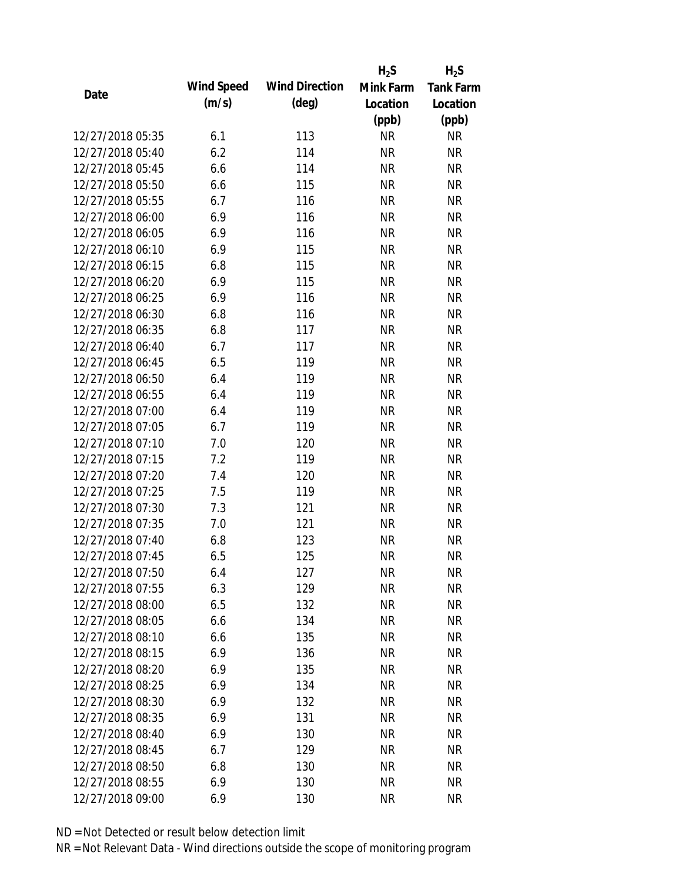|                  |            |                       | $H_2S$    | $H_2S$           |
|------------------|------------|-----------------------|-----------|------------------|
| Date             | Wind Speed | <b>Wind Direction</b> | Mink Farm | <b>Tank Farm</b> |
|                  | (m/s)      | $(\text{deg})$        | Location  | Location         |
|                  |            |                       | (ppb)     | (ppb)            |
| 12/27/2018 05:35 | 6.1        | 113                   | <b>NR</b> | <b>NR</b>        |
| 12/27/2018 05:40 | 6.2        | 114                   | <b>NR</b> | <b>NR</b>        |
| 12/27/2018 05:45 | 6.6        | 114                   | <b>NR</b> | <b>NR</b>        |
| 12/27/2018 05:50 | 6.6        | 115                   | <b>NR</b> | <b>NR</b>        |
| 12/27/2018 05:55 | 6.7        | 116                   | <b>NR</b> | <b>NR</b>        |
| 12/27/2018 06:00 | 6.9        | 116                   | <b>NR</b> | <b>NR</b>        |
| 12/27/2018 06:05 | 6.9        | 116                   | <b>NR</b> | <b>NR</b>        |
| 12/27/2018 06:10 | 6.9        | 115                   | <b>NR</b> | <b>NR</b>        |
| 12/27/2018 06:15 | 6.8        | 115                   | <b>NR</b> | <b>NR</b>        |
| 12/27/2018 06:20 | 6.9        | 115                   | <b>NR</b> | <b>NR</b>        |
| 12/27/2018 06:25 | 6.9        | 116                   | <b>NR</b> | <b>NR</b>        |
| 12/27/2018 06:30 | 6.8        | 116                   | <b>NR</b> | <b>NR</b>        |
| 12/27/2018 06:35 | 6.8        | 117                   | <b>NR</b> | <b>NR</b>        |
| 12/27/2018 06:40 | 6.7        | 117                   | <b>NR</b> | <b>NR</b>        |
| 12/27/2018 06:45 | 6.5        | 119                   | <b>NR</b> | <b>NR</b>        |
| 12/27/2018 06:50 | 6.4        | 119                   | <b>NR</b> | <b>NR</b>        |
| 12/27/2018 06:55 | 6.4        | 119                   | <b>NR</b> | <b>NR</b>        |
| 12/27/2018 07:00 | 6.4        | 119                   | <b>NR</b> | <b>NR</b>        |
| 12/27/2018 07:05 | 6.7        | 119                   | <b>NR</b> | <b>NR</b>        |
| 12/27/2018 07:10 | 7.0        | 120                   | <b>NR</b> | <b>NR</b>        |
| 12/27/2018 07:15 | 7.2        | 119                   | <b>NR</b> | <b>NR</b>        |
| 12/27/2018 07:20 | 7.4        | 120                   | <b>NR</b> | <b>NR</b>        |
| 12/27/2018 07:25 | 7.5        | 119                   | <b>NR</b> | <b>NR</b>        |
| 12/27/2018 07:30 | 7.3        | 121                   | <b>NR</b> | <b>NR</b>        |
| 12/27/2018 07:35 | 7.0        | 121                   | <b>NR</b> | <b>NR</b>        |
| 12/27/2018 07:40 | 6.8        | 123                   | <b>NR</b> | <b>NR</b>        |
| 12/27/2018 07:45 | 6.5        | 125                   | <b>NR</b> | <b>NR</b>        |
| 12/27/2018 07:50 | 6.4        | 127                   | <b>NR</b> | <b>NR</b>        |
| 12/27/2018 07:55 | 6.3        | 129                   | <b>NR</b> | <b>NR</b>        |
| 12/27/2018 08:00 | 6.5        | 132                   | <b>NR</b> | <b>NR</b>        |
| 12/27/2018 08:05 | 6.6        | 134                   | <b>NR</b> | <b>NR</b>        |
| 12/27/2018 08:10 | 6.6        | 135                   | <b>NR</b> | <b>NR</b>        |
| 12/27/2018 08:15 | 6.9        | 136                   | <b>NR</b> | <b>NR</b>        |
| 12/27/2018 08:20 | 6.9        | 135                   | <b>NR</b> | <b>NR</b>        |
| 12/27/2018 08:25 | 6.9        | 134                   | <b>NR</b> | NR               |
| 12/27/2018 08:30 | 6.9        | 132                   | <b>NR</b> | <b>NR</b>        |
| 12/27/2018 08:35 | 6.9        | 131                   | <b>NR</b> | <b>NR</b>        |
| 12/27/2018 08:40 | 6.9        | 130                   | NR        | <b>NR</b>        |
| 12/27/2018 08:45 | 6.7        | 129                   | <b>NR</b> | NR               |
| 12/27/2018 08:50 | 6.8        | 130                   | <b>NR</b> | <b>NR</b>        |
| 12/27/2018 08:55 | 6.9        | 130                   | <b>NR</b> | <b>NR</b>        |
| 12/27/2018 09:00 | 6.9        | 130                   | <b>NR</b> | <b>NR</b>        |
|                  |            |                       |           |                  |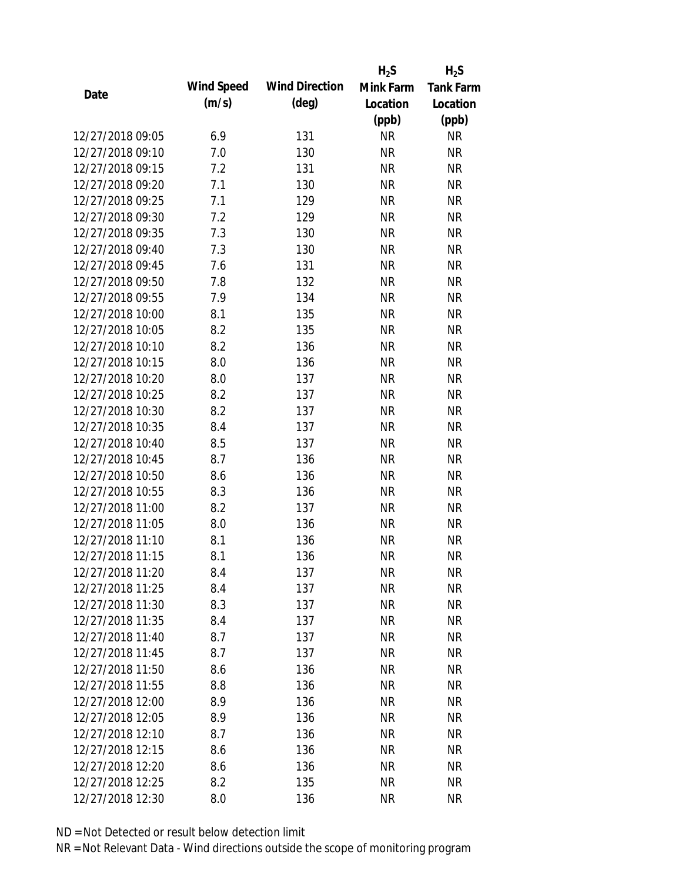|                  |            |                       | $H_2S$    | $H_2S$           |
|------------------|------------|-----------------------|-----------|------------------|
| Date             | Wind Speed | <b>Wind Direction</b> | Mink Farm | <b>Tank Farm</b> |
|                  | (m/s)      | $(\text{deg})$        | Location  | Location         |
|                  |            |                       | (ppb)     | (ppb)            |
| 12/27/2018 09:05 | 6.9        | 131                   | <b>NR</b> | <b>NR</b>        |
| 12/27/2018 09:10 | 7.0        | 130                   | <b>NR</b> | <b>NR</b>        |
| 12/27/2018 09:15 | 7.2        | 131                   | <b>NR</b> | <b>NR</b>        |
| 12/27/2018 09:20 | 7.1        | 130                   | <b>NR</b> | <b>NR</b>        |
| 12/27/2018 09:25 | 7.1        | 129                   | <b>NR</b> | <b>NR</b>        |
| 12/27/2018 09:30 | 7.2        | 129                   | <b>NR</b> | <b>NR</b>        |
| 12/27/2018 09:35 | 7.3        | 130                   | <b>NR</b> | <b>NR</b>        |
| 12/27/2018 09:40 | 7.3        | 130                   | <b>NR</b> | <b>NR</b>        |
| 12/27/2018 09:45 | 7.6        | 131                   | <b>NR</b> | <b>NR</b>        |
| 12/27/2018 09:50 | 7.8        | 132                   | <b>NR</b> | <b>NR</b>        |
| 12/27/2018 09:55 | 7.9        | 134                   | <b>NR</b> | <b>NR</b>        |
| 12/27/2018 10:00 | 8.1        | 135                   | <b>NR</b> | <b>NR</b>        |
| 12/27/2018 10:05 | 8.2        | 135                   | <b>NR</b> | <b>NR</b>        |
| 12/27/2018 10:10 | 8.2        | 136                   | <b>NR</b> | <b>NR</b>        |
| 12/27/2018 10:15 | 8.0        | 136                   | <b>NR</b> | <b>NR</b>        |
| 12/27/2018 10:20 | 8.0        | 137                   | <b>NR</b> | <b>NR</b>        |
| 12/27/2018 10:25 | 8.2        | 137                   | <b>NR</b> | <b>NR</b>        |
| 12/27/2018 10:30 | 8.2        | 137                   | <b>NR</b> | <b>NR</b>        |
| 12/27/2018 10:35 | 8.4        | 137                   | <b>NR</b> | <b>NR</b>        |
| 12/27/2018 10:40 | 8.5        | 137                   | <b>NR</b> | <b>NR</b>        |
| 12/27/2018 10:45 | 8.7        | 136                   | <b>NR</b> | <b>NR</b>        |
| 12/27/2018 10:50 | 8.6        | 136                   | <b>NR</b> | <b>NR</b>        |
| 12/27/2018 10:55 | 8.3        | 136                   | <b>NR</b> | <b>NR</b>        |
| 12/27/2018 11:00 | 8.2        | 137                   | <b>NR</b> | <b>NR</b>        |
| 12/27/2018 11:05 | 8.0        | 136                   | <b>NR</b> | <b>NR</b>        |
| 12/27/2018 11:10 | 8.1        | 136                   | <b>NR</b> | <b>NR</b>        |
| 12/27/2018 11:15 | 8.1        | 136                   | <b>NR</b> | <b>NR</b>        |
| 12/27/2018 11:20 | 8.4        | 137                   | <b>NR</b> | <b>NR</b>        |
| 12/27/2018 11:25 | 8.4        | 137                   | <b>NR</b> | <b>NR</b>        |
| 12/27/2018 11:30 | 8.3        | 137                   | <b>NR</b> | <b>NR</b>        |
| 12/27/2018 11:35 | 8.4        | 137                   | <b>NR</b> | <b>NR</b>        |
| 12/27/2018 11:40 | 8.7        | 137                   | <b>NR</b> | <b>NR</b>        |
| 12/27/2018 11:45 | 8.7        | 137                   | <b>NR</b> | <b>NR</b>        |
| 12/27/2018 11:50 | 8.6        | 136                   | <b>NR</b> | <b>NR</b>        |
| 12/27/2018 11:55 | 8.8        | 136                   | <b>NR</b> | NR               |
| 12/27/2018 12:00 | 8.9        | 136                   | <b>NR</b> | <b>NR</b>        |
| 12/27/2018 12:05 | 8.9        | 136                   | NR        | <b>NR</b>        |
| 12/27/2018 12:10 | 8.7        | 136                   | NR        | <b>NR</b>        |
| 12/27/2018 12:15 | 8.6        | 136                   | <b>NR</b> | NR               |
| 12/27/2018 12:20 | 8.6        | 136                   | <b>NR</b> | <b>NR</b>        |
| 12/27/2018 12:25 | 8.2        | 135                   | <b>NR</b> | <b>NR</b>        |
| 12/27/2018 12:30 | 8.0        | 136                   | <b>NR</b> | <b>NR</b>        |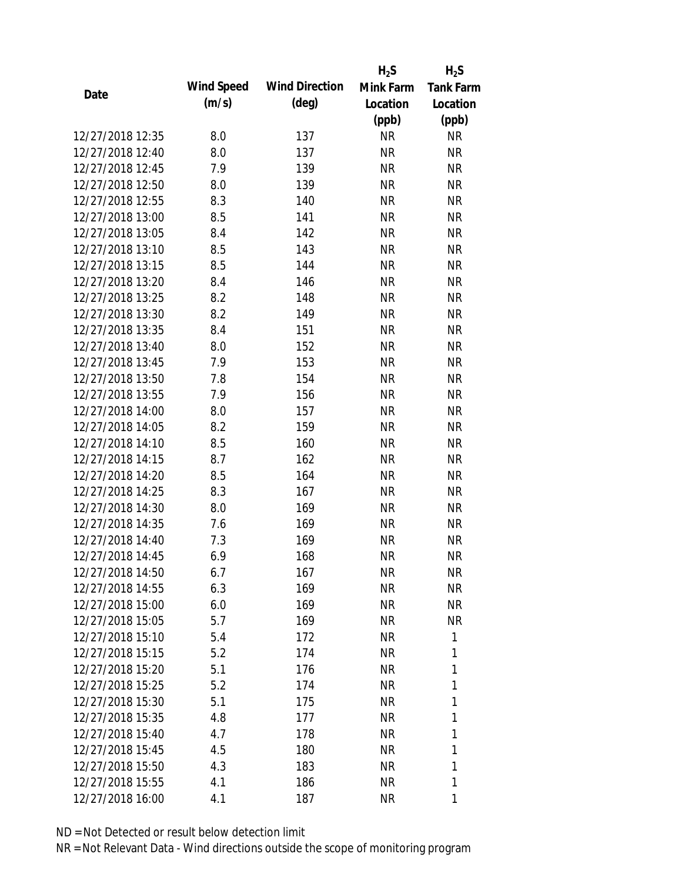|                  |            |                       | $H_2S$    | $H_2S$           |
|------------------|------------|-----------------------|-----------|------------------|
| Date             | Wind Speed | <b>Wind Direction</b> | Mink Farm | <b>Tank Farm</b> |
|                  | (m/s)      | $(\text{deg})$        | Location  | Location         |
|                  |            |                       | (ppb)     | (ppb)            |
| 12/27/2018 12:35 | 8.0        | 137                   | <b>NR</b> | NR               |
| 12/27/2018 12:40 | 8.0        | 137                   | <b>NR</b> | <b>NR</b>        |
| 12/27/2018 12:45 | 7.9        | 139                   | <b>NR</b> | <b>NR</b>        |
| 12/27/2018 12:50 | 8.0        | 139                   | <b>NR</b> | <b>NR</b>        |
| 12/27/2018 12:55 | 8.3        | 140                   | <b>NR</b> | <b>NR</b>        |
| 12/27/2018 13:00 | 8.5        | 141                   | <b>NR</b> | <b>NR</b>        |
| 12/27/2018 13:05 | 8.4        | 142                   | <b>NR</b> | <b>NR</b>        |
| 12/27/2018 13:10 | 8.5        | 143                   | <b>NR</b> | <b>NR</b>        |
| 12/27/2018 13:15 | 8.5        | 144                   | <b>NR</b> | <b>NR</b>        |
| 12/27/2018 13:20 | 8.4        | 146                   | <b>NR</b> | <b>NR</b>        |
| 12/27/2018 13:25 | 8.2        | 148                   | <b>NR</b> | <b>NR</b>        |
| 12/27/2018 13:30 | 8.2        | 149                   | <b>NR</b> | <b>NR</b>        |
| 12/27/2018 13:35 | 8.4        | 151                   | <b>NR</b> | <b>NR</b>        |
| 12/27/2018 13:40 | 8.0        | 152                   | <b>NR</b> | <b>NR</b>        |
| 12/27/2018 13:45 | 7.9        | 153                   | <b>NR</b> | <b>NR</b>        |
| 12/27/2018 13:50 | 7.8        | 154                   | <b>NR</b> | <b>NR</b>        |
| 12/27/2018 13:55 | 7.9        | 156                   | <b>NR</b> | <b>NR</b>        |
| 12/27/2018 14:00 | 8.0        | 157                   | <b>NR</b> | <b>NR</b>        |
| 12/27/2018 14:05 | 8.2        | 159                   | <b>NR</b> | <b>NR</b>        |
| 12/27/2018 14:10 | 8.5        | 160                   | <b>NR</b> | <b>NR</b>        |
| 12/27/2018 14:15 | 8.7        | 162                   | <b>NR</b> | <b>NR</b>        |
| 12/27/2018 14:20 | 8.5        | 164                   | <b>NR</b> | <b>NR</b>        |
| 12/27/2018 14:25 | 8.3        | 167                   | <b>NR</b> | <b>NR</b>        |
| 12/27/2018 14:30 | 8.0        | 169                   | <b>NR</b> | <b>NR</b>        |
| 12/27/2018 14:35 | 7.6        | 169                   | <b>NR</b> | <b>NR</b>        |
| 12/27/2018 14:40 | 7.3        | 169                   | <b>NR</b> | <b>NR</b>        |
| 12/27/2018 14:45 | 6.9        | 168                   | <b>NR</b> | <b>NR</b>        |
| 12/27/2018 14:50 | 6.7        | 167                   | <b>NR</b> | <b>NR</b>        |
| 12/27/2018 14:55 | 6.3        | 169                   | <b>NR</b> | <b>NR</b>        |
| 12/27/2018 15:00 | 6.0        | 169                   | NR        | <b>NR</b>        |
| 12/27/2018 15:05 | 5.7        | 169                   | <b>NR</b> | NR               |
| 12/27/2018 15:10 | 5.4        | 172                   | <b>NR</b> | 1                |
| 12/27/2018 15:15 | 5.2        | 174                   | <b>NR</b> | 1                |
| 12/27/2018 15:20 | 5.1        | 176                   | <b>NR</b> | 1                |
| 12/27/2018 15:25 | 5.2        | 174                   | <b>NR</b> | 1                |
| 12/27/2018 15:30 | 5.1        | 175                   | <b>NR</b> | 1                |
| 12/27/2018 15:35 | 4.8        | 177                   | <b>NR</b> | 1                |
| 12/27/2018 15:40 | 4.7        | 178                   | NR        | 1                |
| 12/27/2018 15:45 | 4.5        | 180                   | <b>NR</b> | 1                |
| 12/27/2018 15:50 | 4.3        | 183                   | <b>NR</b> | 1                |
| 12/27/2018 15:55 | 4.1        | 186                   | <b>NR</b> | 1                |
| 12/27/2018 16:00 | 4.1        | 187                   | <b>NR</b> | 1                |
|                  |            |                       |           |                  |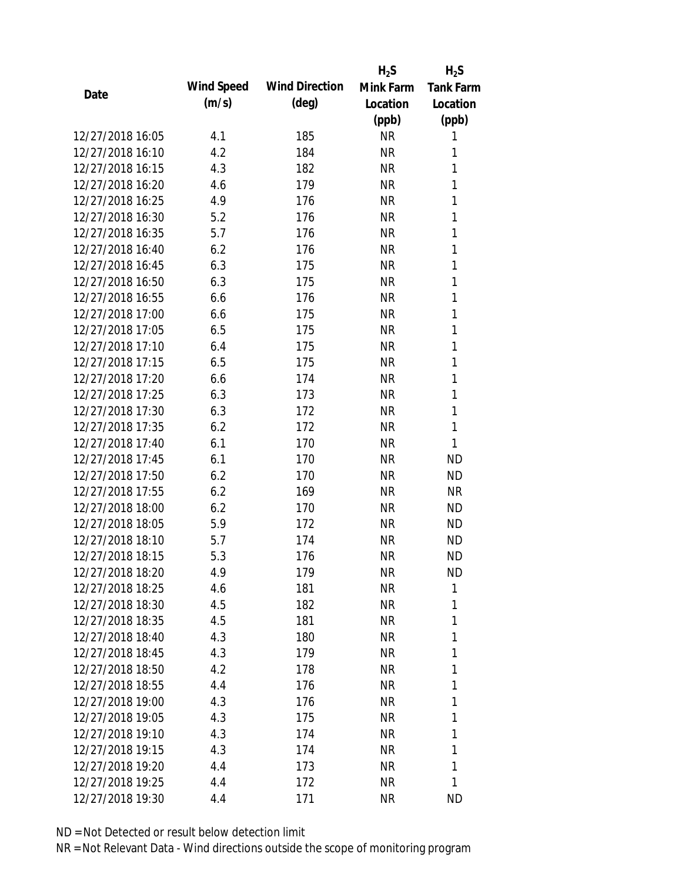|                                      |            |                       | $H_2S$    | $H_2S$           |
|--------------------------------------|------------|-----------------------|-----------|------------------|
| Date                                 | Wind Speed | <b>Wind Direction</b> | Mink Farm | <b>Tank Farm</b> |
|                                      | (m/s)      | $(\text{deg})$        | Location  | Location         |
|                                      |            |                       | (ppb)     | (ppb)            |
| 12/27/2018 16:05                     | 4.1        | 185                   | <b>NR</b> | 1                |
| 12/27/2018 16:10                     | 4.2        | 184                   | <b>NR</b> | 1                |
| 12/27/2018 16:15                     | 4.3        | 182                   | <b>NR</b> | 1                |
| 12/27/2018 16:20                     | 4.6        | 179                   | <b>NR</b> | 1                |
| 12/27/2018 16:25                     | 4.9        | 176                   | <b>NR</b> | 1                |
| 12/27/2018 16:30                     | 5.2        | 176                   | <b>NR</b> | 1                |
| 12/27/2018 16:35                     | 5.7        | 176                   | <b>NR</b> | 1                |
| 12/27/2018 16:40                     | 6.2        | 176                   | <b>NR</b> | 1                |
| 12/27/2018 16:45                     | 6.3        | 175                   | <b>NR</b> | 1                |
| 12/27/2018 16:50                     | 6.3        | 175                   | <b>NR</b> | 1                |
| 12/27/2018 16:55                     | 6.6        | 176                   | <b>NR</b> | 1                |
| 12/27/2018 17:00                     | 6.6        | 175                   | <b>NR</b> | 1                |
| 12/27/2018 17:05                     | 6.5        | 175                   | <b>NR</b> | 1                |
| 12/27/2018 17:10                     | 6.4        | 175                   | <b>NR</b> | 1                |
| 12/27/2018 17:15                     | 6.5        | 175                   | <b>NR</b> | 1                |
| 12/27/2018 17:20                     | 6.6        | 174                   | <b>NR</b> | 1                |
| 12/27/2018 17:25                     | 6.3        | 173                   | <b>NR</b> | 1                |
| 12/27/2018 17:30                     | 6.3        | 172                   | <b>NR</b> | 1                |
| 12/27/2018 17:35                     | 6.2        | 172                   | <b>NR</b> | $\mathbf{1}$     |
| 12/27/2018 17:40                     | 6.1        | 170                   | <b>NR</b> | 1                |
| 12/27/2018 17:45                     | 6.1        | 170                   | <b>NR</b> | <b>ND</b>        |
| 12/27/2018 17:50                     | 6.2        | 170                   | <b>NR</b> | <b>ND</b>        |
| 12/27/2018 17:55                     | 6.2        | 169                   | <b>NR</b> | <b>NR</b>        |
| 12/27/2018 18:00                     | 6.2        | 170                   | <b>NR</b> | <b>ND</b>        |
| 12/27/2018 18:05                     | 5.9        | 172                   | <b>NR</b> | <b>ND</b>        |
| 12/27/2018 18:10                     | 5.7        | 174                   | <b>NR</b> | <b>ND</b>        |
| 12/27/2018 18:15                     | 5.3        | 176                   | <b>NR</b> | <b>ND</b>        |
| 12/27/2018 18:20                     | 4.9        | 179                   | <b>NR</b> | <b>ND</b>        |
| 12/27/2018 18:25                     | 4.6        | 181                   | <b>NR</b> | 1                |
| 12/27/2018 18:30                     | 4.5        | 182                   | <b>NR</b> | 1                |
| 12/27/2018 18:35                     | 4.5        | 181                   | <b>NR</b> | 1                |
| 12/27/2018 18:40                     | 4.3        | 180                   | <b>NR</b> | 1                |
| 12/27/2018 18:45                     | 4.3        | 179                   | <b>NR</b> | 1                |
| 12/27/2018 18:50                     | 4.2        | 178                   | <b>NR</b> | 1                |
| 12/27/2018 18:55                     | 4.4        | 176                   | <b>NR</b> | 1                |
|                                      |            |                       |           | 1                |
| 12/27/2018 19:00<br>12/27/2018 19:05 | 4.3        | 176                   | <b>NR</b> | 1                |
|                                      | 4.3        | 175                   | <b>NR</b> |                  |
| 12/27/2018 19:10                     | 4.3        | 174                   | <b>NR</b> | 1                |
| 12/27/2018 19:15                     | 4.3        | 174                   | <b>NR</b> | 1                |
| 12/27/2018 19:20                     | 4.4        | 173                   | <b>NR</b> | 1                |
| 12/27/2018 19:25                     | 4.4        | 172                   | <b>NR</b> | 1                |
| 12/27/2018 19:30                     | 4.4        | 171                   | <b>NR</b> | <b>ND</b>        |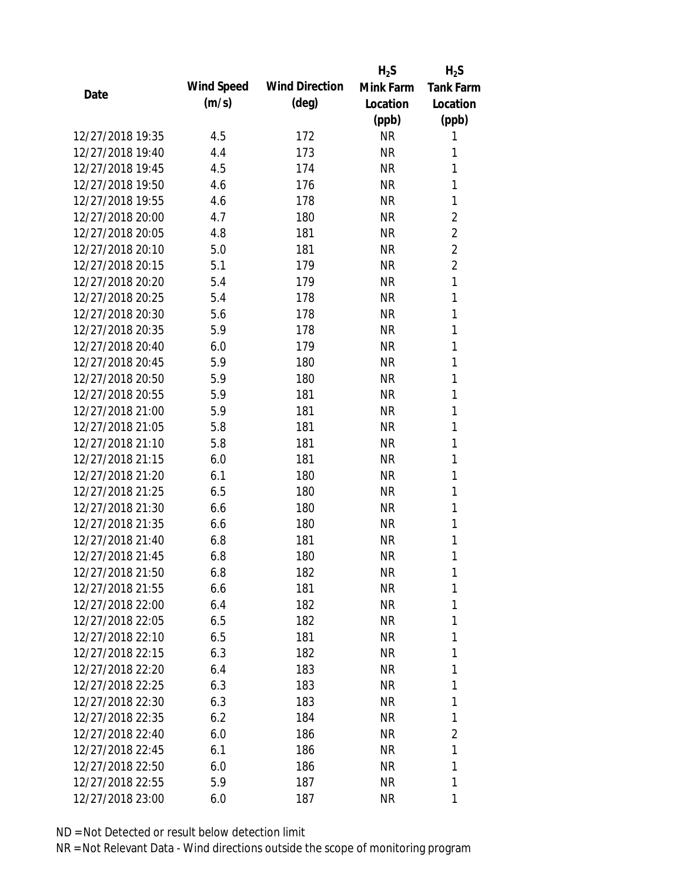|                  |            |                       | $H_2S$    | $H_2S$           |
|------------------|------------|-----------------------|-----------|------------------|
| Date             | Wind Speed | <b>Wind Direction</b> | Mink Farm | <b>Tank Farm</b> |
|                  | (m/s)      | $(\text{deg})$        | Location  | Location         |
|                  |            |                       | (ppb)     | (ppb)            |
| 12/27/2018 19:35 | 4.5        | 172                   | <b>NR</b> | 1                |
| 12/27/2018 19:40 | 4.4        | 173                   | <b>NR</b> | 1                |
| 12/27/2018 19:45 | 4.5        | 174                   | <b>NR</b> | 1                |
| 12/27/2018 19:50 | 4.6        | 176                   | <b>NR</b> | 1                |
| 12/27/2018 19:55 | 4.6        | 178                   | <b>NR</b> | 1                |
| 12/27/2018 20:00 | 4.7        | 180                   | <b>NR</b> | $\overline{2}$   |
| 12/27/2018 20:05 | 4.8        | 181                   | <b>NR</b> | $\overline{2}$   |
| 12/27/2018 20:10 | 5.0        | 181                   | <b>NR</b> | $\overline{2}$   |
| 12/27/2018 20:15 | 5.1        | 179                   | <b>NR</b> | $\overline{2}$   |
| 12/27/2018 20:20 | 5.4        | 179                   | <b>NR</b> | $\mathbf{1}$     |
| 12/27/2018 20:25 | 5.4        | 178                   | <b>NR</b> | 1                |
| 12/27/2018 20:30 | 5.6        | 178                   | <b>NR</b> | 1                |
| 12/27/2018 20:35 | 5.9        | 178                   | <b>NR</b> | 1                |
| 12/27/2018 20:40 | 6.0        | 179                   | <b>NR</b> | 1                |
| 12/27/2018 20:45 | 5.9        | 180                   | <b>NR</b> | 1                |
| 12/27/2018 20:50 | 5.9        | 180                   | <b>NR</b> | 1                |
| 12/27/2018 20:55 | 5.9        | 181                   | <b>NR</b> | 1                |
| 12/27/2018 21:00 | 5.9        | 181                   | <b>NR</b> | 1                |
| 12/27/2018 21:05 | 5.8        | 181                   | <b>NR</b> | 1                |
| 12/27/2018 21:10 | 5.8        | 181                   | <b>NR</b> | 1                |
| 12/27/2018 21:15 | 6.0        | 181                   | <b>NR</b> | 1                |
| 12/27/2018 21:20 | 6.1        | 180                   | <b>NR</b> | 1                |
| 12/27/2018 21:25 | 6.5        | 180                   | <b>NR</b> | 1                |
| 12/27/2018 21:30 | 6.6        | 180                   | <b>NR</b> | 1                |
| 12/27/2018 21:35 | 6.6        | 180                   | <b>NR</b> | 1                |
| 12/27/2018 21:40 | 6.8        | 181                   | <b>NR</b> | 1                |
| 12/27/2018 21:45 | 6.8        | 180                   | <b>NR</b> | 1                |
| 12/27/2018 21:50 | 6.8        | 182                   | <b>NR</b> | 1                |
| 12/27/2018 21:55 | 6.6        | 181                   | <b>NR</b> | 1                |
| 12/27/2018 22:00 | 6.4        | 182                   | NR        | 1                |
| 12/27/2018 22:05 | 6.5        | 182                   | <b>NR</b> | 1                |
| 12/27/2018 22:10 | 6.5        | 181                   | <b>NR</b> | 1                |
| 12/27/2018 22:15 | 6.3        | 182                   | NR        | 1                |
| 12/27/2018 22:20 | 6.4        | 183                   | <b>NR</b> | 1                |
| 12/27/2018 22:25 | 6.3        | 183                   | <b>NR</b> | 1                |
| 12/27/2018 22:30 | 6.3        | 183                   | <b>NR</b> | 1                |
| 12/27/2018 22:35 | 6.2        | 184                   | <b>NR</b> | 1                |
| 12/27/2018 22:40 | 6.0        | 186                   | NR        | $\overline{2}$   |
| 12/27/2018 22:45 | 6.1        | 186                   | NR        | 1                |
| 12/27/2018 22:50 | 6.0        | 186                   | <b>NR</b> | 1                |
| 12/27/2018 22:55 | 5.9        | 187                   | <b>NR</b> | 1                |
| 12/27/2018 23:00 | 6.0        | 187                   | <b>NR</b> | 1                |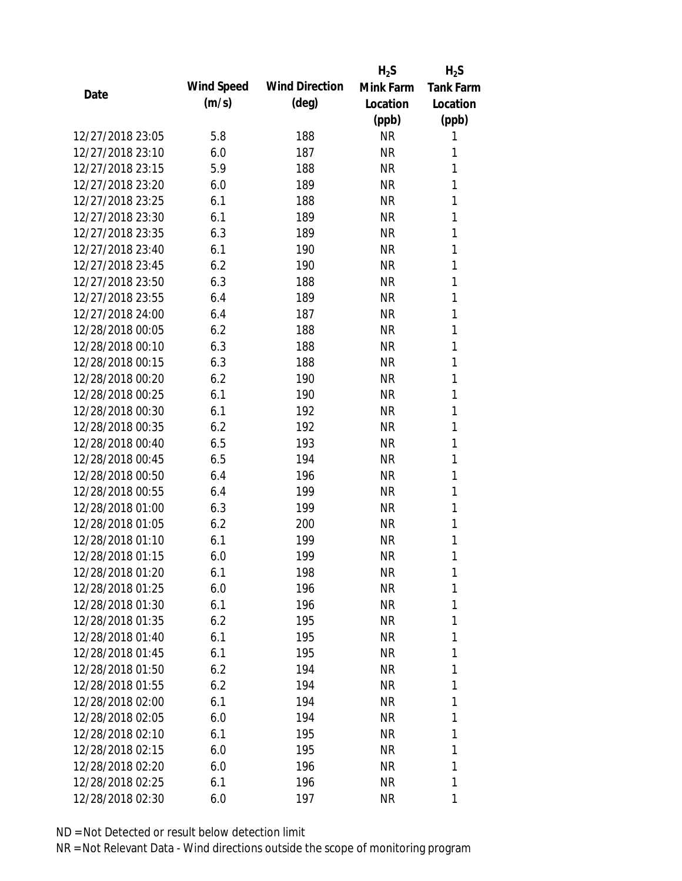|                  |            |                       | $H_2S$    | $H_2S$           |
|------------------|------------|-----------------------|-----------|------------------|
| Date             | Wind Speed | <b>Wind Direction</b> | Mink Farm | <b>Tank Farm</b> |
|                  | (m/s)      | $(\text{deg})$        | Location  | Location         |
|                  |            |                       | (ppb)     | (ppb)            |
| 12/27/2018 23:05 | 5.8        | 188                   | <b>NR</b> | 1                |
| 12/27/2018 23:10 | 6.0        | 187                   | <b>NR</b> | 1                |
| 12/27/2018 23:15 | 5.9        | 188                   | <b>NR</b> | 1                |
| 12/27/2018 23:20 | 6.0        | 189                   | <b>NR</b> | 1                |
| 12/27/2018 23:25 | 6.1        | 188                   | <b>NR</b> | 1                |
| 12/27/2018 23:30 | 6.1        | 189                   | <b>NR</b> | 1                |
| 12/27/2018 23:35 | 6.3        | 189                   | <b>NR</b> | 1                |
| 12/27/2018 23:40 | 6.1        | 190                   | <b>NR</b> | 1                |
| 12/27/2018 23:45 | 6.2        | 190                   | <b>NR</b> | 1                |
| 12/27/2018 23:50 | 6.3        | 188                   | <b>NR</b> | 1                |
| 12/27/2018 23:55 | 6.4        | 189                   | <b>NR</b> | 1                |
| 12/27/2018 24:00 | 6.4        | 187                   | <b>NR</b> | 1                |
| 12/28/2018 00:05 | 6.2        | 188                   | <b>NR</b> | 1                |
| 12/28/2018 00:10 | 6.3        | 188                   | <b>NR</b> | 1                |
| 12/28/2018 00:15 | 6.3        | 188                   | <b>NR</b> | 1                |
| 12/28/2018 00:20 | 6.2        | 190                   | <b>NR</b> | 1                |
| 12/28/2018 00:25 | 6.1        | 190                   | <b>NR</b> | 1                |
| 12/28/2018 00:30 | 6.1        | 192                   | <b>NR</b> | 1                |
| 12/28/2018 00:35 | 6.2        | 192                   | <b>NR</b> | 1                |
| 12/28/2018 00:40 | 6.5        | 193                   | <b>NR</b> | 1                |
| 12/28/2018 00:45 | 6.5        | 194                   | <b>NR</b> | 1                |
| 12/28/2018 00:50 | 6.4        | 196                   | <b>NR</b> | 1                |
| 12/28/2018 00:55 | 6.4        | 199                   | <b>NR</b> | 1                |
| 12/28/2018 01:00 | 6.3        | 199                   | <b>NR</b> | 1                |
| 12/28/2018 01:05 | 6.2        | 200                   | <b>NR</b> | 1                |
| 12/28/2018 01:10 | 6.1        | 199                   | <b>NR</b> | 1                |
| 12/28/2018 01:15 | 6.0        | 199                   | <b>NR</b> | 1                |
| 12/28/2018 01:20 | 6.1        | 198                   | <b>NR</b> | 1                |
| 12/28/2018 01:25 | 6.0        | 196                   | <b>NR</b> | 1                |
| 12/28/2018 01:30 | 6.1        | 196                   | NR        | 1                |
| 12/28/2018 01:35 | 6.2        | 195                   | NR        | 1                |
| 12/28/2018 01:40 | 6.1        | 195                   | NR        | 1                |
| 12/28/2018 01:45 | 6.1        | 195                   | NR        | 1                |
| 12/28/2018 01:50 | 6.2        | 194                   | <b>NR</b> | 1                |
| 12/28/2018 01:55 | 6.2        | 194                   | <b>NR</b> | 1                |
| 12/28/2018 02:00 | 6.1        | 194                   | NR        | 1                |
| 12/28/2018 02:05 | 6.0        | 194                   | NR        | 1                |
| 12/28/2018 02:10 | 6.1        | 195                   | NR        | 1                |
| 12/28/2018 02:15 | 6.0        | 195                   | NR        | 1                |
| 12/28/2018 02:20 | 6.0        | 196                   | <b>NR</b> | 1                |
| 12/28/2018 02:25 | 6.1        | 196                   | <b>NR</b> | 1                |
| 12/28/2018 02:30 | 6.0        | 197                   | <b>NR</b> | 1                |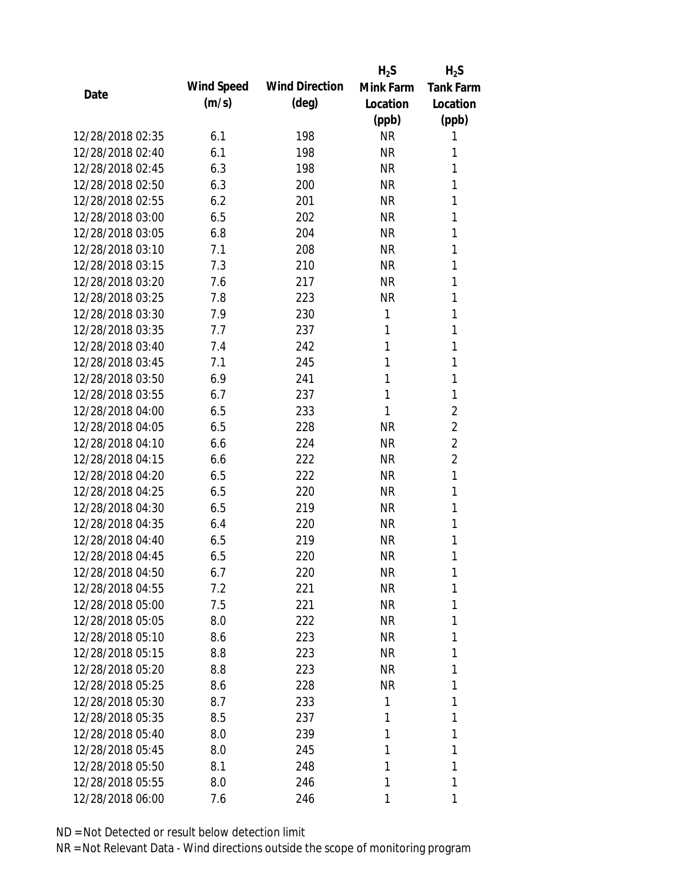|                  |            |                       | $H_2S$    | $H_2S$           |
|------------------|------------|-----------------------|-----------|------------------|
| Date             | Wind Speed | <b>Wind Direction</b> | Mink Farm | <b>Tank Farm</b> |
|                  | (m/s)      | $(\text{deg})$        | Location  | Location         |
|                  |            |                       | (ppb)     | (ppb)            |
| 12/28/2018 02:35 | 6.1        | 198                   | <b>NR</b> | 1                |
| 12/28/2018 02:40 | 6.1        | 198                   | <b>NR</b> | 1                |
| 12/28/2018 02:45 | 6.3        | 198                   | <b>NR</b> | 1                |
| 12/28/2018 02:50 | 6.3        | 200                   | <b>NR</b> | 1                |
| 12/28/2018 02:55 | 6.2        | 201                   | <b>NR</b> | 1                |
| 12/28/2018 03:00 | 6.5        | 202                   | <b>NR</b> | 1                |
| 12/28/2018 03:05 | 6.8        | 204                   | <b>NR</b> | 1                |
| 12/28/2018 03:10 | 7.1        | 208                   | <b>NR</b> | 1                |
| 12/28/2018 03:15 | 7.3        | 210                   | <b>NR</b> | 1                |
| 12/28/2018 03:20 | 7.6        | 217                   | <b>NR</b> | 1                |
| 12/28/2018 03:25 | 7.8        | 223                   | <b>NR</b> | 1                |
| 12/28/2018 03:30 | 7.9        | 230                   | 1         | 1                |
| 12/28/2018 03:35 | 7.7        | 237                   | 1         | 1                |
| 12/28/2018 03:40 | 7.4        | 242                   | 1         | 1                |
| 12/28/2018 03:45 | 7.1        | 245                   | 1         | 1                |
| 12/28/2018 03:50 | 6.9        | 241                   | 1         | 1                |
| 12/28/2018 03:55 | 6.7        | 237                   | 1         | 1                |
| 12/28/2018 04:00 | 6.5        | 233                   | 1         | $\overline{2}$   |
| 12/28/2018 04:05 | 6.5        | 228                   | <b>NR</b> | $\overline{2}$   |
| 12/28/2018 04:10 | 6.6        | 224                   | <b>NR</b> | $\overline{2}$   |
| 12/28/2018 04:15 | 6.6        | 222                   | <b>NR</b> | $\overline{2}$   |
| 12/28/2018 04:20 | 6.5        | 222                   | <b>NR</b> | 1                |
| 12/28/2018 04:25 | 6.5        | 220                   | <b>NR</b> | 1                |
| 12/28/2018 04:30 | 6.5        | 219                   | <b>NR</b> | 1                |
| 12/28/2018 04:35 | 6.4        | 220                   | <b>NR</b> | 1                |
| 12/28/2018 04:40 | 6.5        | 219                   | <b>NR</b> | 1                |
| 12/28/2018 04:45 | 6.5        | 220                   | <b>NR</b> | 1                |
| 12/28/2018 04:50 | 6.7        | 220                   | <b>NR</b> | 1                |
| 12/28/2018 04:55 | 7.2        | 221                   | <b>NR</b> | 1                |
| 12/28/2018 05:00 | 7.5        | 221                   | NR        | 1                |
| 12/28/2018 05:05 | 8.0        | 222                   | <b>NR</b> | 1                |
| 12/28/2018 05:10 | 8.6        | 223                   | NR        | 1                |
| 12/28/2018 05:15 | 8.8        | 223                   | NR        | 1                |
| 12/28/2018 05:20 | 8.8        | 223                   | <b>NR</b> | 1                |
| 12/28/2018 05:25 | 8.6        | 228                   | <b>NR</b> | 1                |
| 12/28/2018 05:30 | 8.7        | 233                   | 1         | 1                |
| 12/28/2018 05:35 | 8.5        | 237                   | 1         | 1                |
| 12/28/2018 05:40 | 8.0        | 239                   | 1         | 1                |
| 12/28/2018 05:45 | 8.0        | 245                   | 1         | 1                |
| 12/28/2018 05:50 | 8.1        | 248                   | 1         | 1                |
| 12/28/2018 05:55 | 8.0        | 246                   | 1         | 1                |
| 12/28/2018 06:00 | 7.6        | 246                   | 1         | 1                |
|                  |            |                       |           |                  |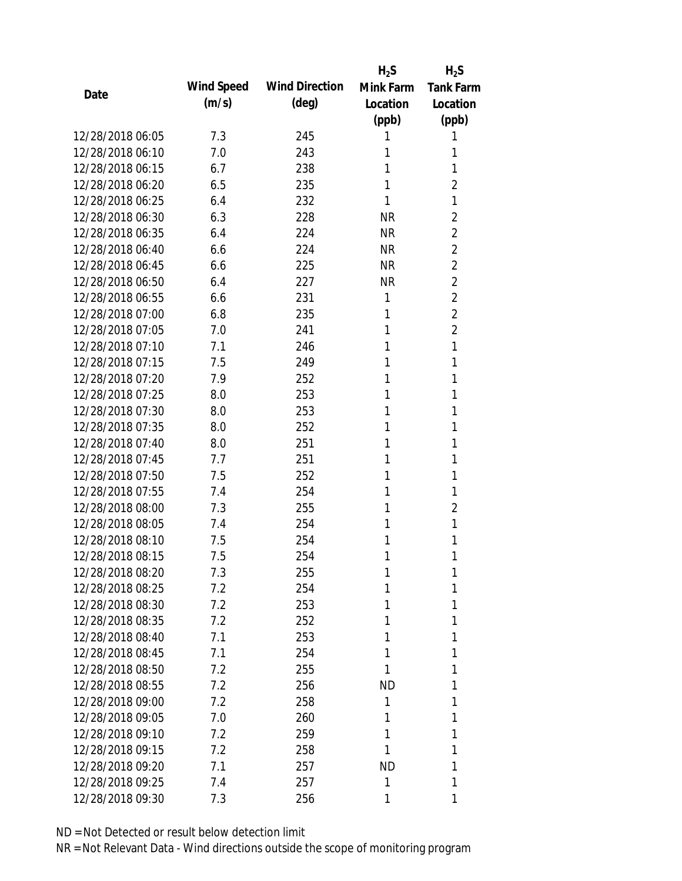|                  |            |                       | $H_2S$    | $H_2S$           |
|------------------|------------|-----------------------|-----------|------------------|
|                  | Wind Speed | <b>Wind Direction</b> | Mink Farm | <b>Tank Farm</b> |
| Date             | (m/s)      | $(\text{deg})$        | Location  | Location         |
|                  |            |                       | (ppb)     | (ppb)            |
| 12/28/2018 06:05 | 7.3        | 245                   | 1         | 1                |
| 12/28/2018 06:10 | 7.0        | 243                   | 1         | 1                |
| 12/28/2018 06:15 | 6.7        | 238                   | 1         | 1                |
| 12/28/2018 06:20 | 6.5        | 235                   | 1         | $\overline{2}$   |
| 12/28/2018 06:25 | 6.4        | 232                   | 1         | 1                |
| 12/28/2018 06:30 | 6.3        | 228                   | <b>NR</b> | $\overline{2}$   |
| 12/28/2018 06:35 | 6.4        | 224                   | <b>NR</b> | $\overline{2}$   |
| 12/28/2018 06:40 | 6.6        | 224                   | <b>NR</b> | $\overline{2}$   |
| 12/28/2018 06:45 | 6.6        | 225                   | <b>NR</b> | $\overline{2}$   |
| 12/28/2018 06:50 | 6.4        | 227                   | <b>NR</b> | $\overline{2}$   |
| 12/28/2018 06:55 | 6.6        | 231                   | 1         | $\overline{2}$   |
| 12/28/2018 07:00 | 6.8        | 235                   | 1         | $\overline{2}$   |
| 12/28/2018 07:05 | 7.0        | 241                   | 1         | $\overline{2}$   |
| 12/28/2018 07:10 | 7.1        | 246                   | 1         | 1                |
| 12/28/2018 07:15 | 7.5        | 249                   | 1         | 1                |
| 12/28/2018 07:20 | 7.9        | 252                   | 1         | 1                |
| 12/28/2018 07:25 | 8.0        | 253                   | 1         | 1                |
| 12/28/2018 07:30 | 8.0        | 253                   | 1         | 1                |
| 12/28/2018 07:35 | 8.0        | 252                   | 1         | 1                |
| 12/28/2018 07:40 | 8.0        | 251                   | 1         | 1                |
| 12/28/2018 07:45 | 7.7        | 251                   | 1         | 1                |
| 12/28/2018 07:50 | 7.5        | 252                   | 1         | 1                |
| 12/28/2018 07:55 | 7.4        | 254                   | 1         | 1                |
| 12/28/2018 08:00 | 7.3        | 255                   | 1         | $\overline{2}$   |
| 12/28/2018 08:05 | 7.4        | 254                   | 1         | 1                |
| 12/28/2018 08:10 | 7.5        | 254                   | 1         | 1                |
| 12/28/2018 08:15 | 7.5        | 254                   | 1         | 1                |
| 12/28/2018 08:20 | 7.3        | 255                   | 1         | 1                |
| 12/28/2018 08:25 | 7.2        | 254                   | 1         | 1                |
| 12/28/2018 08:30 | 7.2        | 253                   | 1         | 1                |
| 12/28/2018 08:35 | 7.2        | 252                   | 1         | 1                |
| 12/28/2018 08:40 | 7.1        | 253                   | 1         | 1                |
| 12/28/2018 08:45 | 7.1        | 254                   | 1         | 1                |
| 12/28/2018 08:50 | 7.2        | 255                   | 1         | 1                |
| 12/28/2018 08:55 | 7.2        | 256                   | ND        | 1                |
| 12/28/2018 09:00 | 7.2        | 258                   | 1         | 1                |
| 12/28/2018 09:05 | 7.0        | 260                   | 1         | 1                |
| 12/28/2018 09:10 | 7.2        | 259                   | 1         | 1                |
| 12/28/2018 09:15 | 7.2        | 258                   | 1         | 1                |
| 12/28/2018 09:20 | 7.1        | 257                   | ND        | 1                |
| 12/28/2018 09:25 | 7.4        | 257                   | 1         | 1                |
| 12/28/2018 09:30 | 7.3        | 256                   | 1         | 1                |
|                  |            |                       |           |                  |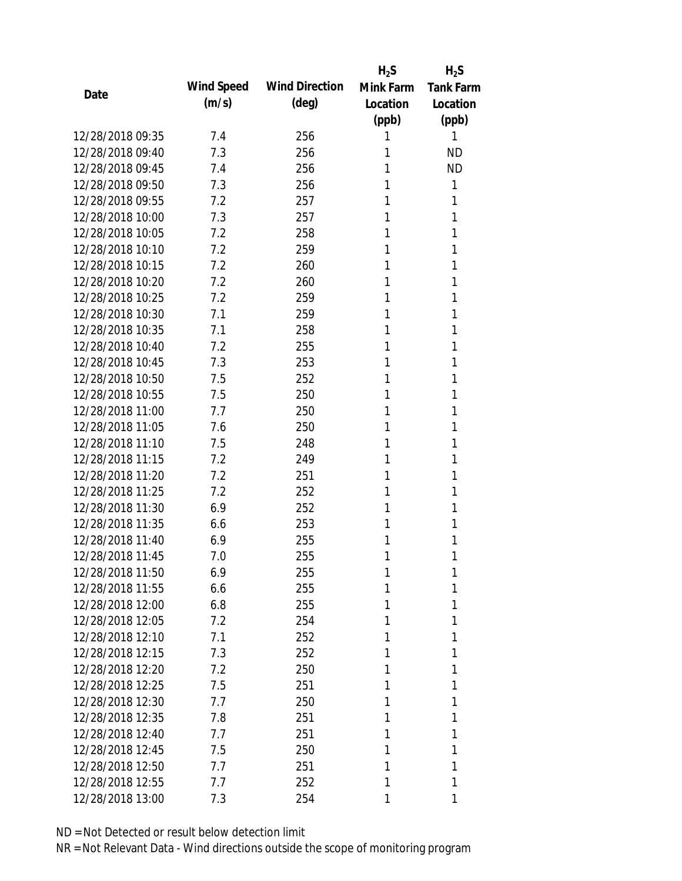|                  |            |                       | $H_2S$    | $H_2S$           |
|------------------|------------|-----------------------|-----------|------------------|
| Date             | Wind Speed | <b>Wind Direction</b> | Mink Farm | <b>Tank Farm</b> |
|                  | (m/s)      | $(\text{deg})$        | Location  | Location         |
|                  |            |                       | (ppb)     | (ppb)            |
| 12/28/2018 09:35 | 7.4        | 256                   | 1         | 1                |
| 12/28/2018 09:40 | 7.3        | 256                   | 1         | <b>ND</b>        |
| 12/28/2018 09:45 | 7.4        | 256                   | 1         | <b>ND</b>        |
| 12/28/2018 09:50 | 7.3        | 256                   | 1         | 1                |
| 12/28/2018 09:55 | 7.2        | 257                   | 1         | 1                |
| 12/28/2018 10:00 | 7.3        | 257                   | 1         | 1                |
| 12/28/2018 10:05 | 7.2        | 258                   | 1         | 1                |
| 12/28/2018 10:10 | 7.2        | 259                   | 1         | 1                |
| 12/28/2018 10:15 | 7.2        | 260                   | 1         | 1                |
| 12/28/2018 10:20 | 7.2        | 260                   | 1         | 1                |
| 12/28/2018 10:25 | 7.2        | 259                   | 1         | 1                |
| 12/28/2018 10:30 | 7.1        | 259                   | 1         | 1                |
| 12/28/2018 10:35 | 7.1        | 258                   | 1         | 1                |
| 12/28/2018 10:40 | 7.2        | 255                   | 1         | 1                |
| 12/28/2018 10:45 | 7.3        | 253                   | 1         | 1                |
| 12/28/2018 10:50 | 7.5        | 252                   | 1         | 1                |
| 12/28/2018 10:55 | 7.5        | 250                   | 1         | 1                |
| 12/28/2018 11:00 | 7.7        | 250                   | 1         | 1                |
| 12/28/2018 11:05 | 7.6        | 250                   | 1         | 1                |
| 12/28/2018 11:10 | 7.5        | 248                   | 1         | 1                |
| 12/28/2018 11:15 | 7.2        | 249                   | 1         | 1                |
| 12/28/2018 11:20 | 7.2        | 251                   | 1         | 1                |
| 12/28/2018 11:25 | 7.2        | 252                   | 1         | 1                |
| 12/28/2018 11:30 | 6.9        | 252                   | 1         | 1                |
| 12/28/2018 11:35 | 6.6        | 253                   | 1         | 1                |
| 12/28/2018 11:40 | 6.9        | 255                   | 1         | 1                |
| 12/28/2018 11:45 | 7.0        | 255                   | 1         | 1                |
| 12/28/2018 11:50 | 6.9        | 255                   | 1         | 1                |
| 12/28/2018 11:55 | 6.6        | 255                   | 1         | 1                |
| 12/28/2018 12:00 | 6.8        | 255                   | 1         | 1                |
| 12/28/2018 12:05 | 7.2        | 254                   | 1         | 1                |
| 12/28/2018 12:10 | 7.1        | 252                   | 1         | 1                |
| 12/28/2018 12:15 | 7.3        | 252                   | 1         | 1                |
| 12/28/2018 12:20 | 7.2        | 250                   | 1         | 1                |
| 12/28/2018 12:25 | 7.5        | 251                   | 1         | 1                |
| 12/28/2018 12:30 | 7.7        | 250                   | 1         | 1                |
| 12/28/2018 12:35 | 7.8        | 251                   | 1         | 1                |
| 12/28/2018 12:40 | 7.7        | 251                   | 1         | 1                |
| 12/28/2018 12:45 | 7.5        | 250                   | 1         | 1                |
| 12/28/2018 12:50 | 7.7        | 251                   | 1         | 1                |
| 12/28/2018 12:55 | 7.7        | 252                   | 1         | 1                |
| 12/28/2018 13:00 | 7.3        | 254                   | 1         | 1                |
|                  |            |                       |           |                  |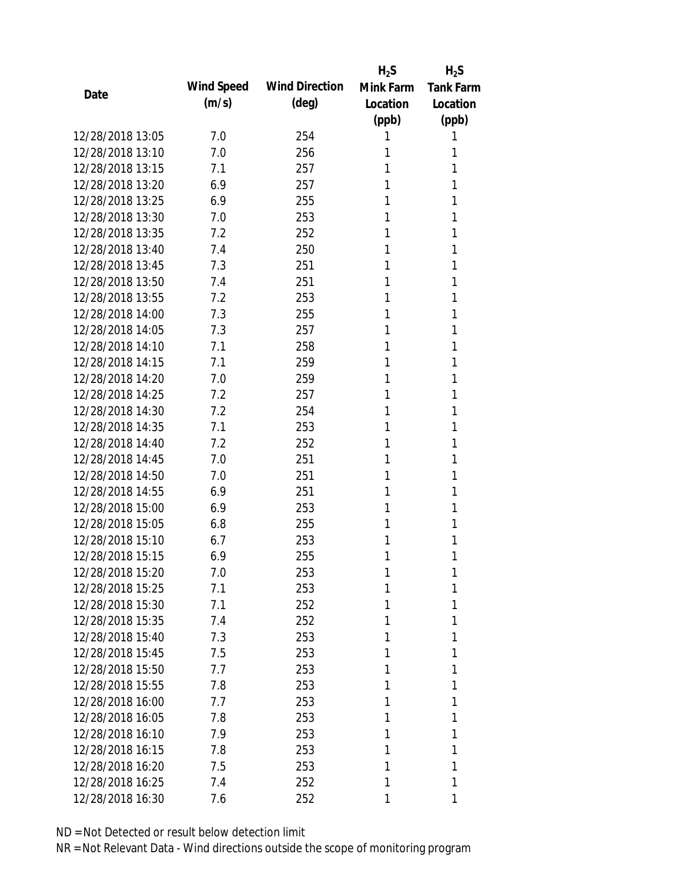|                  |            |                       | $H_2S$    | $H_2S$           |
|------------------|------------|-----------------------|-----------|------------------|
| Date             | Wind Speed | <b>Wind Direction</b> | Mink Farm | <b>Tank Farm</b> |
|                  | (m/s)      | $(\text{deg})$        | Location  | Location         |
|                  |            |                       | (ppb)     | (ppb)            |
| 12/28/2018 13:05 | 7.0        | 254                   | 1         | 1                |
| 12/28/2018 13:10 | 7.0        | 256                   | 1         | 1                |
| 12/28/2018 13:15 | 7.1        | 257                   | 1         | 1                |
| 12/28/2018 13:20 | 6.9        | 257                   | 1         | 1                |
| 12/28/2018 13:25 | 6.9        | 255                   | 1         | 1                |
| 12/28/2018 13:30 | 7.0        | 253                   | 1         | 1                |
| 12/28/2018 13:35 | 7.2        | 252                   | 1         | 1                |
| 12/28/2018 13:40 | 7.4        | 250                   | 1         | 1                |
| 12/28/2018 13:45 | 7.3        | 251                   | 1         | 1                |
| 12/28/2018 13:50 | 7.4        | 251                   | 1         | 1                |
| 12/28/2018 13:55 | 7.2        | 253                   | 1         | 1                |
| 12/28/2018 14:00 | 7.3        | 255                   | 1         | 1                |
| 12/28/2018 14:05 | 7.3        | 257                   | 1         | 1                |
| 12/28/2018 14:10 | 7.1        | 258                   | 1         | 1                |
| 12/28/2018 14:15 | 7.1        | 259                   | 1         | 1                |
| 12/28/2018 14:20 | 7.0        | 259                   | 1         | 1                |
| 12/28/2018 14:25 | 7.2        | 257                   | 1         | 1                |
| 12/28/2018 14:30 | 7.2        | 254                   | 1         | 1                |
| 12/28/2018 14:35 | 7.1        | 253                   | 1         | 1                |
| 12/28/2018 14:40 | 7.2        | 252                   | 1         | 1                |
| 12/28/2018 14:45 | 7.0        | 251                   | 1         | 1                |
| 12/28/2018 14:50 | 7.0        | 251                   | 1         | 1                |
| 12/28/2018 14:55 | 6.9        | 251                   | 1         | 1                |
| 12/28/2018 15:00 | 6.9        | 253                   | 1         | 1                |
| 12/28/2018 15:05 | 6.8        | 255                   | 1         | 1                |
| 12/28/2018 15:10 | 6.7        | 253                   | 1         | 1                |
| 12/28/2018 15:15 | 6.9        | 255                   | 1         | 1                |
| 12/28/2018 15:20 | 7.0        | 253                   | 1         | 1                |
| 12/28/2018 15:25 | 7.1        | 253                   | 1         | 1                |
| 12/28/2018 15:30 | 7.1        | 252                   | 1         | 1                |
| 12/28/2018 15:35 | 7.4        | 252                   | 1         | 1                |
| 12/28/2018 15:40 | 7.3        | 253                   | 1         | 1                |
| 12/28/2018 15:45 | 7.5        | 253                   | 1         | 1                |
| 12/28/2018 15:50 | 7.7        | 253                   | 1         | 1                |
| 12/28/2018 15:55 | 7.8        | 253                   | 1         | 1                |
| 12/28/2018 16:00 | 7.7        | 253                   | 1         | 1                |
| 12/28/2018 16:05 | 7.8        | 253                   | 1         | 1                |
| 12/28/2018 16:10 | 7.9        | 253                   | 1         | 1                |
| 12/28/2018 16:15 | 7.8        | 253                   | 1         | 1                |
| 12/28/2018 16:20 | 7.5        | 253                   | 1         | 1                |
| 12/28/2018 16:25 | 7.4        | 252                   | 1         | 1                |
| 12/28/2018 16:30 | 7.6        | 252                   | 1         | 1                |
|                  |            |                       |           |                  |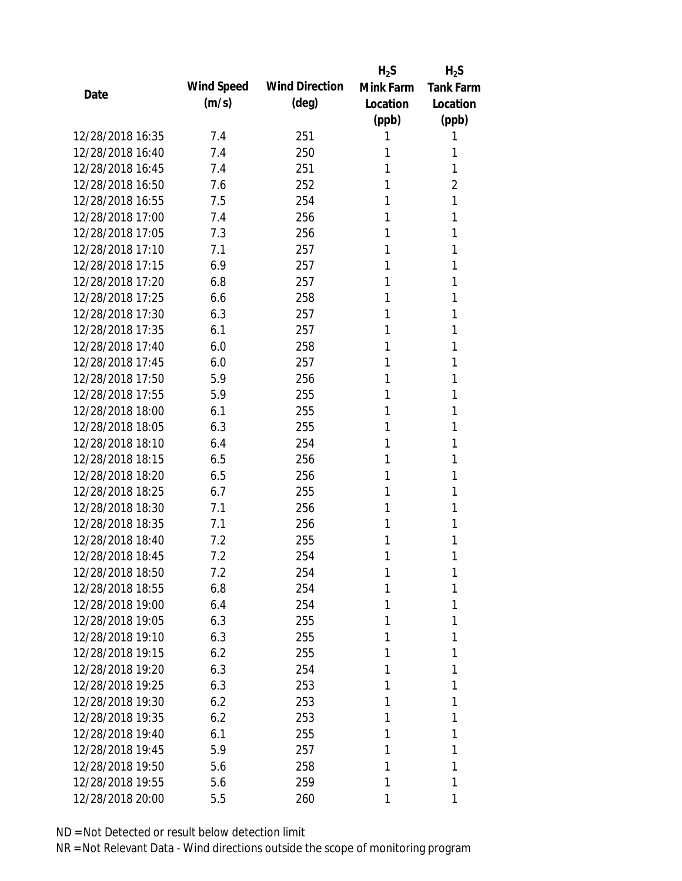|                  |            |                       | $H_2S$    | $H_2S$           |
|------------------|------------|-----------------------|-----------|------------------|
| Date             | Wind Speed | <b>Wind Direction</b> | Mink Farm | <b>Tank Farm</b> |
|                  | (m/s)      | $(\text{deg})$        | Location  | Location         |
|                  |            |                       | (ppb)     | (ppb)            |
| 12/28/2018 16:35 | 7.4        | 251                   | 1         | 1                |
| 12/28/2018 16:40 | 7.4        | 250                   | 1         | 1                |
| 12/28/2018 16:45 | 7.4        | 251                   | 1         | 1                |
| 12/28/2018 16:50 | 7.6        | 252                   | 1         | $\overline{2}$   |
| 12/28/2018 16:55 | 7.5        | 254                   | 1         | 1                |
| 12/28/2018 17:00 | 7.4        | 256                   | 1         | 1                |
| 12/28/2018 17:05 | 7.3        | 256                   | 1         | 1                |
| 12/28/2018 17:10 | 7.1        | 257                   | 1         | 1                |
| 12/28/2018 17:15 | 6.9        | 257                   | 1         | 1                |
| 12/28/2018 17:20 | 6.8        | 257                   | 1         | 1                |
| 12/28/2018 17:25 | 6.6        | 258                   | 1         | 1                |
| 12/28/2018 17:30 | 6.3        | 257                   | 1         | 1                |
| 12/28/2018 17:35 | 6.1        | 257                   | 1         | 1                |
| 12/28/2018 17:40 | 6.0        | 258                   | 1         | 1                |
| 12/28/2018 17:45 | 6.0        | 257                   | 1         | 1                |
| 12/28/2018 17:50 | 5.9        | 256                   | 1         | 1                |
| 12/28/2018 17:55 | 5.9        | 255                   | 1         | 1                |
| 12/28/2018 18:00 | 6.1        | 255                   | 1         | 1                |
| 12/28/2018 18:05 | 6.3        | 255                   | 1         | 1                |
| 12/28/2018 18:10 | 6.4        | 254                   | 1         | 1                |
| 12/28/2018 18:15 | 6.5        | 256                   | 1         | 1                |
| 12/28/2018 18:20 | 6.5        | 256                   | 1         | 1                |
| 12/28/2018 18:25 | 6.7        | 255                   | 1         | 1                |
| 12/28/2018 18:30 | 7.1        | 256                   | 1         | 1                |
| 12/28/2018 18:35 | 7.1        | 256                   | 1         | 1                |
| 12/28/2018 18:40 | 7.2        | 255                   | 1         | 1                |
| 12/28/2018 18:45 | 7.2        | 254                   | 1         | 1                |
| 12/28/2018 18:50 | 7.2        | 254                   | 1         | 1                |
| 12/28/2018 18:55 | 6.8        | 254                   | 1         | 1                |
| 12/28/2018 19:00 | 6.4        | 254                   | 1         | 1                |
| 12/28/2018 19:05 | 6.3        | 255                   | 1         | 1                |
| 12/28/2018 19:10 | 6.3        | 255                   | 1         | 1                |
| 12/28/2018 19:15 | 6.2        | 255                   | 1         | 1                |
| 12/28/2018 19:20 | 6.3        | 254                   | 1         | 1                |
| 12/28/2018 19:25 | 6.3        | 253                   | 1         | 1                |
| 12/28/2018 19:30 | 6.2        | 253                   | 1         | 1                |
| 12/28/2018 19:35 | 6.2        | 253                   | 1         | 1                |
| 12/28/2018 19:40 | 6.1        | 255                   | 1         | 1                |
| 12/28/2018 19:45 | 5.9        | 257                   | 1         | 1                |
| 12/28/2018 19:50 | 5.6        | 258                   | 1         | 1                |
| 12/28/2018 19:55 | 5.6        | 259                   | 1         | 1                |
| 12/28/2018 20:00 | 5.5        | 260                   | 1         | 1                |
|                  |            |                       |           |                  |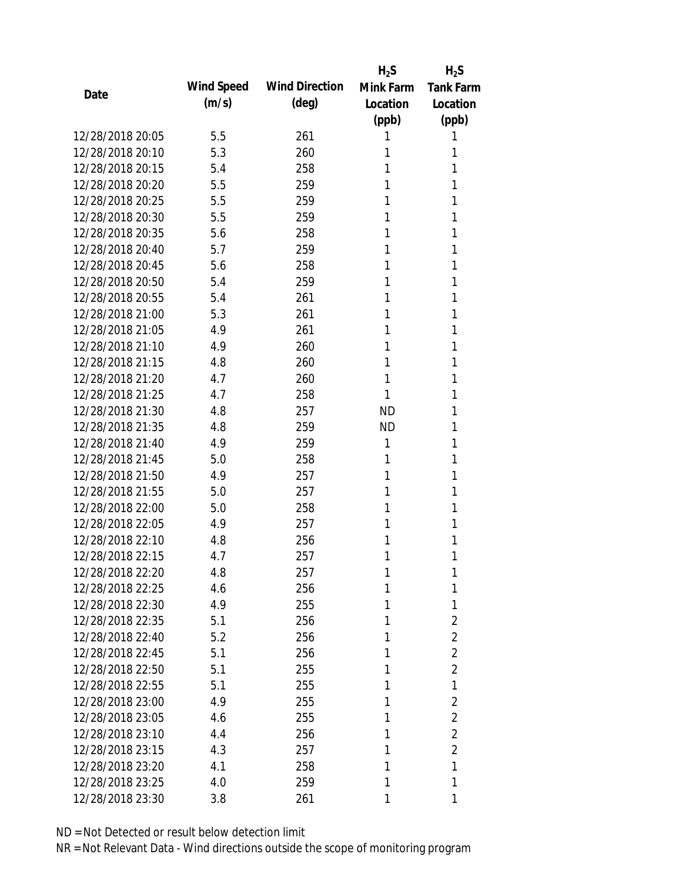|                  |            |                       | $H_2S$    | $H_2S$           |
|------------------|------------|-----------------------|-----------|------------------|
|                  | Wind Speed | <b>Wind Direction</b> | Mink Farm | <b>Tank Farm</b> |
| Date             | (m/s)      | $(\text{deg})$        | Location  | Location         |
|                  |            |                       | (ppb)     | (ppb)            |
| 12/28/2018 20:05 | 5.5        | 261                   | 1         | 1                |
| 12/28/2018 20:10 | 5.3        | 260                   | 1         | 1                |
| 12/28/2018 20:15 | 5.4        | 258                   | 1         | 1                |
| 12/28/2018 20:20 | 5.5        | 259                   | 1         | 1                |
| 12/28/2018 20:25 | 5.5        | 259                   | 1         | 1                |
| 12/28/2018 20:30 | 5.5        | 259                   | 1         | 1                |
| 12/28/2018 20:35 | 5.6        | 258                   | 1         | 1                |
| 12/28/2018 20:40 | 5.7        | 259                   | 1         | 1                |
| 12/28/2018 20:45 | 5.6        | 258                   | 1         | 1                |
| 12/28/2018 20:50 | 5.4        | 259                   | 1         | 1                |
| 12/28/2018 20:55 | 5.4        | 261                   | 1         | 1                |
| 12/28/2018 21:00 | 5.3        | 261                   | 1         | 1                |
| 12/28/2018 21:05 | 4.9        | 261                   | 1         | 1                |
| 12/28/2018 21:10 | 4.9        | 260                   | 1         | 1                |
| 12/28/2018 21:15 | 4.8        | 260                   | 1         | 1                |
| 12/28/2018 21:20 | 4.7        | 260                   | 1         | 1                |
| 12/28/2018 21:25 | 4.7        | 258                   | 1         | 1                |
| 12/28/2018 21:30 | 4.8        | 257                   | <b>ND</b> | 1                |
| 12/28/2018 21:35 | 4.8        | 259                   | <b>ND</b> | 1                |
| 12/28/2018 21:40 | 4.9        | 259                   | 1         | 1                |
| 12/28/2018 21:45 | 5.0        | 258                   | 1         | 1                |
| 12/28/2018 21:50 | 4.9        | 257                   | 1         | 1                |
| 12/28/2018 21:55 | 5.0        | 257                   | 1         | 1                |
| 12/28/2018 22:00 | 5.0        | 258                   | 1         | 1                |
| 12/28/2018 22:05 | 4.9        | 257                   | 1         | 1                |
| 12/28/2018 22:10 | 4.8        | 256                   | 1         | 1                |
| 12/28/2018 22:15 | 4.7        | 257                   | 1         | 1                |
| 12/28/2018 22:20 | 4.8        | 257                   | 1         | 1                |
| 12/28/2018 22:25 | 4.6        | 256                   | 1         | 1                |
| 12/28/2018 22:30 | 4.9        | 255                   | 1         | 1                |
| 12/28/2018 22:35 | 5.1        | 256                   | 1         | 2                |
| 12/28/2018 22:40 | 5.2        | 256                   | 1         | $\overline{2}$   |
| 12/28/2018 22:45 | 5.1        | 256                   | 1         | $\overline{2}$   |
| 12/28/2018 22:50 | 5.1        | 255                   | 1         | $\overline{2}$   |
| 12/28/2018 22:55 | 5.1        | 255                   | 1         | 1                |
| 12/28/2018 23:00 | 4.9        | 255                   | 1         | 2                |
| 12/28/2018 23:05 | 4.6        | 255                   | 1         | 2                |
| 12/28/2018 23:10 | 4.4        | 256                   | 1         | 2                |
| 12/28/2018 23:15 | 4.3        | 257                   | 1         | $\overline{2}$   |
| 12/28/2018 23:20 | 4.1        | 258                   | 1         | 1                |
| 12/28/2018 23:25 | 4.0        | 259                   | 1         | 1                |
| 12/28/2018 23:30 | 3.8        | 261                   | 1         | 1                |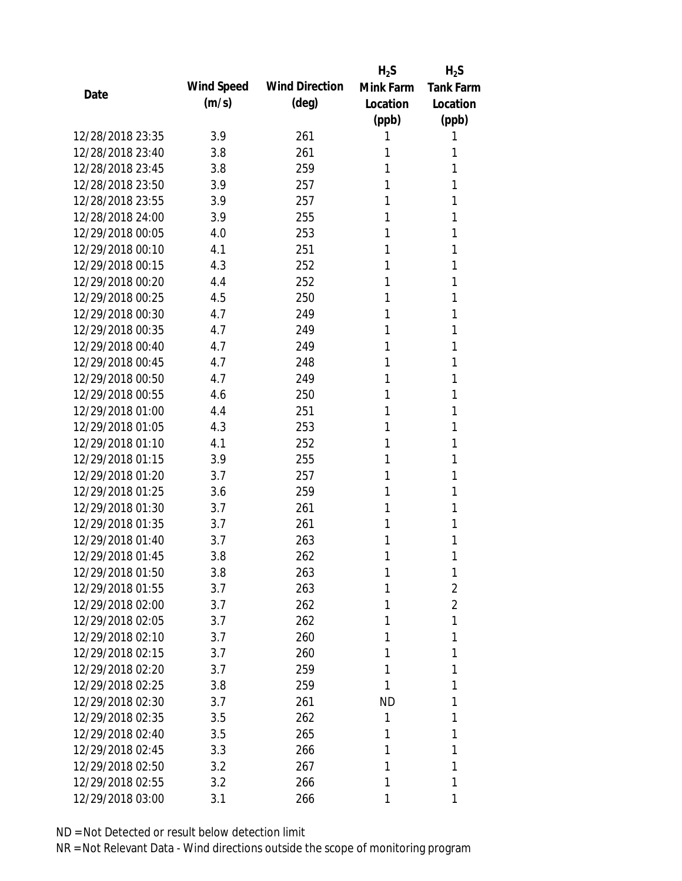|                  |            |                       | $H_2S$    | $H_2S$           |
|------------------|------------|-----------------------|-----------|------------------|
| Date             | Wind Speed | <b>Wind Direction</b> | Mink Farm | <b>Tank Farm</b> |
|                  | (m/s)      | $(\text{deg})$        | Location  | Location         |
|                  |            |                       | (ppb)     | (ppb)            |
| 12/28/2018 23:35 | 3.9        | 261                   | 1         | 1                |
| 12/28/2018 23:40 | 3.8        | 261                   | 1         | 1                |
| 12/28/2018 23:45 | 3.8        | 259                   | 1         | 1                |
| 12/28/2018 23:50 | 3.9        | 257                   | 1         | 1                |
| 12/28/2018 23:55 | 3.9        | 257                   | 1         | 1                |
| 12/28/2018 24:00 | 3.9        | 255                   | 1         | 1                |
| 12/29/2018 00:05 | 4.0        | 253                   | 1         | 1                |
| 12/29/2018 00:10 | 4.1        | 251                   | 1         | 1                |
| 12/29/2018 00:15 | 4.3        | 252                   | 1         | 1                |
| 12/29/2018 00:20 | 4.4        | 252                   | 1         | 1                |
| 12/29/2018 00:25 | 4.5        | 250                   | 1         | 1                |
| 12/29/2018 00:30 | 4.7        | 249                   | 1         | 1                |
| 12/29/2018 00:35 | 4.7        | 249                   | 1         | 1                |
| 12/29/2018 00:40 | 4.7        | 249                   | 1         | 1                |
| 12/29/2018 00:45 | 4.7        | 248                   | 1         | 1                |
| 12/29/2018 00:50 | 4.7        | 249                   | 1         | 1                |
| 12/29/2018 00:55 | 4.6        | 250                   | 1         | 1                |
| 12/29/2018 01:00 | 4.4        | 251                   | 1         | 1                |
| 12/29/2018 01:05 | 4.3        | 253                   | 1         | 1                |
| 12/29/2018 01:10 | 4.1        | 252                   | 1         | 1                |
| 12/29/2018 01:15 | 3.9        | 255                   | 1         | 1                |
| 12/29/2018 01:20 | 3.7        | 257                   | 1         | 1                |
| 12/29/2018 01:25 | 3.6        | 259                   | 1         | 1                |
| 12/29/2018 01:30 | 3.7        | 261                   | 1         | 1                |
| 12/29/2018 01:35 | 3.7        | 261                   | 1         | 1                |
| 12/29/2018 01:40 | 3.7        | 263                   | 1         | 1                |
| 12/29/2018 01:45 | 3.8        | 262                   | 1         | 1                |
| 12/29/2018 01:50 | 3.8        | 263                   | 1         | 1                |
| 12/29/2018 01:55 | 3.7        | 263                   | 1         | $\overline{2}$   |
| 12/29/2018 02:00 | 3.7        | 262                   | 1         | $\overline{2}$   |
| 12/29/2018 02:05 | 3.7        | 262                   | 1         | 1                |
| 12/29/2018 02:10 | 3.7        | 260                   | 1         | 1                |
| 12/29/2018 02:15 | 3.7        | 260                   | 1         | 1                |
| 12/29/2018 02:20 | 3.7        | 259                   | 1         | 1                |
| 12/29/2018 02:25 | 3.8        | 259                   | 1         | 1                |
| 12/29/2018 02:30 | 3.7        | 261                   | <b>ND</b> | 1                |
| 12/29/2018 02:35 | 3.5        | 262                   | 1         | 1                |
| 12/29/2018 02:40 | 3.5        | 265                   | 1         | 1                |
| 12/29/2018 02:45 | 3.3        | 266                   | 1         | 1                |
| 12/29/2018 02:50 | 3.2        | 267                   | 1         | 1                |
| 12/29/2018 02:55 | 3.2        | 266                   | 1         | 1                |
| 12/29/2018 03:00 | 3.1        | 266                   | 1         | 1                |
|                  |            |                       |           |                  |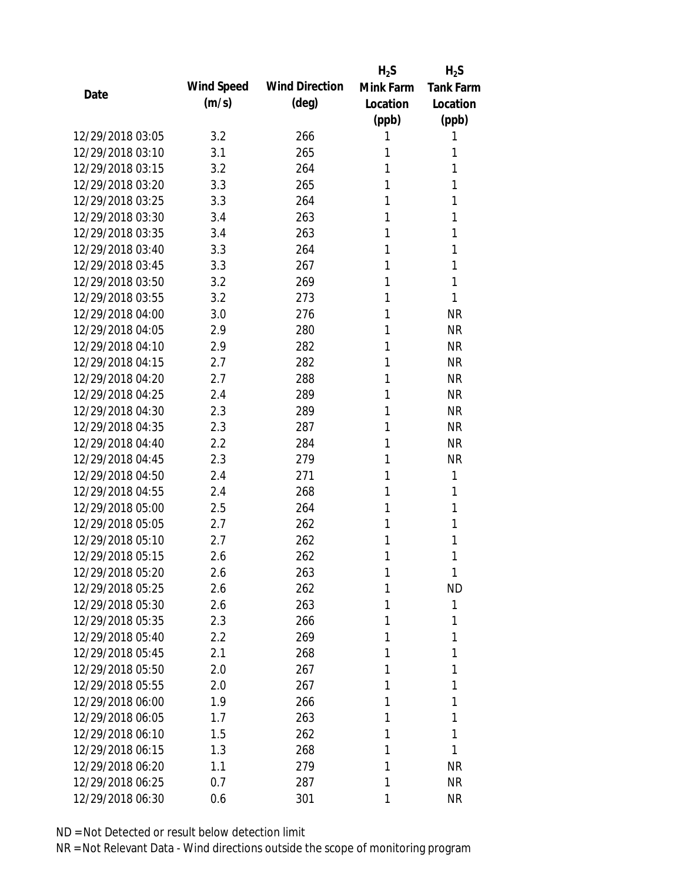|                  |            |                       | $H_2S$    | $H_2S$           |
|------------------|------------|-----------------------|-----------|------------------|
|                  | Wind Speed | <b>Wind Direction</b> | Mink Farm | <b>Tank Farm</b> |
| Date             | (m/s)      | $(\text{deg})$        | Location  | Location         |
|                  |            |                       | (ppb)     | (ppb)            |
| 12/29/2018 03:05 | 3.2        | 266                   | 1         | 1                |
| 12/29/2018 03:10 | 3.1        | 265                   | 1         | 1                |
| 12/29/2018 03:15 | 3.2        | 264                   | 1         | 1                |
| 12/29/2018 03:20 | 3.3        | 265                   | 1         | 1                |
| 12/29/2018 03:25 | 3.3        | 264                   | 1         | 1                |
| 12/29/2018 03:30 | 3.4        | 263                   | 1         | 1                |
| 12/29/2018 03:35 | 3.4        | 263                   | 1         | 1                |
| 12/29/2018 03:40 | 3.3        | 264                   | 1         | 1                |
| 12/29/2018 03:45 | 3.3        | 267                   | 1         | 1                |
| 12/29/2018 03:50 | 3.2        | 269                   | 1         | 1                |
| 12/29/2018 03:55 | 3.2        | 273                   | 1         | 1                |
| 12/29/2018 04:00 | 3.0        | 276                   | 1         | <b>NR</b>        |
| 12/29/2018 04:05 | 2.9        | 280                   | 1         | <b>NR</b>        |
| 12/29/2018 04:10 | 2.9        | 282                   | 1         | <b>NR</b>        |
| 12/29/2018 04:15 | 2.7        | 282                   | 1         | <b>NR</b>        |
| 12/29/2018 04:20 | 2.7        | 288                   | 1         | <b>NR</b>        |
| 12/29/2018 04:25 | 2.4        | 289                   | 1         | <b>NR</b>        |
| 12/29/2018 04:30 | 2.3        | 289                   | 1         | <b>NR</b>        |
| 12/29/2018 04:35 | 2.3        | 287                   | 1         | <b>NR</b>        |
| 12/29/2018 04:40 | 2.2        | 284                   | 1         | <b>NR</b>        |
| 12/29/2018 04:45 | 2.3        | 279                   | 1         | <b>NR</b>        |
| 12/29/2018 04:50 | 2.4        | 271                   | 1         | 1                |
| 12/29/2018 04:55 | 2.4        | 268                   | 1         | 1                |
| 12/29/2018 05:00 | 2.5        | 264                   | 1         | 1                |
| 12/29/2018 05:05 | 2.7        | 262                   | 1         | 1                |
| 12/29/2018 05:10 | 2.7        | 262                   | 1         | 1                |
| 12/29/2018 05:15 | 2.6        | 262                   | 1         | 1                |
| 12/29/2018 05:20 | 2.6        | 263                   | 1         | 1                |
| 12/29/2018 05:25 | 2.6        | 262                   | 1         | <b>ND</b>        |
| 12/29/2018 05:30 | 2.6        | 263                   | 1         | 1                |
| 12/29/2018 05:35 | 2.3        | 266                   | 1         | 1                |
| 12/29/2018 05:40 | 2.2        | 269                   | 1         | 1                |
| 12/29/2018 05:45 | 2.1        | 268                   | 1         | 1                |
| 12/29/2018 05:50 | 2.0        | 267                   | 1         | 1                |
| 12/29/2018 05:55 | 2.0        | 267                   | 1         | 1                |
| 12/29/2018 06:00 | 1.9        | 266                   | 1         | 1                |
| 12/29/2018 06:05 | 1.7        | 263                   | 1         | 1                |
| 12/29/2018 06:10 | 1.5        | 262                   | 1         | 1                |
| 12/29/2018 06:15 | 1.3        | 268                   | 1         | 1                |
| 12/29/2018 06:20 | 1.1        | 279                   | 1         | <b>NR</b>        |
| 12/29/2018 06:25 | 0.7        | 287                   | 1         | <b>NR</b>        |
| 12/29/2018 06:30 | 0.6        | 301                   | 1         | <b>NR</b>        |
|                  |            |                       |           |                  |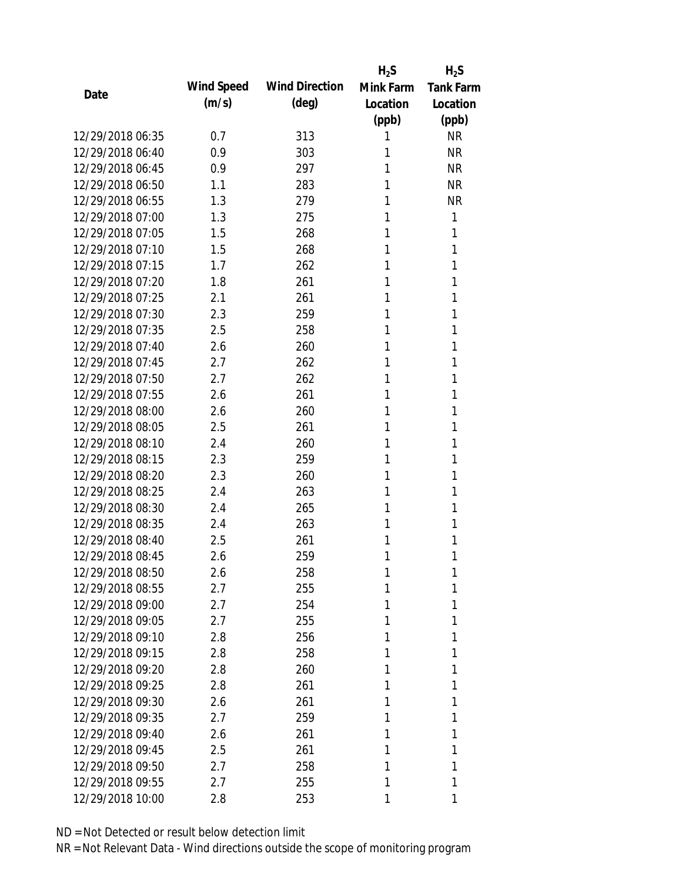|                  |            |                       | $H_2S$    | $H_2S$           |
|------------------|------------|-----------------------|-----------|------------------|
| Date             | Wind Speed | <b>Wind Direction</b> | Mink Farm | <b>Tank Farm</b> |
|                  | (m/s)      | $(\text{deg})$        | Location  | Location         |
|                  |            |                       | (ppb)     | (ppb)            |
| 12/29/2018 06:35 | 0.7        | 313                   | 1         | <b>NR</b>        |
| 12/29/2018 06:40 | 0.9        | 303                   | 1         | <b>NR</b>        |
| 12/29/2018 06:45 | 0.9        | 297                   | 1         | <b>NR</b>        |
| 12/29/2018 06:50 | 1.1        | 283                   | 1         | <b>NR</b>        |
| 12/29/2018 06:55 | 1.3        | 279                   | 1         | <b>NR</b>        |
| 12/29/2018 07:00 | 1.3        | 275                   | 1         | 1                |
| 12/29/2018 07:05 | 1.5        | 268                   | 1         | 1                |
| 12/29/2018 07:10 | 1.5        | 268                   | 1         | 1                |
| 12/29/2018 07:15 | 1.7        | 262                   | 1         | 1                |
| 12/29/2018 07:20 | 1.8        | 261                   | 1         | 1                |
| 12/29/2018 07:25 | 2.1        | 261                   | 1         | 1                |
| 12/29/2018 07:30 | 2.3        | 259                   | 1         | 1                |
| 12/29/2018 07:35 | 2.5        | 258                   | 1         | 1                |
| 12/29/2018 07:40 | 2.6        | 260                   | 1         | 1                |
| 12/29/2018 07:45 | 2.7        | 262                   | 1         | 1                |
| 12/29/2018 07:50 | 2.7        | 262                   | 1         | 1                |
| 12/29/2018 07:55 | 2.6        | 261                   | 1         | 1                |
| 12/29/2018 08:00 | 2.6        | 260                   | 1         | 1                |
| 12/29/2018 08:05 | 2.5        | 261                   | 1         | 1                |
| 12/29/2018 08:10 | 2.4        | 260                   | 1         | 1                |
| 12/29/2018 08:15 | 2.3        | 259                   | 1         | 1                |
| 12/29/2018 08:20 | 2.3        | 260                   | 1         | 1                |
| 12/29/2018 08:25 | 2.4        | 263                   | 1         | 1                |
| 12/29/2018 08:30 | 2.4        | 265                   | 1         | 1                |
| 12/29/2018 08:35 | 2.4        | 263                   | 1         | 1                |
| 12/29/2018 08:40 | 2.5        | 261                   | 1         | 1                |
| 12/29/2018 08:45 | 2.6        | 259                   | 1         | 1                |
| 12/29/2018 08:50 | 2.6        | 258                   | 1         | 1                |
| 12/29/2018 08:55 | 2.7        | 255                   | 1         | 1                |
| 12/29/2018 09:00 | 2.7        | 254                   | 1         | 1                |
| 12/29/2018 09:05 | 2.7        | 255                   | 1         | 1                |
| 12/29/2018 09:10 | 2.8        | 256                   | 1         | 1                |
| 12/29/2018 09:15 | 2.8        | 258                   | 1         | 1                |
| 12/29/2018 09:20 | 2.8        | 260                   | 1         | 1                |
| 12/29/2018 09:25 | 2.8        | 261                   | 1         | 1                |
| 12/29/2018 09:30 | 2.6        | 261                   | 1         | 1                |
| 12/29/2018 09:35 | 2.7        | 259                   | 1         | 1                |
| 12/29/2018 09:40 | 2.6        | 261                   | 1         | 1                |
| 12/29/2018 09:45 | 2.5        | 261                   | 1         | 1                |
| 12/29/2018 09:50 | 2.7        | 258                   | 1         | 1                |
| 12/29/2018 09:55 | 2.7        | 255                   | 1         | 1                |
| 12/29/2018 10:00 | 2.8        | 253                   | 1         | 1                |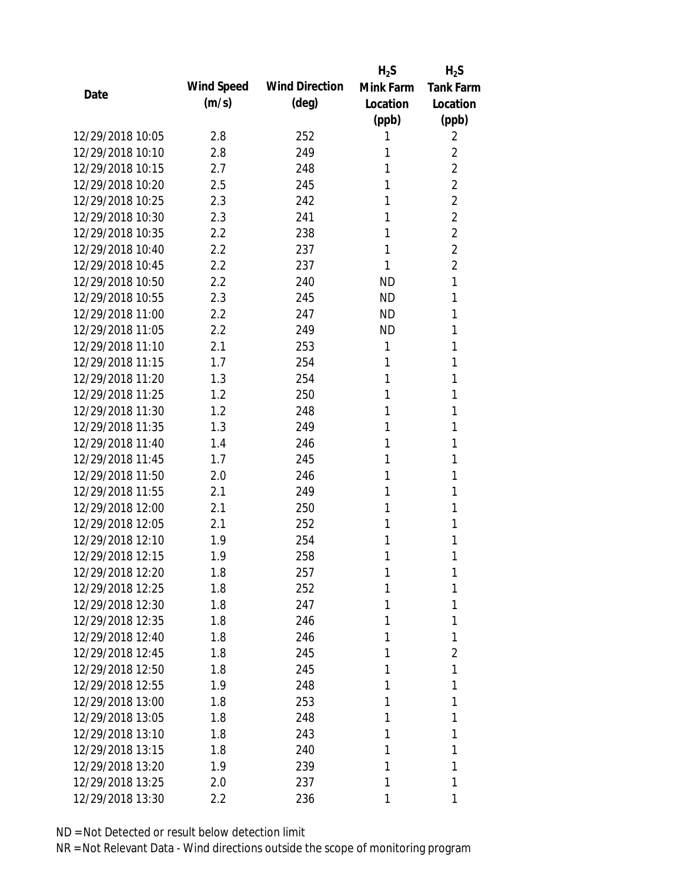|                  |            |                       | $H_2S$    | $H_2S$           |
|------------------|------------|-----------------------|-----------|------------------|
|                  | Wind Speed | <b>Wind Direction</b> | Mink Farm | <b>Tank Farm</b> |
| Date             | (m/s)      | $(\text{deg})$        | Location  | Location         |
|                  |            |                       | (ppb)     | (ppb)            |
| 12/29/2018 10:05 | 2.8        | 252                   | 1         | 2                |
| 12/29/2018 10:10 | 2.8        | 249                   | 1         | $\overline{2}$   |
| 12/29/2018 10:15 | 2.7        | 248                   | 1         | $\overline{2}$   |
| 12/29/2018 10:20 | 2.5        | 245                   | 1         | $\overline{2}$   |
| 12/29/2018 10:25 | 2.3        | 242                   | 1         | 2                |
| 12/29/2018 10:30 | 2.3        | 241                   | 1         | $\overline{2}$   |
| 12/29/2018 10:35 | 2.2        | 238                   | 1         | $\overline{2}$   |
| 12/29/2018 10:40 | 2.2        | 237                   | 1         | $\overline{2}$   |
| 12/29/2018 10:45 | 2.2        | 237                   | 1         | $\overline{2}$   |
| 12/29/2018 10:50 | 2.2        | 240                   | <b>ND</b> | 1                |
| 12/29/2018 10:55 | 2.3        | 245                   | ND.       | 1                |
| 12/29/2018 11:00 | $2.2\,$    | 247                   | <b>ND</b> | 1                |
| 12/29/2018 11:05 | 2.2        | 249                   | <b>ND</b> | 1                |
| 12/29/2018 11:10 | 2.1        | 253                   | 1         | 1                |
| 12/29/2018 11:15 | 1.7        | 254                   | 1         | 1                |
| 12/29/2018 11:20 | 1.3        | 254                   | 1         | 1                |
| 12/29/2018 11:25 | 1.2        | 250                   | 1         | 1                |
| 12/29/2018 11:30 | 1.2        | 248                   | 1         | 1                |
| 12/29/2018 11:35 | 1.3        | 249                   | 1         | 1                |
| 12/29/2018 11:40 | 1.4        | 246                   | 1         | 1                |
| 12/29/2018 11:45 | 1.7        | 245                   | 1         | 1                |
| 12/29/2018 11:50 | 2.0        | 246                   | 1         | 1                |
| 12/29/2018 11:55 | 2.1        | 249                   | 1         | 1                |
| 12/29/2018 12:00 | 2.1        | 250                   | 1         | 1                |
| 12/29/2018 12:05 | 2.1        | 252                   | 1         | 1                |
| 12/29/2018 12:10 | 1.9        | 254                   | 1         | 1                |
| 12/29/2018 12:15 | 1.9        | 258                   | 1         | 1                |
| 12/29/2018 12:20 | 1.8        | 257                   | 1         | 1                |
| 12/29/2018 12:25 | 1.8        | 252                   | 1         | 1                |
| 12/29/2018 12:30 | 1.8        | 247                   | 1         | 1                |
| 12/29/2018 12:35 | 1.8        | 246                   | 1         | 1                |
| 12/29/2018 12:40 | 1.8        | 246                   | 1         | 1                |
| 12/29/2018 12:45 | 1.8        | 245                   | 1         | 2                |
| 12/29/2018 12:50 | 1.8        | 245                   | 1         | 1                |
| 12/29/2018 12:55 | 1.9        | 248                   | 1         | 1                |
| 12/29/2018 13:00 | 1.8        | 253                   | 1         | 1                |
| 12/29/2018 13:05 | 1.8        | 248                   | 1         | 1                |
| 12/29/2018 13:10 | 1.8        | 243                   | 1         | 1                |
| 12/29/2018 13:15 | 1.8        | 240                   | 1         | 1                |
| 12/29/2018 13:20 | 1.9        | 239                   | 1         | 1                |
| 12/29/2018 13:25 | 2.0        | 237                   | 1         | 1                |
| 12/29/2018 13:30 | 2.2        | 236                   | 1         | 1                |
|                  |            |                       |           |                  |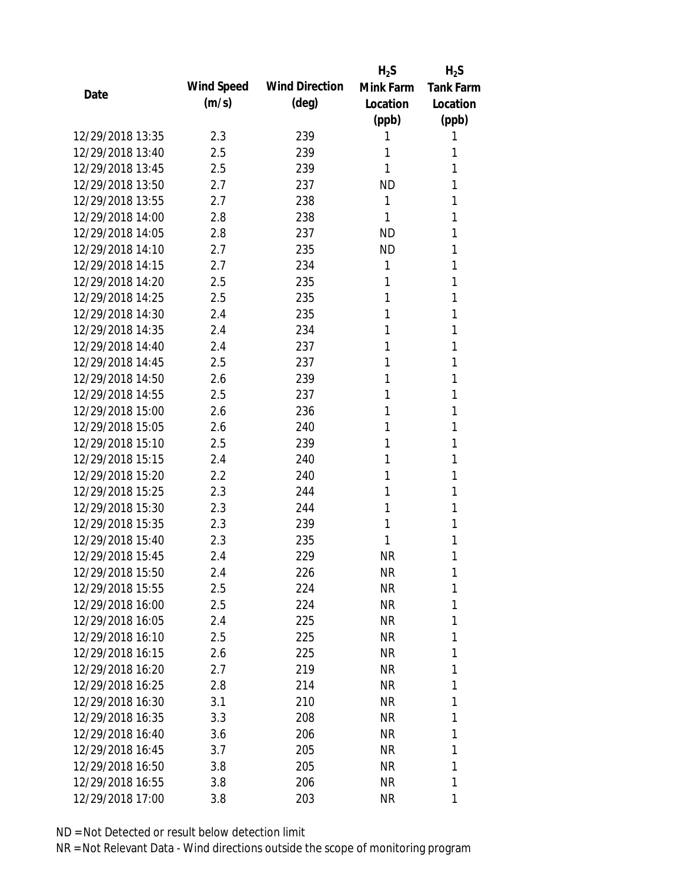|                  |            |                       | $H_2S$    | $H_2S$           |
|------------------|------------|-----------------------|-----------|------------------|
| Date             | Wind Speed | <b>Wind Direction</b> | Mink Farm | <b>Tank Farm</b> |
|                  | (m/s)      | $(\text{deg})$        | Location  | Location         |
|                  |            |                       | (ppb)     | (ppb)            |
| 12/29/2018 13:35 | 2.3        | 239                   | 1         | 1                |
| 12/29/2018 13:40 | 2.5        | 239                   | 1         | 1                |
| 12/29/2018 13:45 | 2.5        | 239                   | 1         | 1                |
| 12/29/2018 13:50 | 2.7        | 237                   | <b>ND</b> | 1                |
| 12/29/2018 13:55 | 2.7        | 238                   | 1         | 1                |
| 12/29/2018 14:00 | 2.8        | 238                   | 1         | 1                |
| 12/29/2018 14:05 | 2.8        | 237                   | <b>ND</b> | 1                |
| 12/29/2018 14:10 | 2.7        | 235                   | <b>ND</b> | 1                |
| 12/29/2018 14:15 | 2.7        | 234                   | 1         | 1                |
| 12/29/2018 14:20 | 2.5        | 235                   | 1         | 1                |
| 12/29/2018 14:25 | 2.5        | 235                   | 1         | 1                |
| 12/29/2018 14:30 | 2.4        | 235                   | 1         | 1                |
| 12/29/2018 14:35 | 2.4        | 234                   | 1         | 1                |
| 12/29/2018 14:40 | 2.4        | 237                   | 1         | 1                |
| 12/29/2018 14:45 | 2.5        | 237                   | 1         | 1                |
| 12/29/2018 14:50 | 2.6        | 239                   | 1         | 1                |
| 12/29/2018 14:55 | 2.5        | 237                   | 1         | 1                |
| 12/29/2018 15:00 | 2.6        | 236                   | 1         | 1                |
| 12/29/2018 15:05 | 2.6        | 240                   | 1         | 1                |
| 12/29/2018 15:10 | 2.5        | 239                   | 1         | 1                |
| 12/29/2018 15:15 | 2.4        | 240                   | 1         | 1                |
| 12/29/2018 15:20 | 2.2        | 240                   | 1         | 1                |
| 12/29/2018 15:25 | 2.3        | 244                   | 1         | 1                |
| 12/29/2018 15:30 | 2.3        | 244                   | 1         | 1                |
| 12/29/2018 15:35 | 2.3        | 239                   | 1         | 1                |
| 12/29/2018 15:40 | 2.3        | 235                   | 1         | 1                |
| 12/29/2018 15:45 | 2.4        | 229                   | <b>NR</b> | 1                |
| 12/29/2018 15:50 | 2.4        | 226                   | <b>NR</b> | 1                |
| 12/29/2018 15:55 | 2.5        | 224                   | <b>NR</b> | 1                |
| 12/29/2018 16:00 | 2.5        | 224                   | <b>NR</b> | 1                |
| 12/29/2018 16:05 | 2.4        | 225                   | <b>NR</b> | 1                |
| 12/29/2018 16:10 | 2.5        | 225                   | <b>NR</b> | 1                |
| 12/29/2018 16:15 | 2.6        | 225                   | <b>NR</b> | 1                |
| 12/29/2018 16:20 | 2.7        | 219                   | <b>NR</b> | 1                |
| 12/29/2018 16:25 | 2.8        | 214                   | <b>NR</b> | 1                |
| 12/29/2018 16:30 | 3.1        | 210                   | <b>NR</b> | 1                |
| 12/29/2018 16:35 | 3.3        | 208                   | <b>NR</b> | 1                |
| 12/29/2018 16:40 | 3.6        | 206                   | <b>NR</b> | 1                |
| 12/29/2018 16:45 | 3.7        | 205                   | NR        | 1                |
| 12/29/2018 16:50 | 3.8        | 205                   | <b>NR</b> | 1                |
| 12/29/2018 16:55 | 3.8        | 206                   | <b>NR</b> | 1                |
| 12/29/2018 17:00 | 3.8        | 203                   | <b>NR</b> | 1                |
|                  |            |                       |           |                  |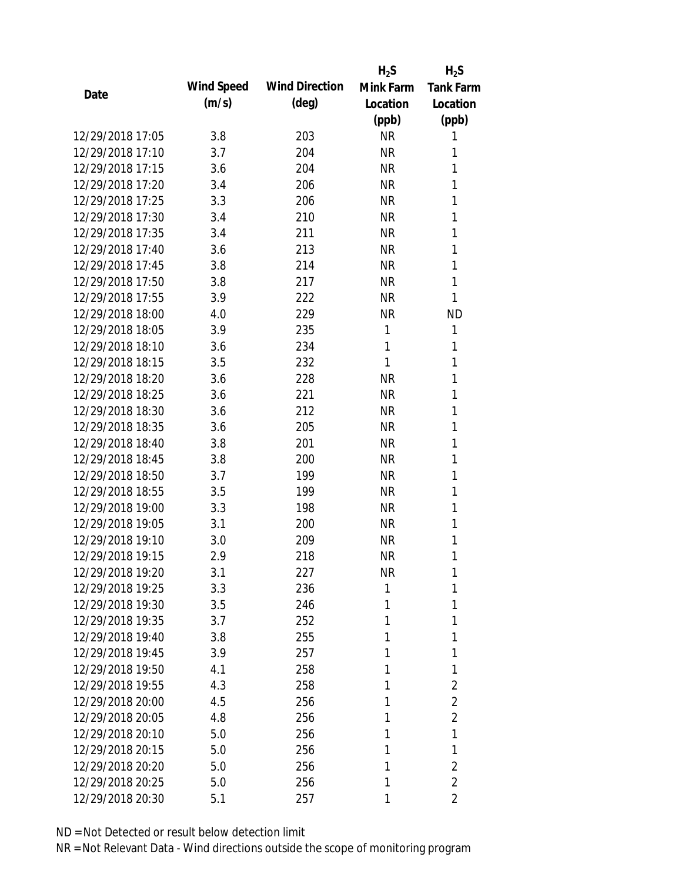|                  |            |                       | $H_2S$    | $H_2S$           |
|------------------|------------|-----------------------|-----------|------------------|
|                  | Wind Speed | <b>Wind Direction</b> | Mink Farm | <b>Tank Farm</b> |
| Date             | (m/s)      | $(\text{deg})$        | Location  | Location         |
|                  |            |                       | (ppb)     | (ppb)            |
| 12/29/2018 17:05 | 3.8        | 203                   | <b>NR</b> | 1                |
| 12/29/2018 17:10 | 3.7        | 204                   | <b>NR</b> | 1                |
| 12/29/2018 17:15 | 3.6        | 204                   | <b>NR</b> | 1                |
| 12/29/2018 17:20 | 3.4        | 206                   | <b>NR</b> | 1                |
| 12/29/2018 17:25 | 3.3        | 206                   | <b>NR</b> | 1                |
| 12/29/2018 17:30 | 3.4        | 210                   | <b>NR</b> | 1                |
| 12/29/2018 17:35 | 3.4        | 211                   | <b>NR</b> | 1                |
| 12/29/2018 17:40 | 3.6        | 213                   | <b>NR</b> | 1                |
| 12/29/2018 17:45 | 3.8        | 214                   | <b>NR</b> | 1                |
| 12/29/2018 17:50 | 3.8        | 217                   | <b>NR</b> | 1                |
| 12/29/2018 17:55 | 3.9        | 222                   | <b>NR</b> | 1                |
| 12/29/2018 18:00 | 4.0        | 229                   | <b>NR</b> | <b>ND</b>        |
| 12/29/2018 18:05 | 3.9        | 235                   | 1         | 1                |
| 12/29/2018 18:10 | 3.6        | 234                   | 1         | 1                |
| 12/29/2018 18:15 | 3.5        | 232                   | 1         | 1                |
| 12/29/2018 18:20 | 3.6        | 228                   | <b>NR</b> | 1                |
| 12/29/2018 18:25 | 3.6        | 221                   | <b>NR</b> | 1                |
| 12/29/2018 18:30 | 3.6        | 212                   | <b>NR</b> | 1                |
| 12/29/2018 18:35 | 3.6        | 205                   | <b>NR</b> | 1                |
| 12/29/2018 18:40 | 3.8        | 201                   | <b>NR</b> | 1                |
| 12/29/2018 18:45 | 3.8        | 200                   | <b>NR</b> | 1                |
| 12/29/2018 18:50 | 3.7        | 199                   | <b>NR</b> | 1                |
| 12/29/2018 18:55 | 3.5        | 199                   | <b>NR</b> | 1                |
| 12/29/2018 19:00 | 3.3        | 198                   | <b>NR</b> | 1                |
| 12/29/2018 19:05 | 3.1        | 200                   | <b>NR</b> | 1                |
| 12/29/2018 19:10 | 3.0        | 209                   | <b>NR</b> | 1                |
| 12/29/2018 19:15 | 2.9        | 218                   | <b>NR</b> | 1                |
| 12/29/2018 19:20 | 3.1        | 227                   | <b>NR</b> | 1                |
| 12/29/2018 19:25 | 3.3        | 236                   | 1         | 1                |
| 12/29/2018 19:30 | 3.5        | 246                   | 1         | 1                |
| 12/29/2018 19:35 | 3.7        | 252                   | 1         | 1                |
| 12/29/2018 19:40 | 3.8        | 255                   | 1         | 1                |
| 12/29/2018 19:45 | 3.9        | 257                   | 1         | 1                |
| 12/29/2018 19:50 | 4.1        | 258                   | 1         | 1                |
| 12/29/2018 19:55 | 4.3        | 258                   | 1         | 2                |
| 12/29/2018 20:00 | 4.5        | 256                   | 1         | 2                |
| 12/29/2018 20:05 | 4.8        | 256                   | 1         | 2                |
| 12/29/2018 20:10 | 5.0        | 256                   | 1         | 1                |
| 12/29/2018 20:15 |            |                       | 1         | 1                |
| 12/29/2018 20:20 | 5.0<br>5.0 | 256<br>256            | 1         | $\overline{2}$   |
| 12/29/2018 20:25 |            |                       | 1         | $\overline{2}$   |
|                  | 5.0        | 256                   |           |                  |
| 12/29/2018 20:30 | 5.1        | 257                   | 1         | $\overline{2}$   |